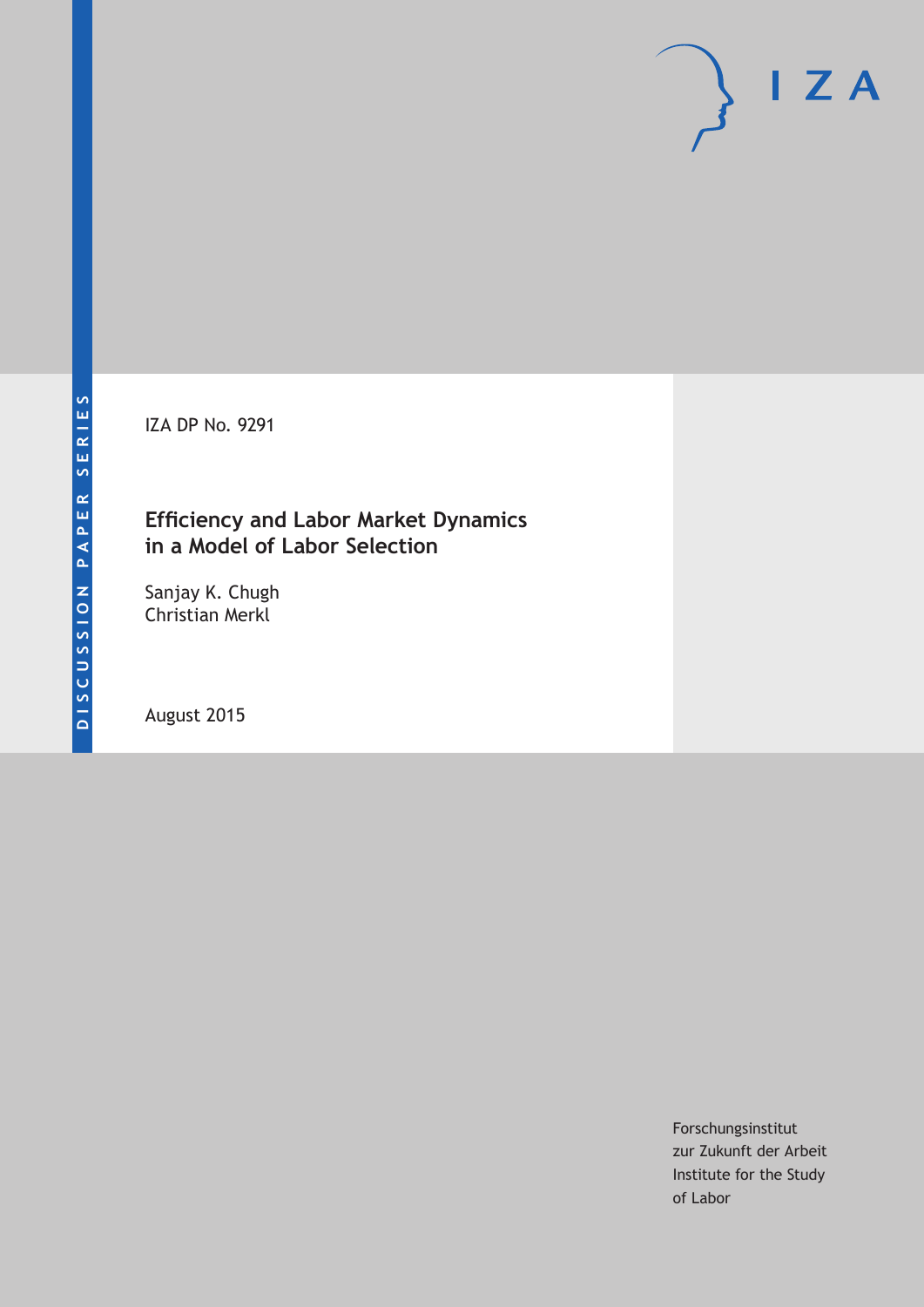IZA DP No. 9291

# **Efficiency and Labor Market Dynamics in a Model of Labor Selection**

Sanjay K. Chugh Christian Merkl

August 2015

Forschungsinstitut zur Zukunft der Arbeit Institute for the Study of Labor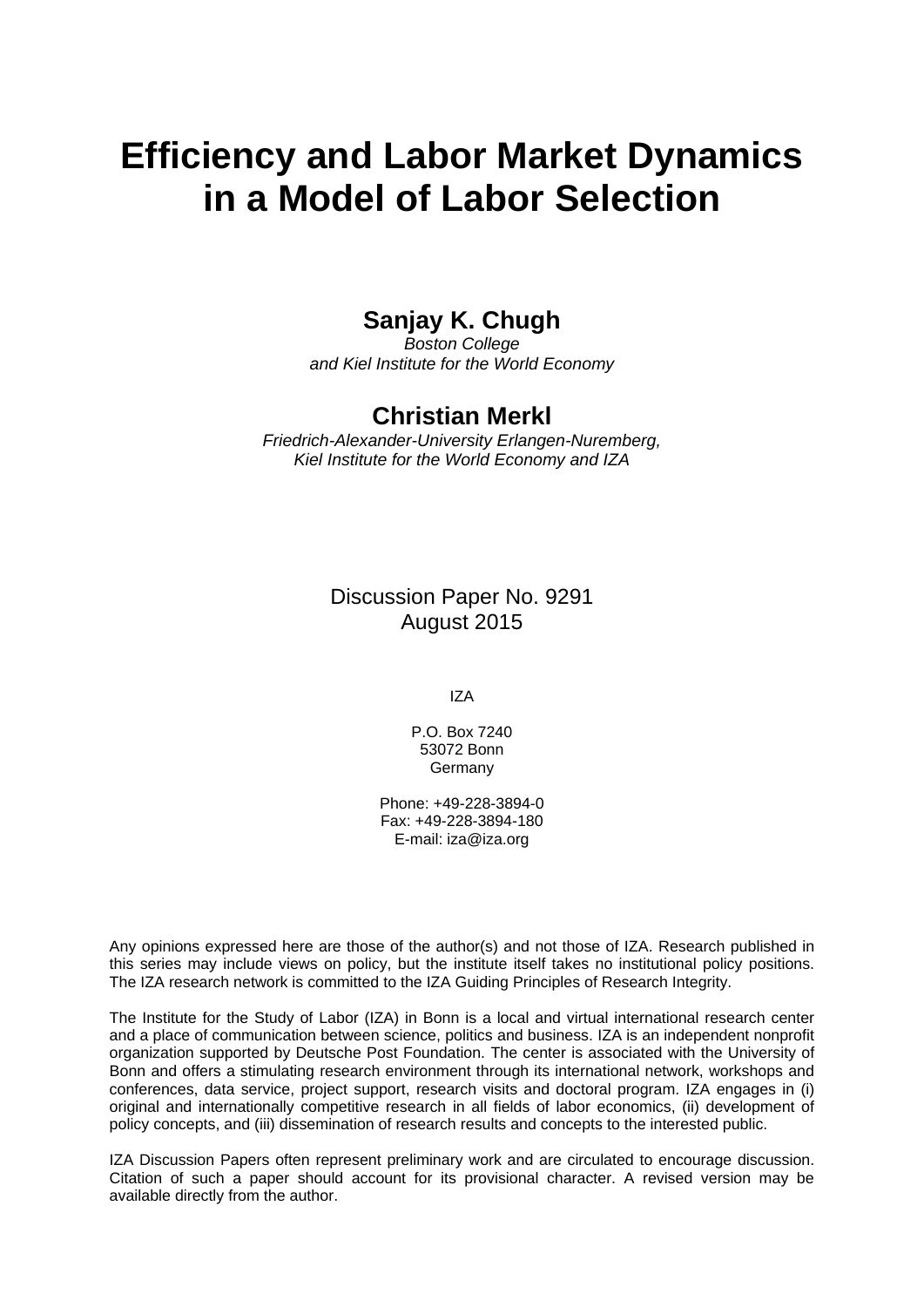# **Efficiency and Labor Market Dynamics in a Model of Labor Selection**

# **Sanjay K. Chugh**

*Boston College and Kiel Institute for the World Economy* 

# **Christian Merkl**

*Friedrich-Alexander-University Erlangen-Nuremberg, Kiel Institute for the World Economy and IZA* 

> Discussion Paper No. 9291 August 2015

> > IZA

P.O. Box 7240 53072 Bonn Germany

Phone: +49-228-3894-0 Fax: +49-228-3894-180 E-mail: iza@iza.org

Any opinions expressed here are those of the author(s) and not those of IZA. Research published in this series may include views on policy, but the institute itself takes no institutional policy positions. The IZA research network is committed to the IZA Guiding Principles of Research Integrity.

The Institute for the Study of Labor (IZA) in Bonn is a local and virtual international research center and a place of communication between science, politics and business. IZA is an independent nonprofit organization supported by Deutsche Post Foundation. The center is associated with the University of Bonn and offers a stimulating research environment through its international network, workshops and conferences, data service, project support, research visits and doctoral program. IZA engages in (i) original and internationally competitive research in all fields of labor economics, (ii) development of policy concepts, and (iii) dissemination of research results and concepts to the interested public.

IZA Discussion Papers often represent preliminary work and are circulated to encourage discussion. Citation of such a paper should account for its provisional character. A revised version may be available directly from the author.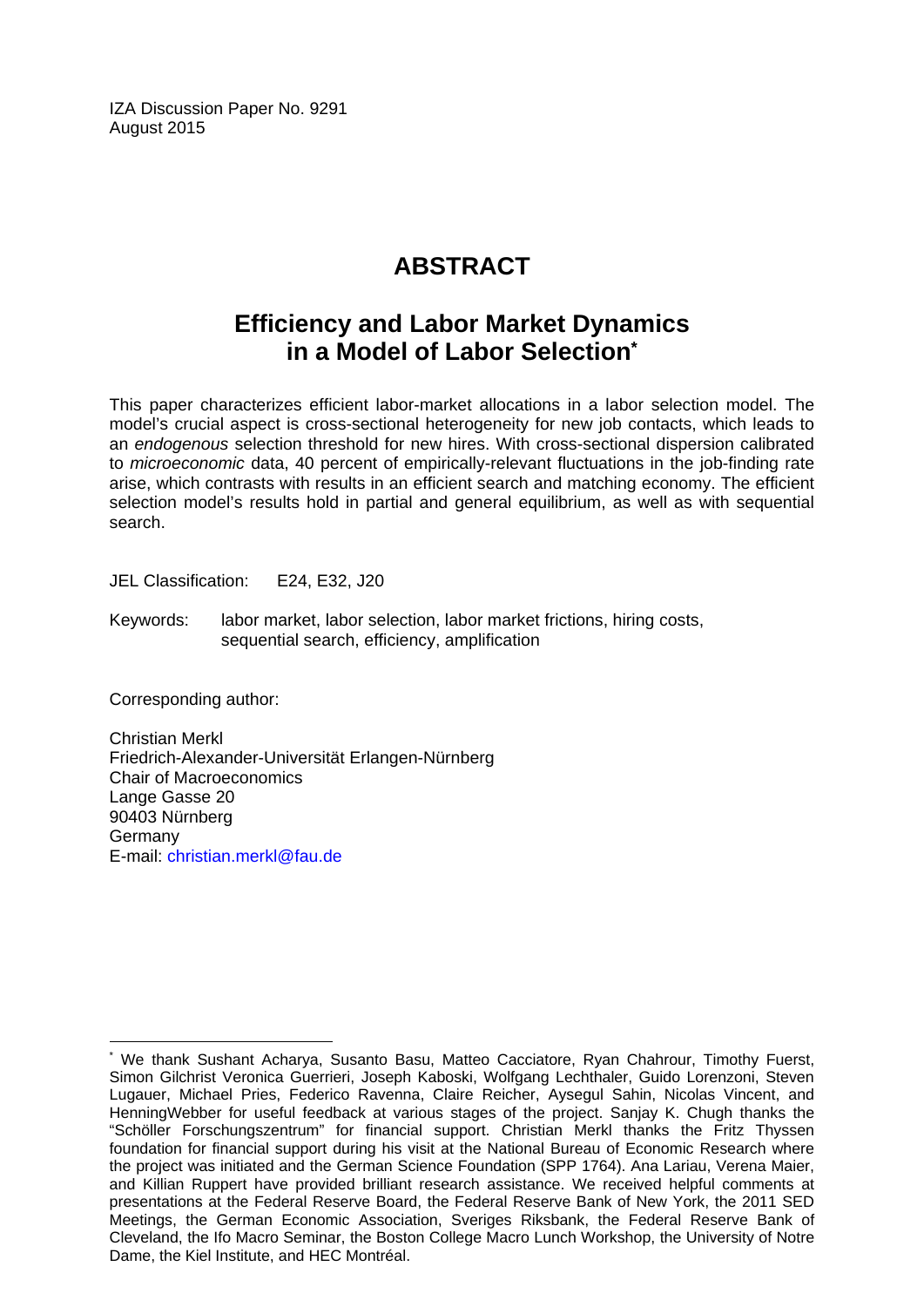IZA Discussion Paper No. 9291 August 2015

# **ABSTRACT**

# **Efficiency and Labor Market Dynamics in a Model of Labor Selection\***

This paper characterizes efficient labor-market allocations in a labor selection model. The model's crucial aspect is cross-sectional heterogeneity for new job contacts, which leads to an *endogenous* selection threshold for new hires. With cross-sectional dispersion calibrated to *microeconomic* data, 40 percent of empirically-relevant fluctuations in the job-finding rate arise, which contrasts with results in an efficient search and matching economy. The efficient selection model's results hold in partial and general equilibrium, as well as with sequential search.

JEL Classification: E24, E32, J20

Keywords: labor market, labor selection, labor market frictions, hiring costs, sequential search, efficiency, amplification

Corresponding author:

 $\overline{a}$ 

Christian Merkl Friedrich-Alexander-Universität Erlangen-Nürnberg Chair of Macroeconomics Lange Gasse 20 90403 Nürnberg Germany E-mail: christian.merkl@fau.de

<sup>\*</sup> We thank Sushant Acharya, Susanto Basu, Matteo Cacciatore, Ryan Chahrour, Timothy Fuerst, Simon Gilchrist Veronica Guerrieri, Joseph Kaboski, Wolfgang Lechthaler, Guido Lorenzoni, Steven Lugauer, Michael Pries, Federico Ravenna, Claire Reicher, Aysegul Sahin, Nicolas Vincent, and HenningWebber for useful feedback at various stages of the project. Sanjay K. Chugh thanks the "Schöller Forschungszentrum" for financial support. Christian Merkl thanks the Fritz Thyssen foundation for financial support during his visit at the National Bureau of Economic Research where the project was initiated and the German Science Foundation (SPP 1764). Ana Lariau, Verena Maier, and Killian Ruppert have provided brilliant research assistance. We received helpful comments at presentations at the Federal Reserve Board, the Federal Reserve Bank of New York, the 2011 SED Meetings, the German Economic Association, Sveriges Riksbank, the Federal Reserve Bank of Cleveland, the Ifo Macro Seminar, the Boston College Macro Lunch Workshop, the University of Notre Dame, the Kiel Institute, and HEC Montréal.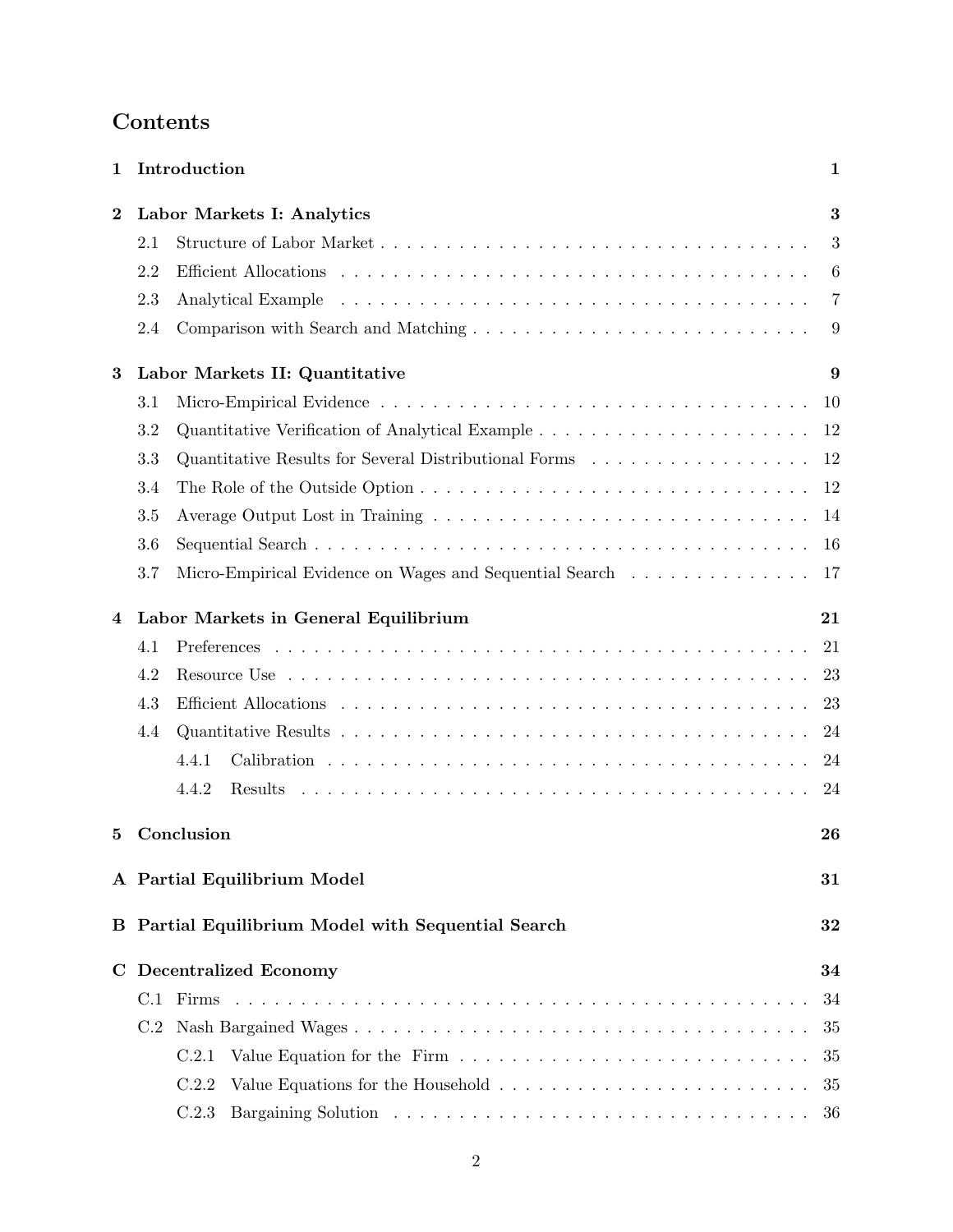| 1                |                                                          | Introduction                                            | 1  |  |  |  |  |
|------------------|----------------------------------------------------------|---------------------------------------------------------|----|--|--|--|--|
| $\boldsymbol{2}$ |                                                          | Labor Markets I: Analytics                              |    |  |  |  |  |
|                  | 2.1                                                      |                                                         | 3  |  |  |  |  |
|                  | 2.2                                                      |                                                         | 6  |  |  |  |  |
|                  | 2.3                                                      |                                                         | 7  |  |  |  |  |
|                  | 2.4                                                      |                                                         | 9  |  |  |  |  |
| 3                |                                                          | Labor Markets II: Quantitative                          | 9  |  |  |  |  |
|                  | 3.1                                                      |                                                         | 10 |  |  |  |  |
|                  | 3.2                                                      |                                                         | 12 |  |  |  |  |
|                  | 3.3                                                      |                                                         | 12 |  |  |  |  |
|                  | 3.4                                                      |                                                         | 12 |  |  |  |  |
|                  | 3.5                                                      |                                                         | 14 |  |  |  |  |
|                  | 3.6                                                      |                                                         | 16 |  |  |  |  |
|                  | 3.7                                                      | Micro-Empirical Evidence on Wages and Sequential Search | 17 |  |  |  |  |
| 4                | Labor Markets in General Equilibrium<br>21               |                                                         |    |  |  |  |  |
|                  | 4.1                                                      |                                                         | 21 |  |  |  |  |
|                  | 4.2                                                      |                                                         | 23 |  |  |  |  |
|                  | 4.3                                                      |                                                         | 23 |  |  |  |  |
|                  | 4.4                                                      |                                                         | 24 |  |  |  |  |
|                  |                                                          | 4.4.1                                                   | 24 |  |  |  |  |
|                  |                                                          | 4.4.2<br><b>Results</b>                                 | 24 |  |  |  |  |
| 5                | Conclusion<br>26                                         |                                                         |    |  |  |  |  |
|                  |                                                          | A Partial Equilibrium Model                             | 31 |  |  |  |  |
|                  | B Partial Equilibrium Model with Sequential Search<br>32 |                                                         |    |  |  |  |  |
| C.               |                                                          | <b>Decentralized Economy</b>                            | 34 |  |  |  |  |
|                  |                                                          |                                                         | 34 |  |  |  |  |
|                  | C.2                                                      |                                                         | 35 |  |  |  |  |
|                  |                                                          | C.2.1                                                   | 35 |  |  |  |  |
|                  |                                                          | C.2.2                                                   | 35 |  |  |  |  |
|                  |                                                          | C.2.3                                                   | 36 |  |  |  |  |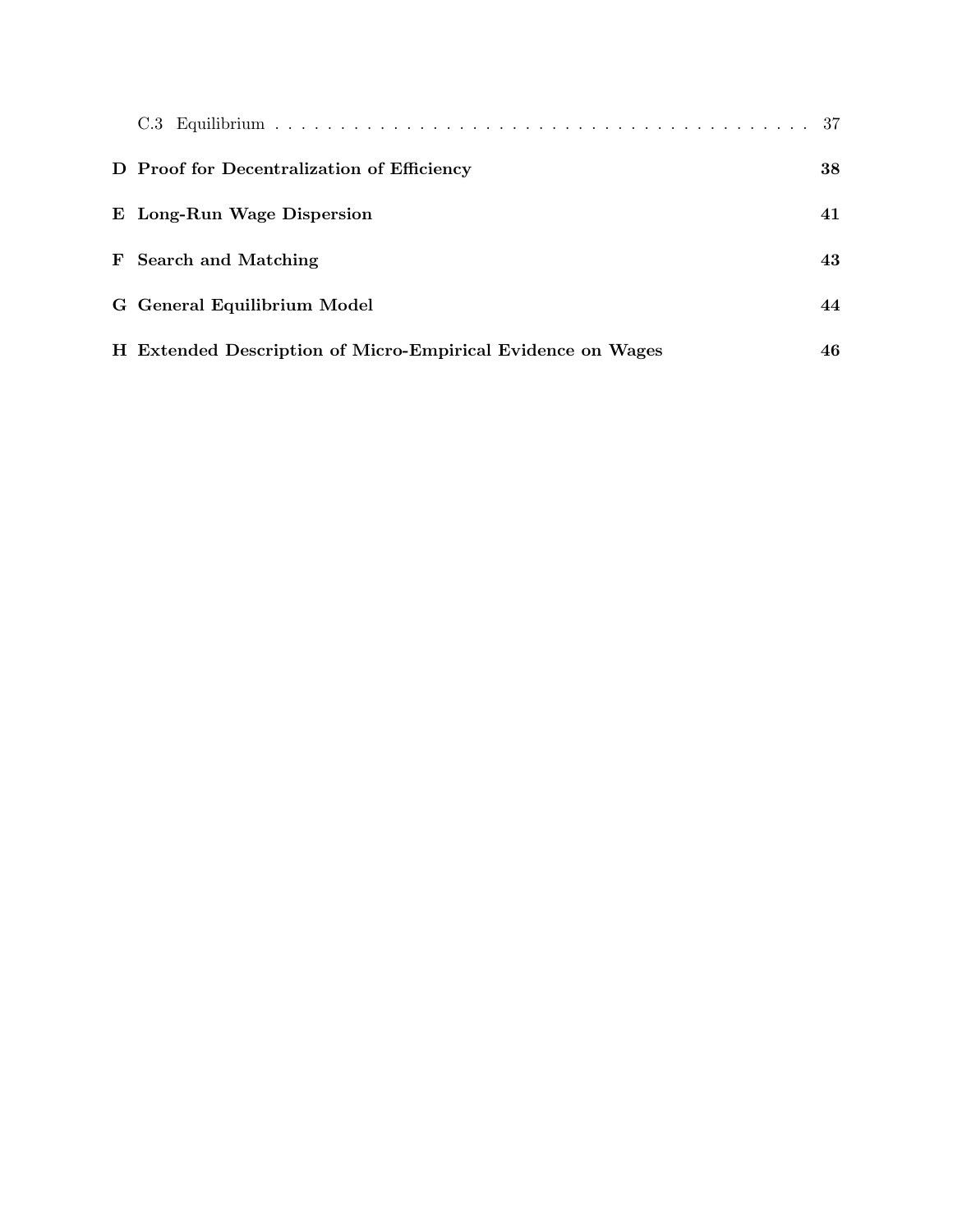| D Proof for Decentralization of Efficiency                  | 38 |
|-------------------------------------------------------------|----|
| E Long-Run Wage Dispersion                                  | 41 |
| <b>F</b> Search and Matching                                | 43 |
| G General Equilibrium Model                                 | 44 |
| H Extended Description of Micro-Empirical Evidence on Wages | 46 |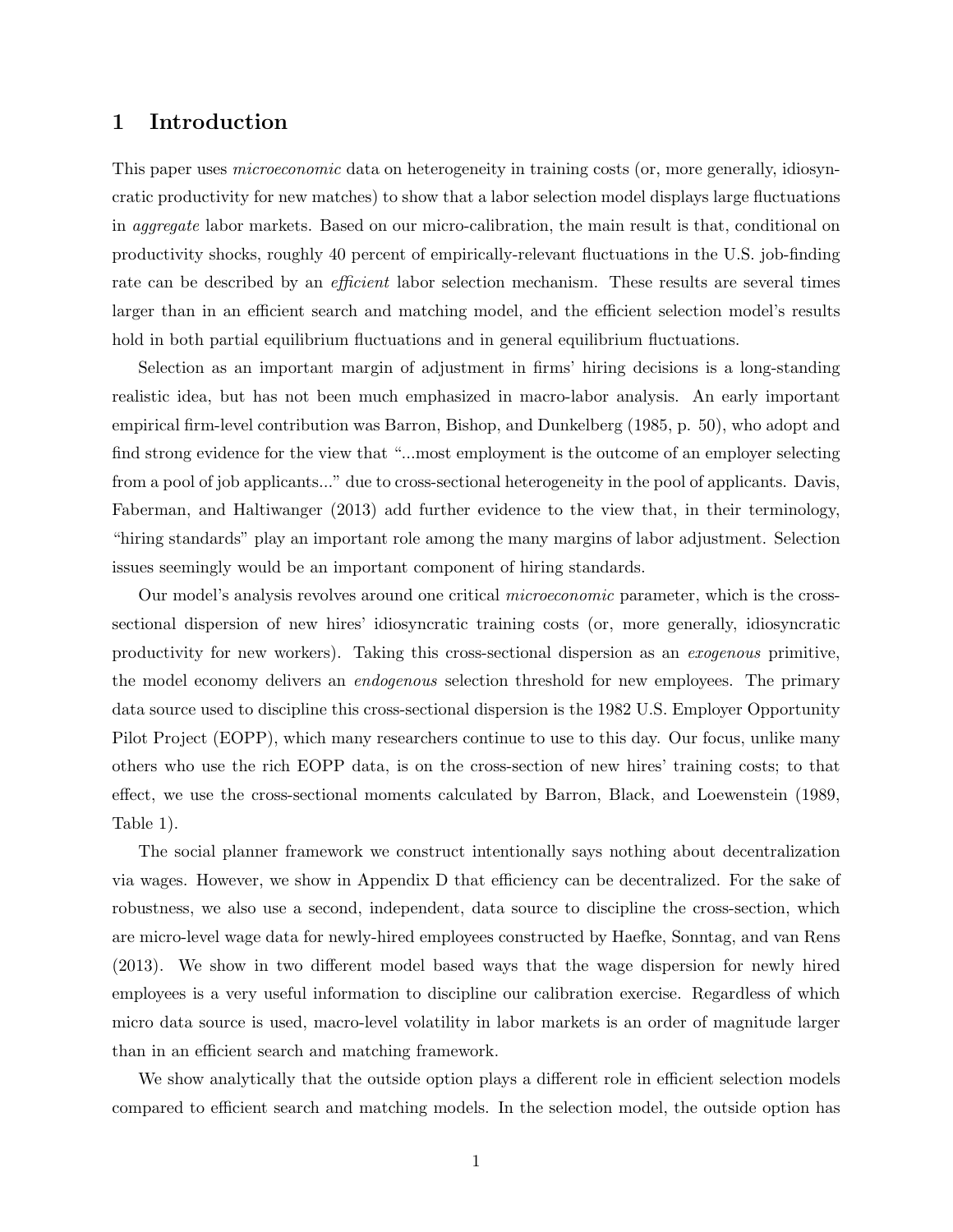# 1 Introduction

This paper uses *microeconomic* data on heterogeneity in training costs (or, more generally, idiosyncratic productivity for new matches) to show that a labor selection model displays large fluctuations in aggregate labor markets. Based on our micro-calibration, the main result is that, conditional on productivity shocks, roughly 40 percent of empirically-relevant fluctuations in the U.S. job-finding rate can be described by an *efficient* labor selection mechanism. These results are several times larger than in an efficient search and matching model, and the efficient selection model's results hold in both partial equilibrium fluctuations and in general equilibrium fluctuations.

Selection as an important margin of adjustment in firms' hiring decisions is a long-standing realistic idea, but has not been much emphasized in macro-labor analysis. An early important empirical firm-level contribution was Barron, Bishop, and Dunkelberg (1985, p. 50), who adopt and find strong evidence for the view that "...most employment is the outcome of an employer selecting from a pool of job applicants..." due to cross-sectional heterogeneity in the pool of applicants. Davis, Faberman, and Haltiwanger (2013) add further evidence to the view that, in their terminology, "hiring standards" play an important role among the many margins of labor adjustment. Selection issues seemingly would be an important component of hiring standards.

Our model's analysis revolves around one critical microeconomic parameter, which is the crosssectional dispersion of new hires' idiosyncratic training costs (or, more generally, idiosyncratic productivity for new workers). Taking this cross-sectional dispersion as an exogenous primitive, the model economy delivers an endogenous selection threshold for new employees. The primary data source used to discipline this cross-sectional dispersion is the 1982 U.S. Employer Opportunity Pilot Project (EOPP), which many researchers continue to use to this day. Our focus, unlike many others who use the rich EOPP data, is on the cross-section of new hires' training costs; to that effect, we use the cross-sectional moments calculated by Barron, Black, and Loewenstein (1989, Table 1).

The social planner framework we construct intentionally says nothing about decentralization via wages. However, we show in Appendix D that efficiency can be decentralized. For the sake of robustness, we also use a second, independent, data source to discipline the cross-section, which are micro-level wage data for newly-hired employees constructed by Haefke, Sonntag, and van Rens (2013). We show in two different model based ways that the wage dispersion for newly hired employees is a very useful information to discipline our calibration exercise. Regardless of which micro data source is used, macro-level volatility in labor markets is an order of magnitude larger than in an efficient search and matching framework.

We show analytically that the outside option plays a different role in efficient selection models compared to efficient search and matching models. In the selection model, the outside option has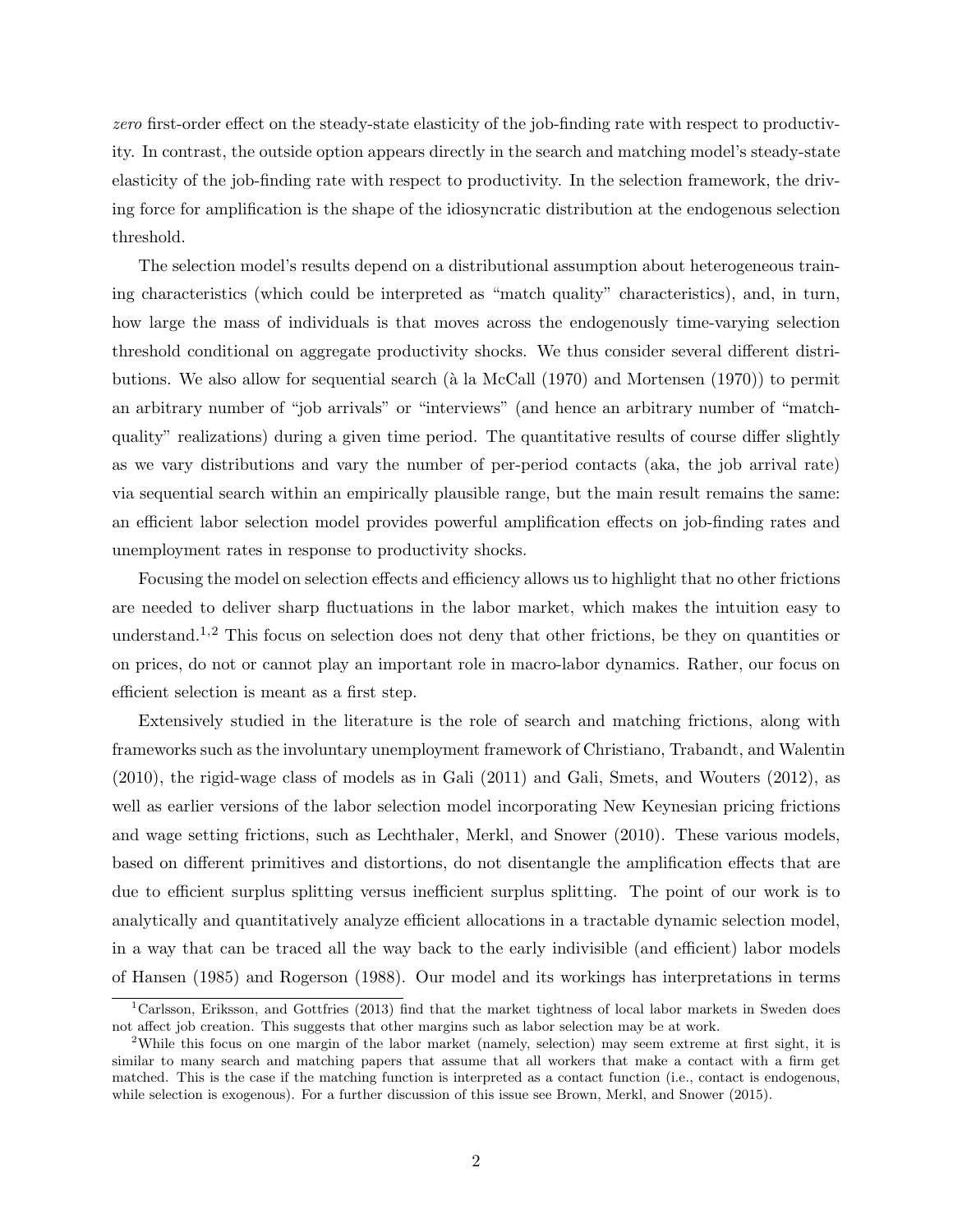zero first-order effect on the steady-state elasticity of the job-finding rate with respect to productivity. In contrast, the outside option appears directly in the search and matching model's steady-state elasticity of the job-finding rate with respect to productivity. In the selection framework, the driving force for amplification is the shape of the idiosyncratic distribution at the endogenous selection threshold.

The selection model's results depend on a distributional assumption about heterogeneous training characteristics (which could be interpreted as "match quality" characteristics), and, in turn, how large the mass of individuals is that moves across the endogenously time-varying selection threshold conditional on aggregate productivity shocks. We thus consider several different distributions. We also allow for sequential search ( $\hat{a}$  la McCall (1970) and Mortensen (1970)) to permit an arbitrary number of "job arrivals" or "interviews" (and hence an arbitrary number of "matchquality" realizations) during a given time period. The quantitative results of course differ slightly as we vary distributions and vary the number of per-period contacts (aka, the job arrival rate) via sequential search within an empirically plausible range, but the main result remains the same: an efficient labor selection model provides powerful amplification effects on job-finding rates and unemployment rates in response to productivity shocks.

Focusing the model on selection effects and efficiency allows us to highlight that no other frictions are needed to deliver sharp fluctuations in the labor market, which makes the intuition easy to understand.<sup>1,2</sup> This focus on selection does not deny that other frictions, be they on quantities or on prices, do not or cannot play an important role in macro-labor dynamics. Rather, our focus on efficient selection is meant as a first step.

Extensively studied in the literature is the role of search and matching frictions, along with frameworks such as the involuntary unemployment framework of Christiano, Trabandt, and Walentin (2010), the rigid-wage class of models as in Gali (2011) and Gali, Smets, and Wouters (2012), as well as earlier versions of the labor selection model incorporating New Keynesian pricing frictions and wage setting frictions, such as Lechthaler, Merkl, and Snower (2010). These various models, based on different primitives and distortions, do not disentangle the amplification effects that are due to efficient surplus splitting versus inefficient surplus splitting. The point of our work is to analytically and quantitatively analyze efficient allocations in a tractable dynamic selection model, in a way that can be traced all the way back to the early indivisible (and efficient) labor models of Hansen (1985) and Rogerson (1988). Our model and its workings has interpretations in terms

<sup>1</sup>Carlsson, Eriksson, and Gottfries (2013) find that the market tightness of local labor markets in Sweden does not affect job creation. This suggests that other margins such as labor selection may be at work.

<sup>2</sup>While this focus on one margin of the labor market (namely, selection) may seem extreme at first sight, it is similar to many search and matching papers that assume that all workers that make a contact with a firm get matched. This is the case if the matching function is interpreted as a contact function (i.e., contact is endogenous, while selection is exogenous). For a further discussion of this issue see Brown, Merkl, and Snower (2015).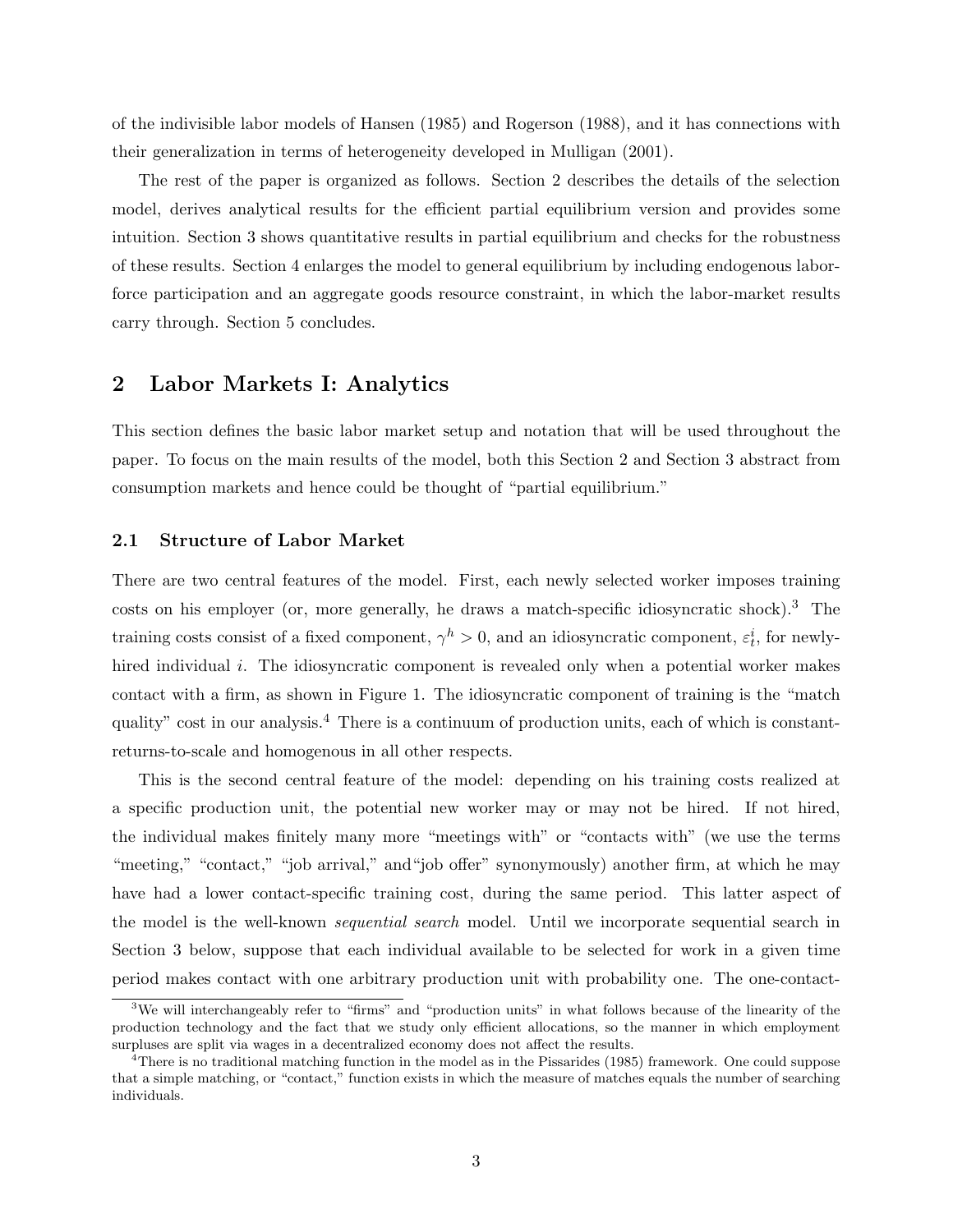of the indivisible labor models of Hansen (1985) and Rogerson (1988), and it has connections with their generalization in terms of heterogeneity developed in Mulligan (2001).

The rest of the paper is organized as follows. Section 2 describes the details of the selection model, derives analytical results for the efficient partial equilibrium version and provides some intuition. Section 3 shows quantitative results in partial equilibrium and checks for the robustness of these results. Section 4 enlarges the model to general equilibrium by including endogenous laborforce participation and an aggregate goods resource constraint, in which the labor-market results carry through. Section 5 concludes.

### 2 Labor Markets I: Analytics

This section defines the basic labor market setup and notation that will be used throughout the paper. To focus on the main results of the model, both this Section 2 and Section 3 abstract from consumption markets and hence could be thought of "partial equilibrium."

#### 2.1 Structure of Labor Market

There are two central features of the model. First, each newly selected worker imposes training costs on his employer (or, more generally, he draws a match-specific idiosyncratic shock).<sup>3</sup> The training costs consist of a fixed component,  $\gamma^h > 0$ , and an idiosyncratic component,  $\varepsilon_t^i$ , for newlyhired individual i. The idiosyncratic component is revealed only when a potential worker makes contact with a firm, as shown in Figure 1. The idiosyncratic component of training is the "match quality" cost in our analysis.<sup>4</sup> There is a continuum of production units, each of which is constantreturns-to-scale and homogenous in all other respects.

This is the second central feature of the model: depending on his training costs realized at a specific production unit, the potential new worker may or may not be hired. If not hired, the individual makes finitely many more "meetings with" or "contacts with" (we use the terms "meeting," "contact," "job arrival," and "job offer" synonymously) another firm, at which he may have had a lower contact-specific training cost, during the same period. This latter aspect of the model is the well-known sequential search model. Until we incorporate sequential search in Section 3 below, suppose that each individual available to be selected for work in a given time period makes contact with one arbitrary production unit with probability one. The one-contact-

<sup>&</sup>lt;sup>3</sup>We will interchangeably refer to "firms" and "production units" in what follows because of the linearity of the production technology and the fact that we study only efficient allocations, so the manner in which employment surpluses are split via wages in a decentralized economy does not affect the results.

<sup>&</sup>lt;sup>4</sup>There is no traditional matching function in the model as in the Pissarides (1985) framework. One could suppose that a simple matching, or "contact," function exists in which the measure of matches equals the number of searching individuals.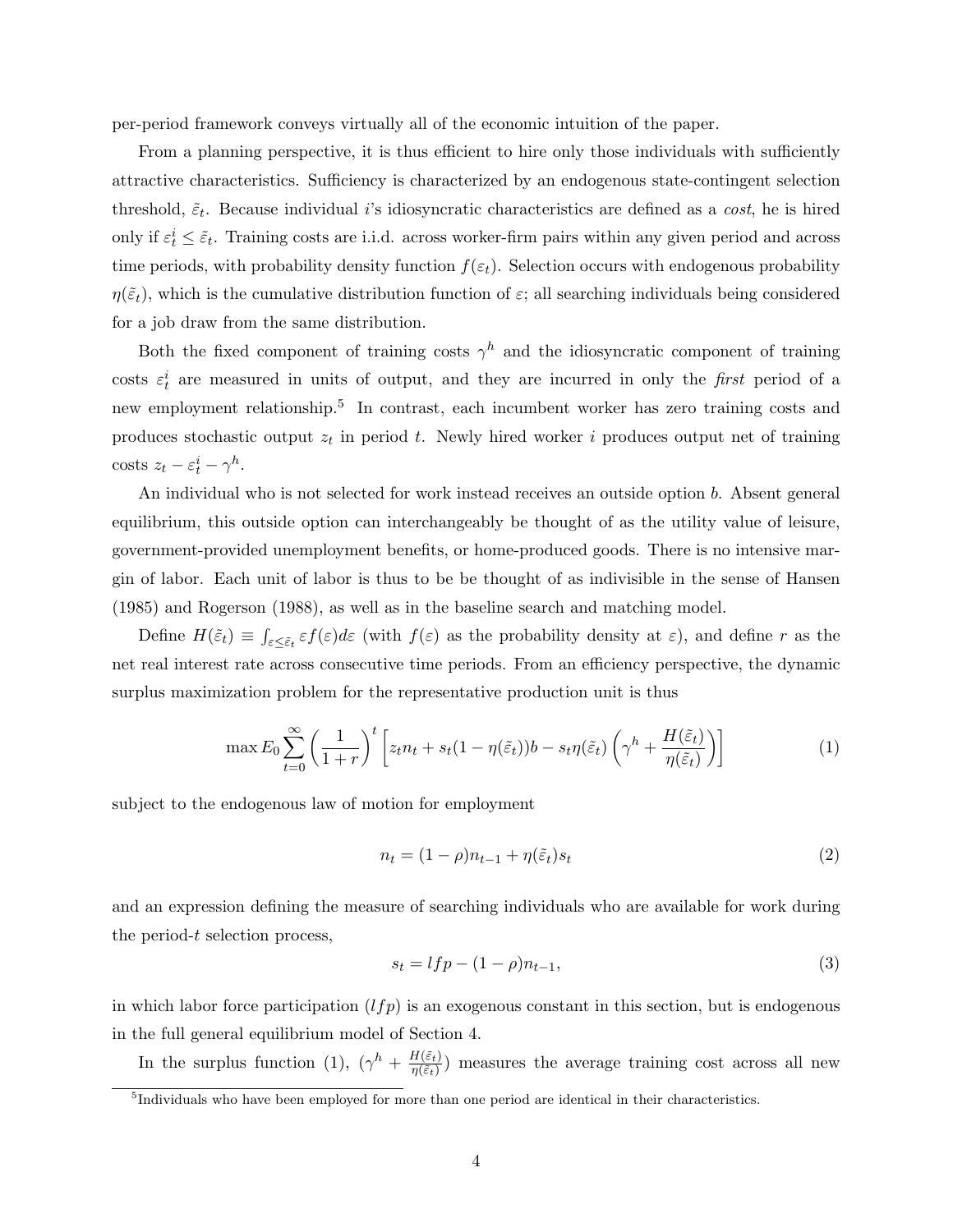per-period framework conveys virtually all of the economic intuition of the paper.

From a planning perspective, it is thus efficient to hire only those individuals with sufficiently attractive characteristics. Sufficiency is characterized by an endogenous state-contingent selection threshold,  $\tilde{\varepsilon}_t$ . Because individual *i*'s idiosyncratic characteristics are defined as a *cost*, he is hired only if  $\varepsilon_t^i \leq \tilde{\varepsilon}_t$ . Training costs are i.i.d. across worker-firm pairs within any given period and across time periods, with probability density function  $f(\varepsilon_t)$ . Selection occurs with endogenous probability  $\eta(\tilde{\varepsilon}_t)$ , which is the cumulative distribution function of  $\varepsilon$ ; all searching individuals being considered for a job draw from the same distribution.

Both the fixed component of training costs  $\gamma^h$  and the idiosyncratic component of training costs  $\varepsilon_t^i$  are measured in units of output, and they are incurred in only the *first* period of a new employment relationship.<sup>5</sup> In contrast, each incumbent worker has zero training costs and produces stochastic output  $z_t$  in period t. Newly hired worker i produces output net of training costs  $z_t - \varepsilon_t^i - \gamma^h$ .

An individual who is not selected for work instead receives an outside option b. Absent general equilibrium, this outside option can interchangeably be thought of as the utility value of leisure, government-provided unemployment benefits, or home-produced goods. There is no intensive margin of labor. Each unit of labor is thus to be be thought of as indivisible in the sense of Hansen (1985) and Rogerson (1988), as well as in the baseline search and matching model.

Define  $H(\tilde{\varepsilon}_t) \equiv \int_{\varepsilon \leq \tilde{\varepsilon}_t} \varepsilon f(\varepsilon) d\varepsilon$  (with  $f(\varepsilon)$  as the probability density at  $\varepsilon$ ), and define r as the net real interest rate across consecutive time periods. From an efficiency perspective, the dynamic surplus maximization problem for the representative production unit is thus

$$
\max E_0 \sum_{t=0}^{\infty} \left( \frac{1}{1+r} \right)^t \left[ z_t n_t + s_t (1-\eta(\tilde{\varepsilon}_t)) b - s_t \eta(\tilde{\varepsilon}_t) \left( \gamma^h + \frac{H(\tilde{\varepsilon}_t)}{\eta(\tilde{\varepsilon}_t)} \right) \right]
$$
(1)

subject to the endogenous law of motion for employment

$$
n_t = (1 - \rho)n_{t-1} + \eta(\tilde{\varepsilon}_t)s_t
$$
\n<sup>(2)</sup>

and an expression defining the measure of searching individuals who are available for work during the period-t selection process,

$$
s_t = lfp - (1 - \rho)n_{t-1},
$$
\n(3)

in which labor force participation  $(lfp)$  is an exogenous constant in this section, but is endogenous in the full general equilibrium model of Section 4.

In the surplus function (1),  $(\gamma^h + \frac{H(\tilde{\varepsilon}_t)}{n(\tilde{\varepsilon}_t)})$  $\frac{H(\varepsilon_t)}{\eta(\tilde{\varepsilon}_t)}$  measures the average training cost across all new

<sup>&</sup>lt;sup>5</sup>Individuals who have been employed for more than one period are identical in their characteristics.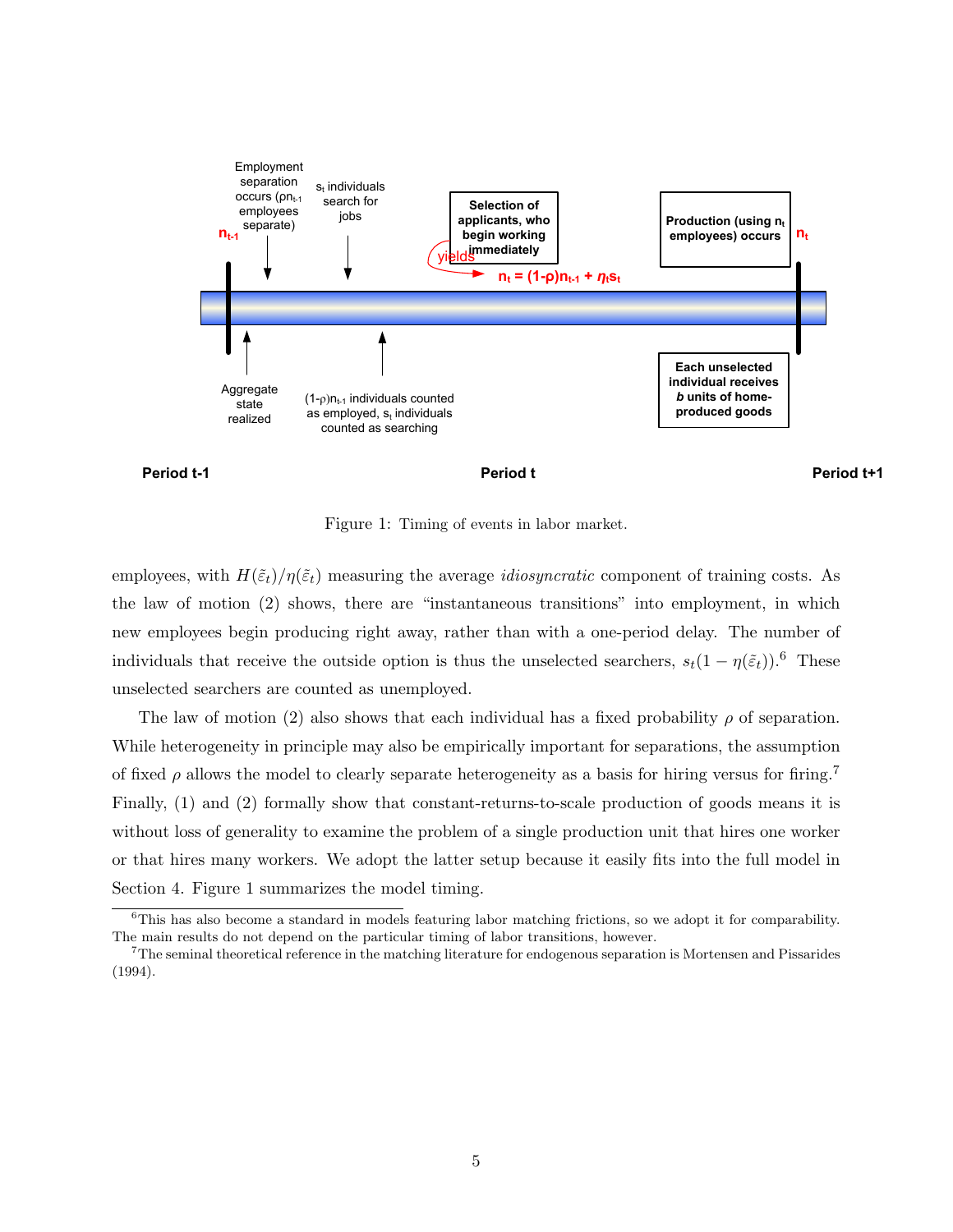



Figure 1: Timing of events in labor market.

employees, with  $H(\tilde{\varepsilon}_t)/\eta(\tilde{\varepsilon}_t)$  measuring the average *idiosyncratic* component of training costs. As the law of motion (2) shows, there are "instantaneous transitions" into employment, in which new employees begin producing right away, rather than with a one-period delay. The number of individuals that receive the outside option is thus the unselected searchers,  $s_t(1 - \eta(\tilde{\varepsilon}_t))$ .<sup>6</sup> These unselected searchers are counted as unemployed.

The law of motion (2) also shows that each individual has a fixed probability  $\rho$  of separation. While heterogeneity in principle may also be empirically important for separations, the assumption of fixed  $\rho$  allows the model to clearly separate heterogeneity as a basis for hiring versus for firing.<sup>7</sup> Finally, (1) and (2) formally show that constant-returns-to-scale production of goods means it is without loss of generality to examine the problem of a single production unit that hires one worker or that hires many workers. We adopt the latter setup because it easily fits into the full model in Section 4. Figure 1 summarizes the model timing.

<sup>6</sup>This has also become a standard in models featuring labor matching frictions, so we adopt it for comparability. The main results do not depend on the particular timing of labor transitions, however.

<sup>7</sup>The seminal theoretical reference in the matching literature for endogenous separation is Mortensen and Pissarides (1994).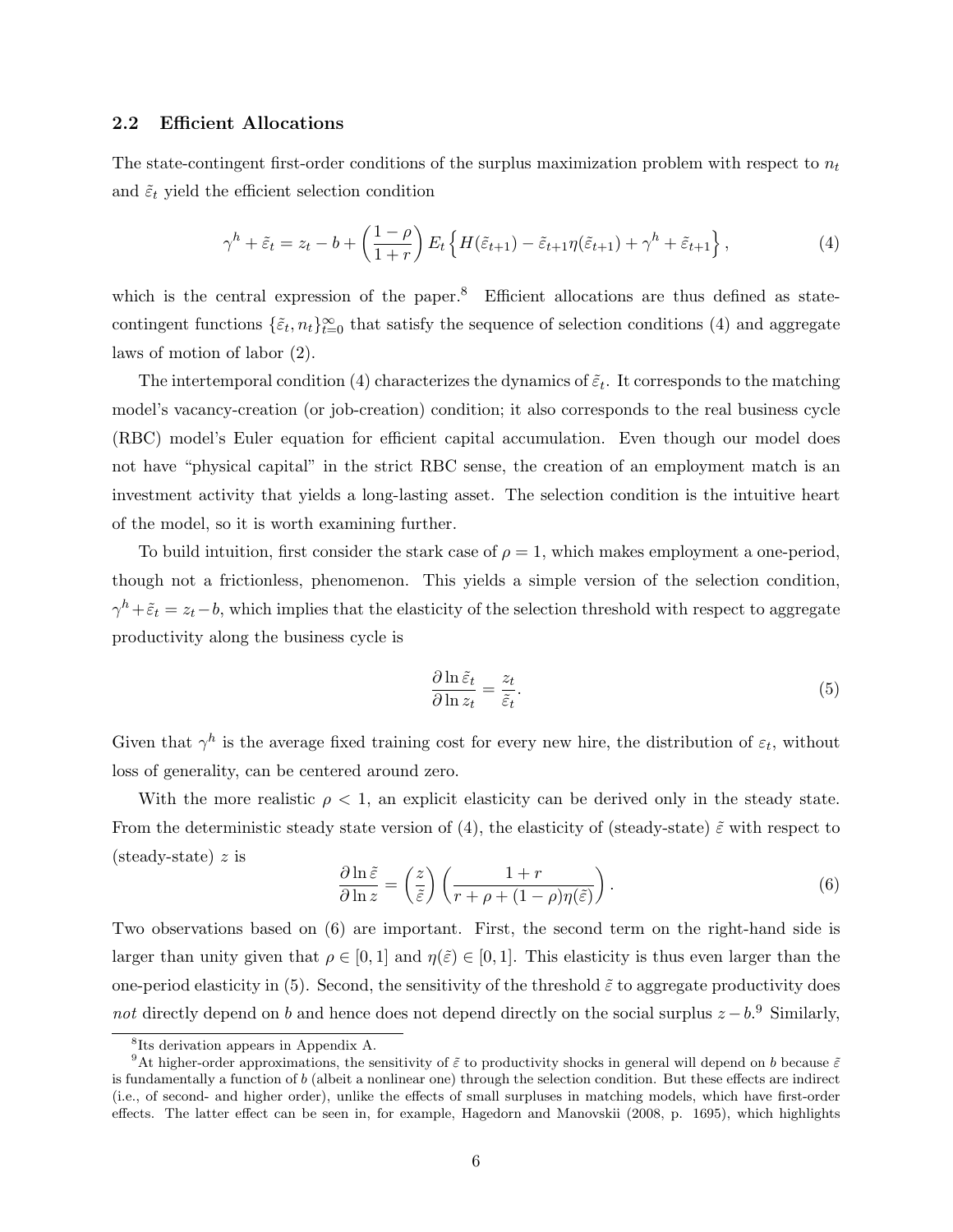#### 2.2 Efficient Allocations

The state-contingent first-order conditions of the surplus maximization problem with respect to  $n_t$ and  $\tilde{\varepsilon}_t$  yield the efficient selection condition

$$
\gamma^h + \tilde{\varepsilon}_t = z_t - b + \left(\frac{1-\rho}{1+r}\right) E_t \left\{ H(\tilde{\varepsilon}_{t+1}) - \tilde{\varepsilon}_{t+1} \eta(\tilde{\varepsilon}_{t+1}) + \gamma^h + \tilde{\varepsilon}_{t+1} \right\},\tag{4}
$$

which is the central expression of the paper.<sup>8</sup> Efficient allocations are thus defined as statecontingent functions  $\{\tilde{\varepsilon}_t, n_t\}_{t=0}^{\infty}$  that satisfy the sequence of selection conditions (4) and aggregate laws of motion of labor (2).

The intertemporal condition (4) characterizes the dynamics of  $\tilde{\varepsilon}_t$ . It corresponds to the matching model's vacancy-creation (or job-creation) condition; it also corresponds to the real business cycle (RBC) model's Euler equation for efficient capital accumulation. Even though our model does not have "physical capital" in the strict RBC sense, the creation of an employment match is an investment activity that yields a long-lasting asset. The selection condition is the intuitive heart of the model, so it is worth examining further.

To build intuition, first consider the stark case of  $\rho = 1$ , which makes employment a one-period, though not a frictionless, phenomenon. This yields a simple version of the selection condition,  $\gamma^h + \tilde{\varepsilon}_t = z_t - b$ , which implies that the elasticity of the selection threshold with respect to aggregate productivity along the business cycle is

$$
\frac{\partial \ln \tilde{\varepsilon}_t}{\partial \ln z_t} = \frac{z_t}{\tilde{\varepsilon}_t}.\tag{5}
$$

Given that  $\gamma^h$  is the average fixed training cost for every new hire, the distribution of  $\varepsilon_t$ , without loss of generality, can be centered around zero.

With the more realistic  $\rho < 1$ , an explicit elasticity can be derived only in the steady state. From the deterministic steady state version of (4), the elasticity of (steady-state)  $\tilde{\varepsilon}$  with respect to (steady-state)  $z$  is

$$
\frac{\partial \ln \tilde{\varepsilon}}{\partial \ln z} = \left(\frac{z}{\tilde{\varepsilon}}\right) \left(\frac{1+r}{r+\rho+(1-\rho)\eta(\tilde{\varepsilon})}\right). \tag{6}
$$

Two observations based on (6) are important. First, the second term on the right-hand side is larger than unity given that  $\rho \in [0,1]$  and  $\eta(\tilde{\varepsilon}) \in [0,1]$ . This elasticity is thus even larger than the one-period elasticity in (5). Second, the sensitivity of the threshold  $\tilde{\varepsilon}$  to aggregate productivity does not directly depend on b and hence does not depend directly on the social surplus  $z - b$ .<sup>9</sup> Similarly,

<sup>8</sup> Its derivation appears in Appendix A.

<sup>&</sup>lt;sup>9</sup>At higher-order approximations, the sensitivity of  $\tilde{\varepsilon}$  to productivity shocks in general will depend on b because  $\tilde{\varepsilon}$ is fundamentally a function of b (albeit a nonlinear one) through the selection condition. But these effects are indirect (i.e., of second- and higher order), unlike the effects of small surpluses in matching models, which have first-order effects. The latter effect can be seen in, for example, Hagedorn and Manovskii (2008, p. 1695), which highlights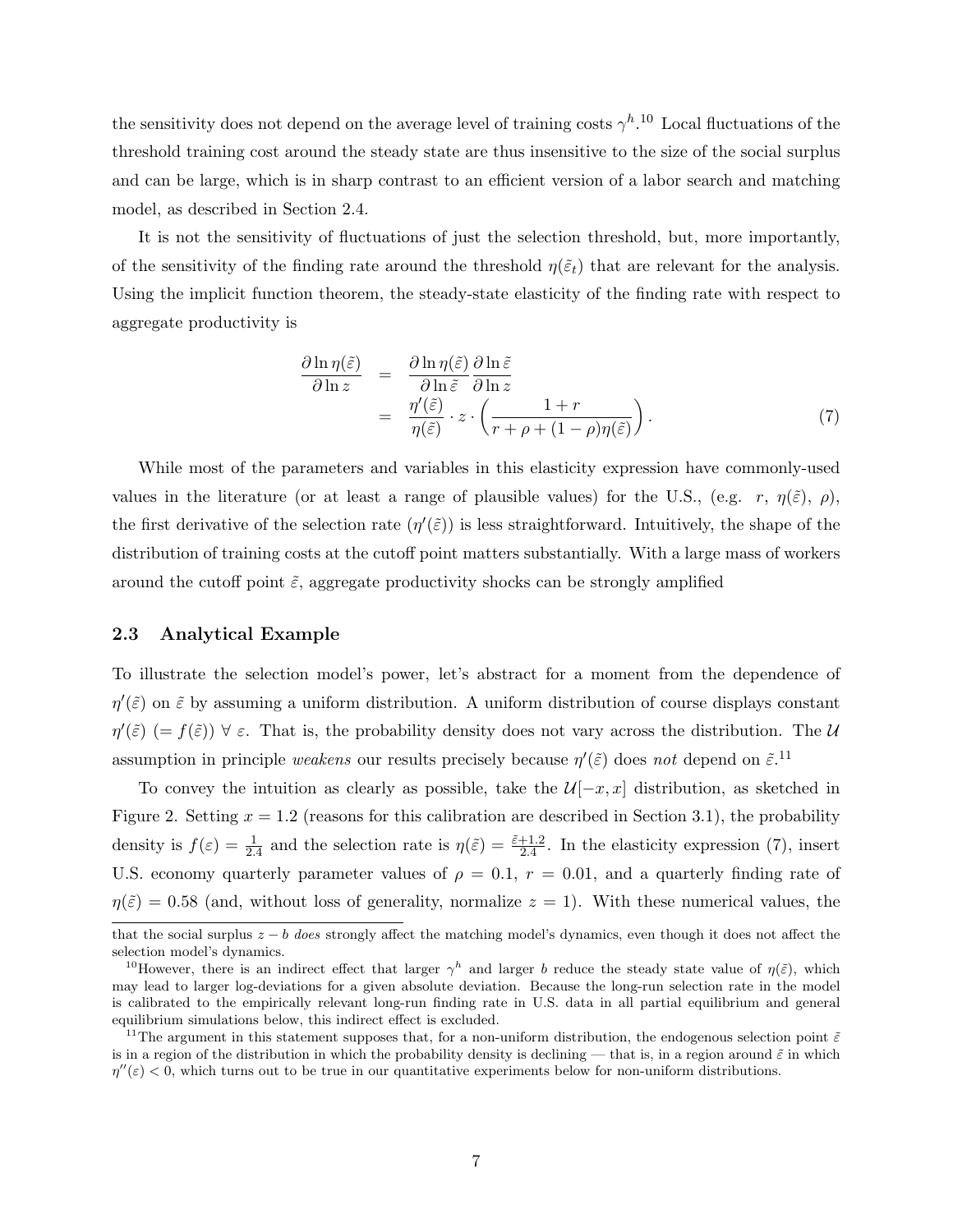the sensitivity does not depend on the average level of training costs  $\gamma^{h}$ .<sup>10</sup> Local fluctuations of the threshold training cost around the steady state are thus insensitive to the size of the social surplus and can be large, which is in sharp contrast to an efficient version of a labor search and matching model, as described in Section 2.4.

It is not the sensitivity of fluctuations of just the selection threshold, but, more importantly, of the sensitivity of the finding rate around the threshold  $\eta(\tilde{\varepsilon}_t)$  that are relevant for the analysis. Using the implicit function theorem, the steady-state elasticity of the finding rate with respect to aggregate productivity is

$$
\frac{\partial \ln \eta(\tilde{\varepsilon})}{\partial \ln z} = \frac{\partial \ln \eta(\tilde{\varepsilon})}{\partial \ln \tilde{\varepsilon}} \frac{\partial \ln \tilde{\varepsilon}}{\partial \ln z} \n= \frac{\eta'(\tilde{\varepsilon})}{\eta(\tilde{\varepsilon})} \cdot z \cdot \left( \frac{1+r}{r+\rho+(1-\rho)\eta(\tilde{\varepsilon})} \right).
$$
\n(7)

While most of the parameters and variables in this elasticity expression have commonly-used values in the literature (or at least a range of plausible values) for the U.S., (e.g. r,  $\eta(\tilde{\varepsilon})$ ,  $\rho$ ), the first derivative of the selection rate  $(\eta'(\tilde{\varepsilon}))$  is less straightforward. Intuitively, the shape of the distribution of training costs at the cutoff point matters substantially. With a large mass of workers around the cutoff point  $\tilde{\varepsilon}$ , aggregate productivity shocks can be strongly amplified

#### 2.3 Analytical Example

To illustrate the selection model's power, let's abstract for a moment from the dependence of  $\eta'(\tilde{\varepsilon})$  on  $\tilde{\varepsilon}$  by assuming a uniform distribution. A uniform distribution of course displays constant  $\eta'(\tilde{\varepsilon})$  (=  $f(\tilde{\varepsilon})$ )  $\forall \varepsilon$ . That is, the probability density does not vary across the distribution. The U assumption in principle weakens our results precisely because  $\eta'(\tilde{\varepsilon})$  does not depend on  $\tilde{\varepsilon}$ .<sup>11</sup>

To convey the intuition as clearly as possible, take the  $\mathcal{U}[-x, x]$  distribution, as sketched in Figure 2. Setting  $x = 1.2$  (reasons for this calibration are described in Section 3.1), the probability density is  $f(\varepsilon) = \frac{1}{2.4}$  and the selection rate is  $\eta(\tilde{\varepsilon}) = \frac{\tilde{\varepsilon} + 1.2}{2.4}$ . In the elasticity expression (7), insert U.S. economy quarterly parameter values of  $\rho = 0.1$ ,  $r = 0.01$ , and a quarterly finding rate of  $\eta(\tilde{\varepsilon}) = 0.58$  (and, without loss of generality, normalize  $z = 1$ ). With these numerical values, the

that the social surplus  $z - b$  does strongly affect the matching model's dynamics, even though it does not affect the selection model's dynamics.

<sup>&</sup>lt;sup>10</sup>However, there is an indirect effect that larger  $\gamma^h$  and larger b reduce the steady state value of  $\eta(\tilde{\varepsilon})$ , which may lead to larger log-deviations for a given absolute deviation. Because the long-run selection rate in the model is calibrated to the empirically relevant long-run finding rate in U.S. data in all partial equilibrium and general equilibrium simulations below, this indirect effect is excluded.

<sup>&</sup>lt;sup>11</sup>The argument in this statement supposes that, for a non-uniform distribution, the endogenous selection point  $\tilde{\varepsilon}$ is in a region of the distribution in which the probability density is declining — that is, in a region around  $\tilde{\varepsilon}$  in which  $\eta''(\varepsilon) < 0$ , which turns out to be true in our quantitative experiments below for non-uniform distributions.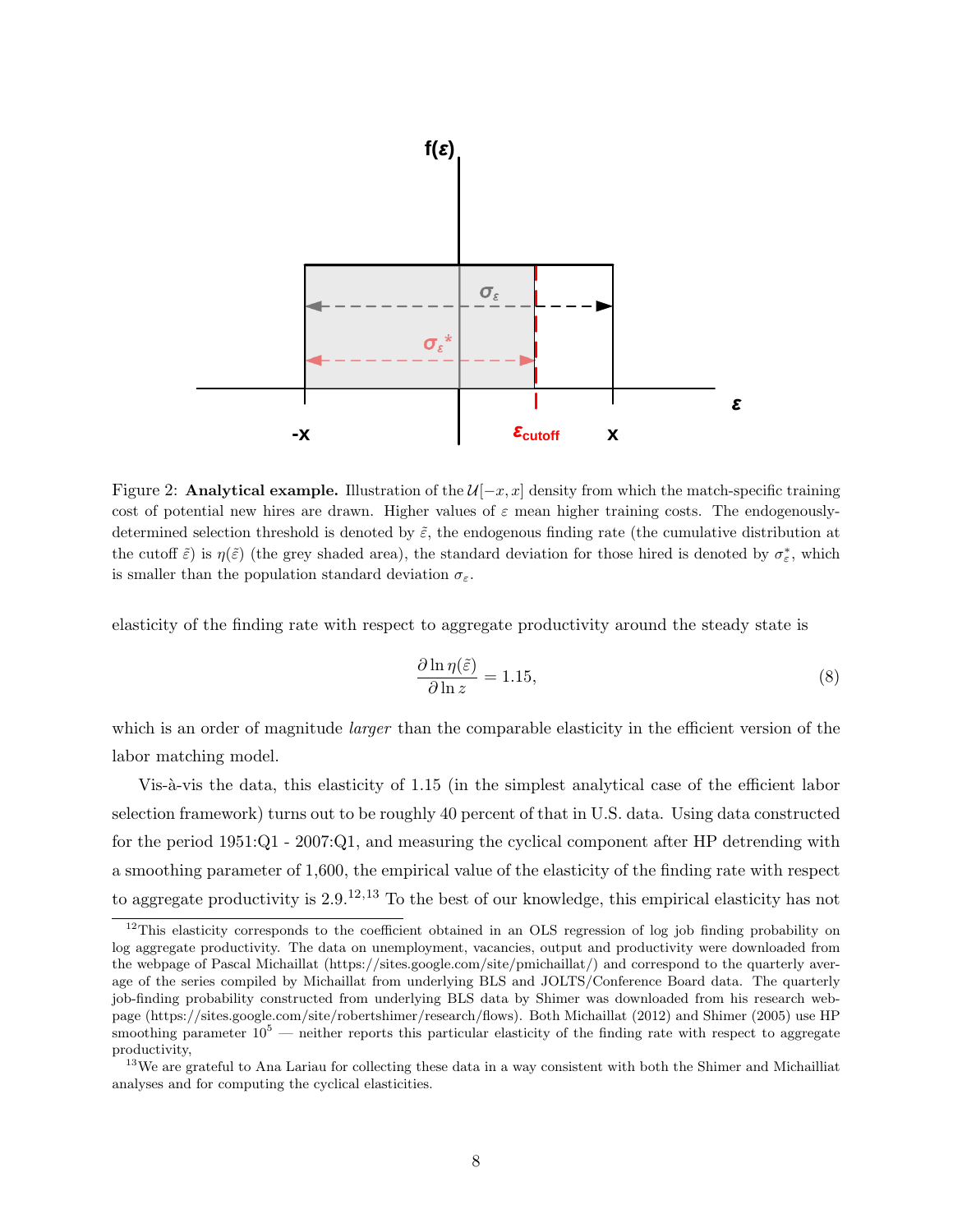

Figure 2: Analytical example. Illustration of the  $\mathcal{U}[-x, x]$  density from which the match-specific training cost of potential new hires are drawn. Higher values of  $\varepsilon$  mean higher training costs. The endogenouslydetermined selection threshold is denoted by  $\tilde{\varepsilon}$ , the endogenous finding rate (the cumulative distribution at the cutoff  $\tilde{\varepsilon}$ ) is  $\eta(\tilde{\varepsilon})$  (the grey shaded area), the standard deviation for those hired is denoted by  $\sigma_{\varepsilon}^*$ , which is smaller than the population standard deviation  $\sigma_{\varepsilon}$ .

elasticity of the finding rate with respect to aggregate productivity around the steady state is

$$
\frac{\partial \ln \eta(\tilde{\varepsilon})}{\partial \ln z} = 1.15,\tag{8}
$$

which is an order of magnitude *larger* than the comparable elasticity in the efficient version of the labor matching model.

Vis-à-vis the data, this elasticity of 1.15 (in the simplest analytical case of the efficient labor selection framework) turns out to be roughly 40 percent of that in U.S. data. Using data constructed for the period 1951:Q1 - 2007:Q1, and measuring the cyclical component after HP detrending with a smoothing parameter of 1,600, the empirical value of the elasticity of the finding rate with respect to aggregate productivity is  $2.9^{12,13}$  To the best of our knowledge, this empirical elasticity has not

<sup>&</sup>lt;sup>12</sup>This elasticity corresponds to the coefficient obtained in an OLS regression of log job finding probability on log aggregate productivity. The data on unemployment, vacancies, output and productivity were downloaded from the webpage of Pascal Michaillat (https://sites.google.com/site/pmichaillat/) and correspond to the quarterly average of the series compiled by Michaillat from underlying BLS and JOLTS/Conference Board data. The quarterly job-finding probability constructed from underlying BLS data by Shimer was downloaded from his research webpage (https://sites.google.com/site/robertshimer/research/flows). Both Michaillat (2012) and Shimer (2005) use HP smoothing parameter  $10^5$  — neither reports this particular elasticity of the finding rate with respect to aggregate productivity,

<sup>&</sup>lt;sup>13</sup>We are grateful to Ana Lariau for collecting these data in a way consistent with both the Shimer and Michailliat analyses and for computing the cyclical elasticities.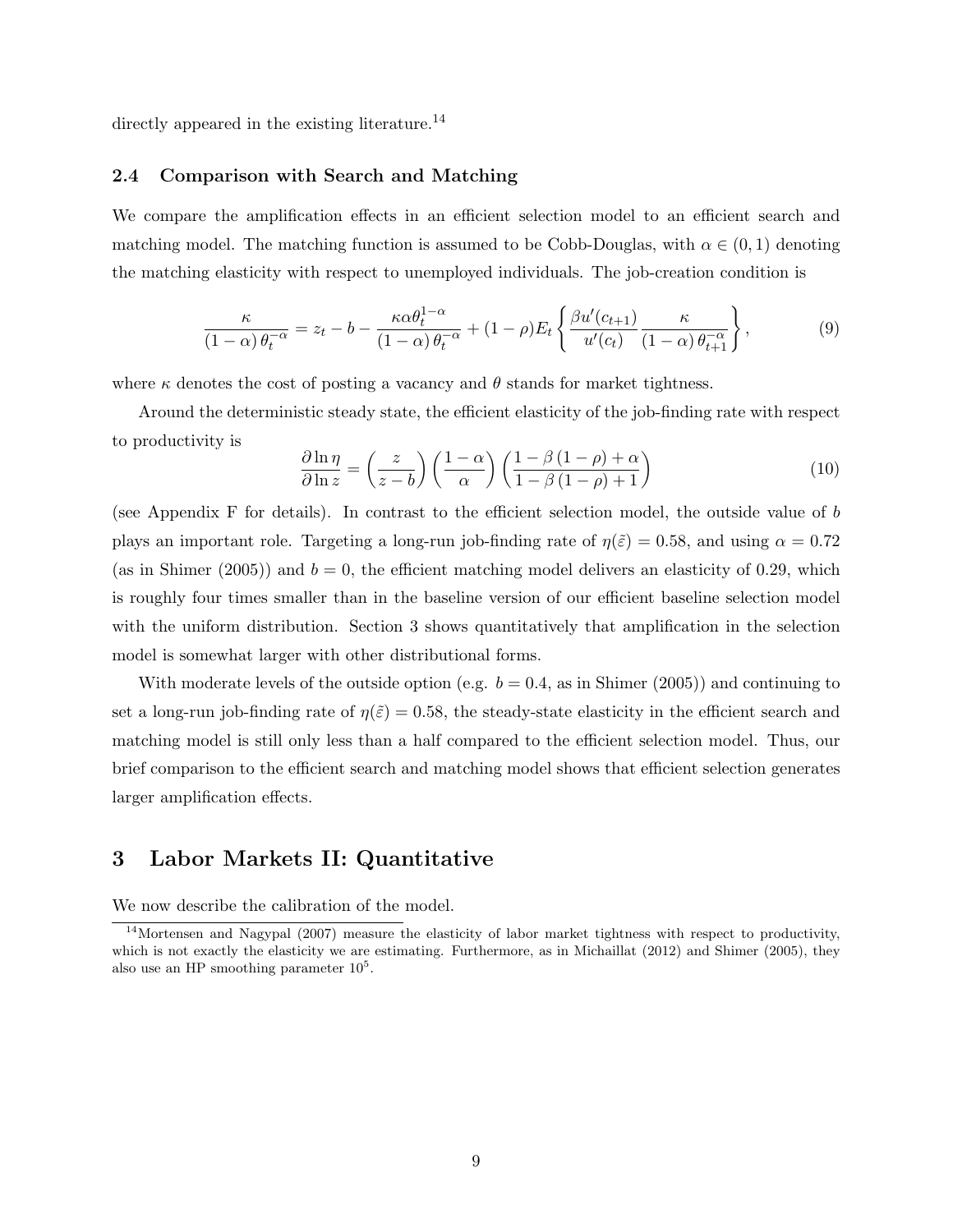directly appeared in the existing literature.<sup>14</sup>

#### 2.4 Comparison with Search and Matching

We compare the amplification effects in an efficient selection model to an efficient search and matching model. The matching function is assumed to be Cobb-Douglas, with  $\alpha \in (0,1)$  denoting the matching elasticity with respect to unemployed individuals. The job-creation condition is

$$
\frac{\kappa}{(1-\alpha)\theta_t^{-\alpha}} = z_t - b - \frac{\kappa \alpha \theta_t^{1-\alpha}}{(1-\alpha)\theta_t^{-\alpha}} + (1-\rho)E_t \left\{ \frac{\beta u'(c_{t+1})}{u'(c_t)} \frac{\kappa}{(1-\alpha)\theta_{t+1}^{-\alpha}} \right\},\tag{9}
$$

where  $\kappa$  denotes the cost of posting a vacancy and  $\theta$  stands for market tightness.

Around the deterministic steady state, the efficient elasticity of the job-finding rate with respect to productivity is

$$
\frac{\partial \ln \eta}{\partial \ln z} = \left(\frac{z}{z-b}\right) \left(\frac{1-\alpha}{\alpha}\right) \left(\frac{1-\beta(1-\rho)+\alpha}{1-\beta(1-\rho)+1}\right) \tag{10}
$$

(see Appendix F for details). In contrast to the efficient selection model, the outside value of b plays an important role. Targeting a long-run job-finding rate of  $\eta(\tilde{\varepsilon}) = 0.58$ , and using  $\alpha = 0.72$ (as in Shimer (2005)) and  $b = 0$ , the efficient matching model delivers an elasticity of 0.29, which is roughly four times smaller than in the baseline version of our efficient baseline selection model with the uniform distribution. Section 3 shows quantitatively that amplification in the selection model is somewhat larger with other distributional forms.

With moderate levels of the outside option (e.g.  $b = 0.4$ , as in Shimer (2005)) and continuing to set a long-run job-finding rate of  $\eta(\tilde{\varepsilon}) = 0.58$ , the steady-state elasticity in the efficient search and matching model is still only less than a half compared to the efficient selection model. Thus, our brief comparison to the efficient search and matching model shows that efficient selection generates larger amplification effects.

# 3 Labor Markets II: Quantitative

We now describe the calibration of the model.

<sup>&</sup>lt;sup>14</sup>Mortensen and Nagypal (2007) measure the elasticity of labor market tightness with respect to productivity, which is not exactly the elasticity we are estimating. Furthermore, as in Michaillat (2012) and Shimer (2005), they also use an HP smoothing parameter  $10<sup>5</sup>$ .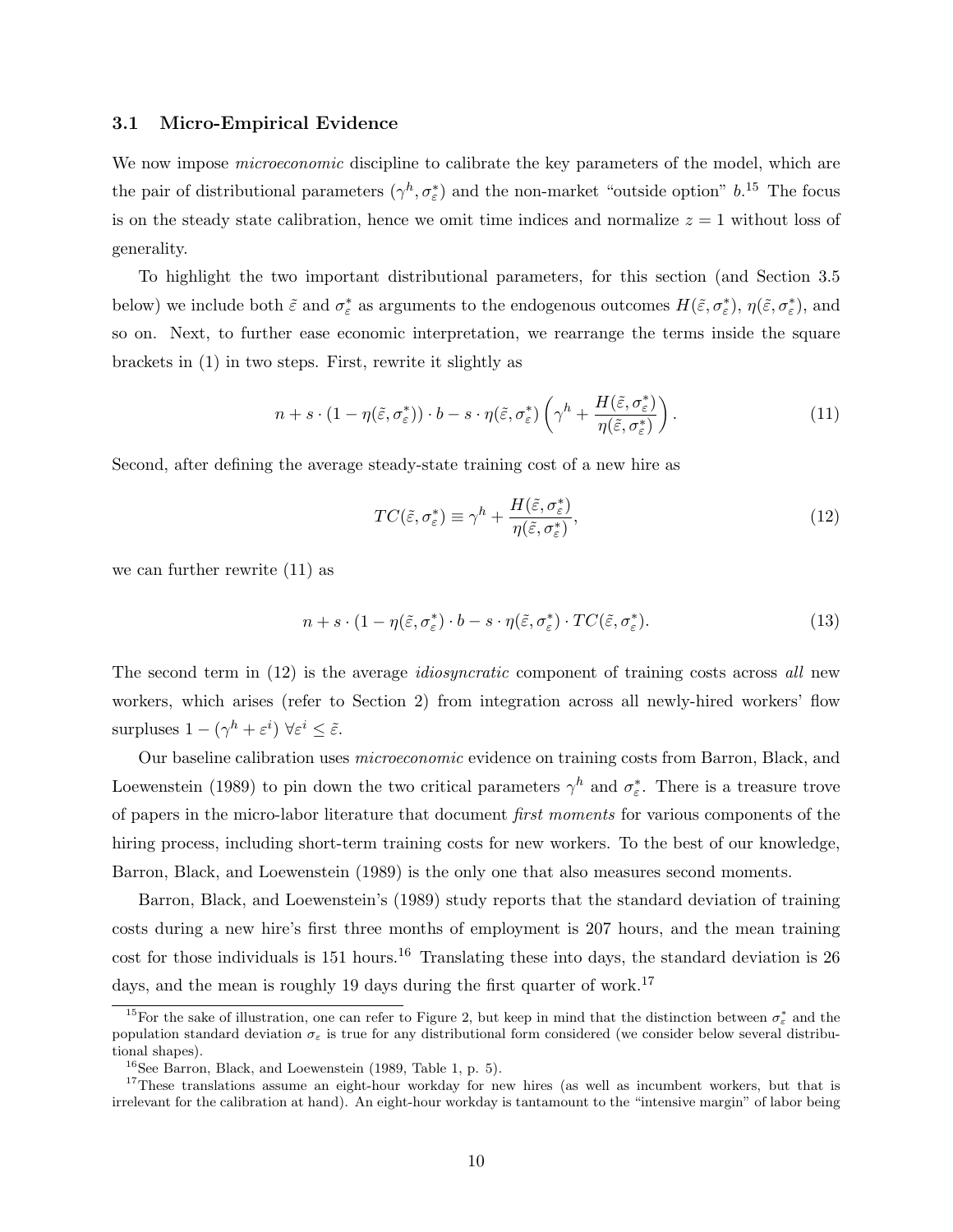#### 3.1 Micro-Empirical Evidence

We now impose *microeconomic* discipline to calibrate the key parameters of the model, which are the pair of distributional parameters  $(\gamma^h, \sigma_\varepsilon^*)$  and the non-market "outside option"  $b$ .<sup>15</sup> The focus is on the steady state calibration, hence we omit time indices and normalize  $z = 1$  without loss of generality.

To highlight the two important distributional parameters, for this section (and Section 3.5 below) we include both  $\tilde{\varepsilon}$  and  $\sigma_{\varepsilon}^*$  as arguments to the endogenous outcomes  $H(\tilde{\varepsilon}, \sigma_{\varepsilon}^*), \eta(\tilde{\varepsilon}, \sigma_{\varepsilon}^*),$  and so on. Next, to further ease economic interpretation, we rearrange the terms inside the square brackets in (1) in two steps. First, rewrite it slightly as

$$
n + s \cdot (1 - \eta(\tilde{\varepsilon}, \sigma_{\varepsilon}^*)) \cdot b - s \cdot \eta(\tilde{\varepsilon}, \sigma_{\varepsilon}^*) \left(\gamma^h + \frac{H(\tilde{\varepsilon}, \sigma_{\varepsilon}^*)}{\eta(\tilde{\varepsilon}, \sigma_{\varepsilon}^*)}\right). \tag{11}
$$

Second, after defining the average steady-state training cost of a new hire as

$$
TC(\tilde{\varepsilon}, \sigma_{\varepsilon}^*) \equiv \gamma^h + \frac{H(\tilde{\varepsilon}, \sigma_{\varepsilon}^*)}{\eta(\tilde{\varepsilon}, \sigma_{\varepsilon}^*)},\tag{12}
$$

we can further rewrite (11) as

$$
n + s \cdot (1 - \eta(\tilde{\varepsilon}, \sigma_{\varepsilon}^*) \cdot b - s \cdot \eta(\tilde{\varepsilon}, \sigma_{\varepsilon}^*) \cdot TC(\tilde{\varepsilon}, \sigma_{\varepsilon}^*). \tag{13}
$$

The second term in (12) is the average *idiosyncratic* component of training costs across all new workers, which arises (refer to Section 2) from integration across all newly-hired workers' flow surpluses  $1 - (\gamma^h + \varepsilon^i) \ \forall \varepsilon^i \leq \tilde{\varepsilon}.$ 

Our baseline calibration uses microeconomic evidence on training costs from Barron, Black, and Loewenstein (1989) to pin down the two critical parameters  $\gamma^h$  and  $\sigma_{\varepsilon}^*$ . There is a treasure trove of papers in the micro-labor literature that document first moments for various components of the hiring process, including short-term training costs for new workers. To the best of our knowledge, Barron, Black, and Loewenstein (1989) is the only one that also measures second moments.

Barron, Black, and Loewenstein's (1989) study reports that the standard deviation of training costs during a new hire's first three months of employment is 207 hours, and the mean training cost for those individuals is  $151$  hours.<sup>16</sup> Translating these into days, the standard deviation is  $26$ days, and the mean is roughly 19 days during the first quarter of work.<sup>17</sup>

<sup>&</sup>lt;sup>15</sup>For the sake of illustration, one can refer to Figure 2, but keep in mind that the distinction between  $\sigma_{\varepsilon}^*$  and the population standard deviation  $\sigma_{\varepsilon}$  is true for any distributional form considered (we consider below several distributional shapes).

 $16$ See Barron, Black, and Loewenstein (1989, Table 1, p. 5).

<sup>&</sup>lt;sup>17</sup>These translations assume an eight-hour workday for new hires (as well as incumbent workers, but that is irrelevant for the calibration at hand). An eight-hour workday is tantamount to the "intensive margin" of labor being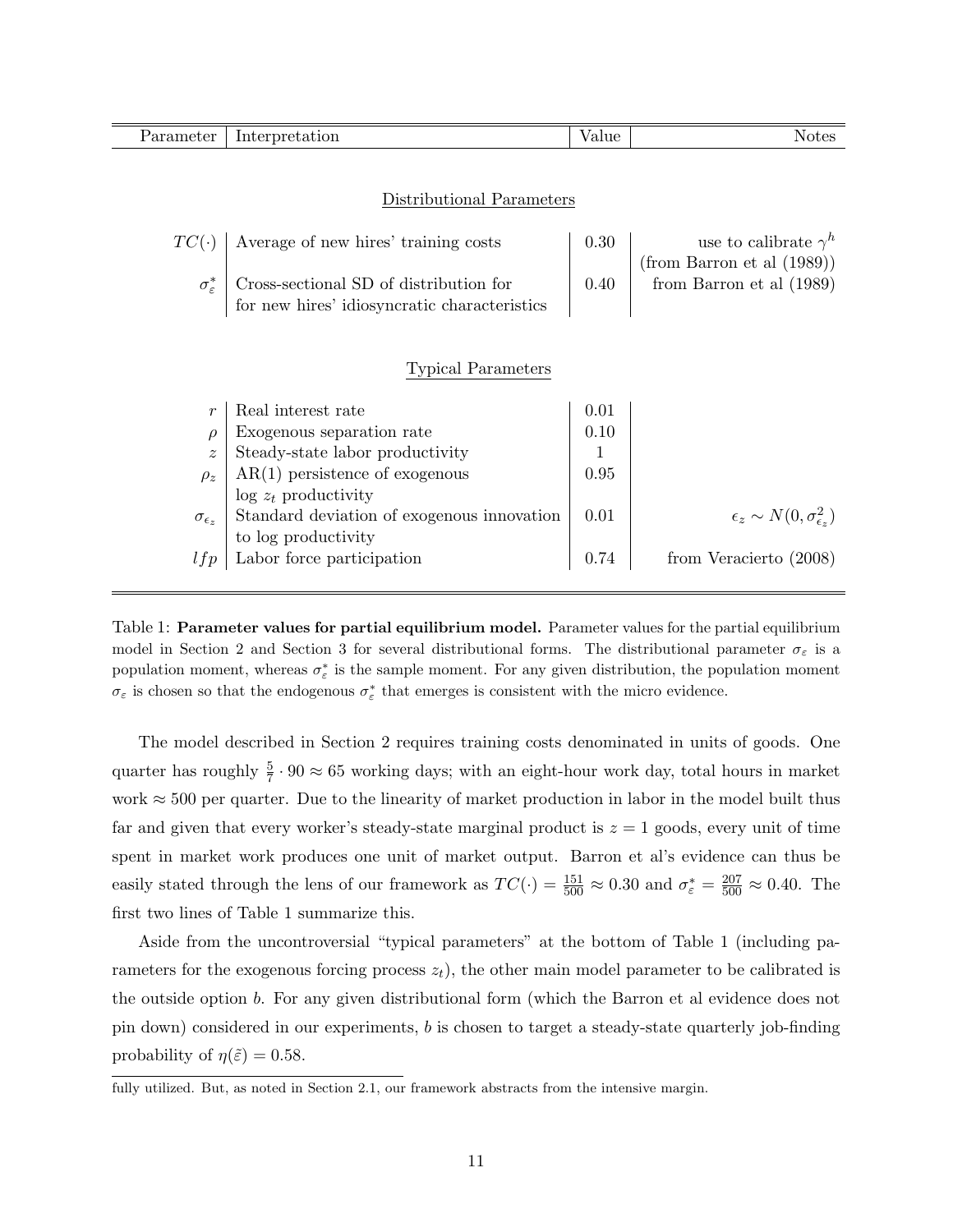| Parameter                 | Interpretation                                   | Value | <b>Notes</b>                                  |  |  |  |
|---------------------------|--------------------------------------------------|-------|-----------------------------------------------|--|--|--|
|                           |                                                  |       |                                               |  |  |  |
|                           |                                                  |       |                                               |  |  |  |
|                           | Distributional Parameters                        |       |                                               |  |  |  |
| $TC(\cdot)$               | Average of new hires' training costs             | 0.30  | use to calibrate $\gamma^h$                   |  |  |  |
|                           |                                                  |       | $(from\;Barron\;et\;al\;(1989))$              |  |  |  |
| $\sigma_{\varepsilon}^*$  | Cross-sectional SD of distribution for           | 0.40  | from Barron et al (1989)                      |  |  |  |
|                           | for new hires' idiosyncratic characteristics     |       |                                               |  |  |  |
|                           |                                                  |       |                                               |  |  |  |
|                           |                                                  |       |                                               |  |  |  |
| <b>Typical Parameters</b> |                                                  |       |                                               |  |  |  |
| $\boldsymbol{r}$          | Real interest rate                               | 0.01  |                                               |  |  |  |
| $\rho$                    | Exogenous separation rate                        | 0.10  |                                               |  |  |  |
| $\tilde{z}$               | Steady-state labor productivity                  | 1     |                                               |  |  |  |
| $\rho_z$                  | $AR(1)$ persistence of exogenous                 | 0.95  |                                               |  |  |  |
|                           | $\log z_t$ productivity                          |       |                                               |  |  |  |
| $\sigma_{\epsilon_z}$     | Standard deviation of exogenous innovation       | 0.01  | $\epsilon_z \sim N(0, \sigma_{\epsilon_z}^2)$ |  |  |  |
| lfp                       | to log productivity<br>Labor force participation | 0.74  | from Veracierto (2008)                        |  |  |  |
|                           |                                                  |       |                                               |  |  |  |

Table 1: Parameter values for partial equilibrium model. Parameter values for the partial equilibrium model in Section 2 and Section 3 for several distributional forms. The distributional parameter  $\sigma_{\varepsilon}$  is a population moment, whereas  $\sigma_{\varepsilon}^*$  is the sample moment. For any given distribution, the population moment  $\sigma_{\varepsilon}$  is chosen so that the endogenous  $\sigma_{\varepsilon}^*$  that emerges is consistent with the micro evidence.

The model described in Section 2 requires training costs denominated in units of goods. One quarter has roughly  $\frac{5}{7} \cdot 90 \approx 65$  working days; with an eight-hour work day, total hours in market work  $\approx$  500 per quarter. Due to the linearity of market production in labor in the model built thus far and given that every worker's steady-state marginal product is  $z = 1$  goods, every unit of time spent in market work produces one unit of market output. Barron et al's evidence can thus be easily stated through the lens of our framework as  $TC(\cdot) = \frac{151}{500} \approx 0.30$  and  $\sigma_{\varepsilon}^* = \frac{207}{500} \approx 0.40$ . The first two lines of Table 1 summarize this.

Aside from the uncontroversial "typical parameters" at the bottom of Table 1 (including parameters for the exogenous forcing process  $z_t$ , the other main model parameter to be calibrated is the outside option b. For any given distributional form (which the Barron et al evidence does not pin down) considered in our experiments, b is chosen to target a steady-state quarterly job-finding probability of  $\eta(\tilde{\varepsilon}) = 0.58$ .

fully utilized. But, as noted in Section 2.1, our framework abstracts from the intensive margin.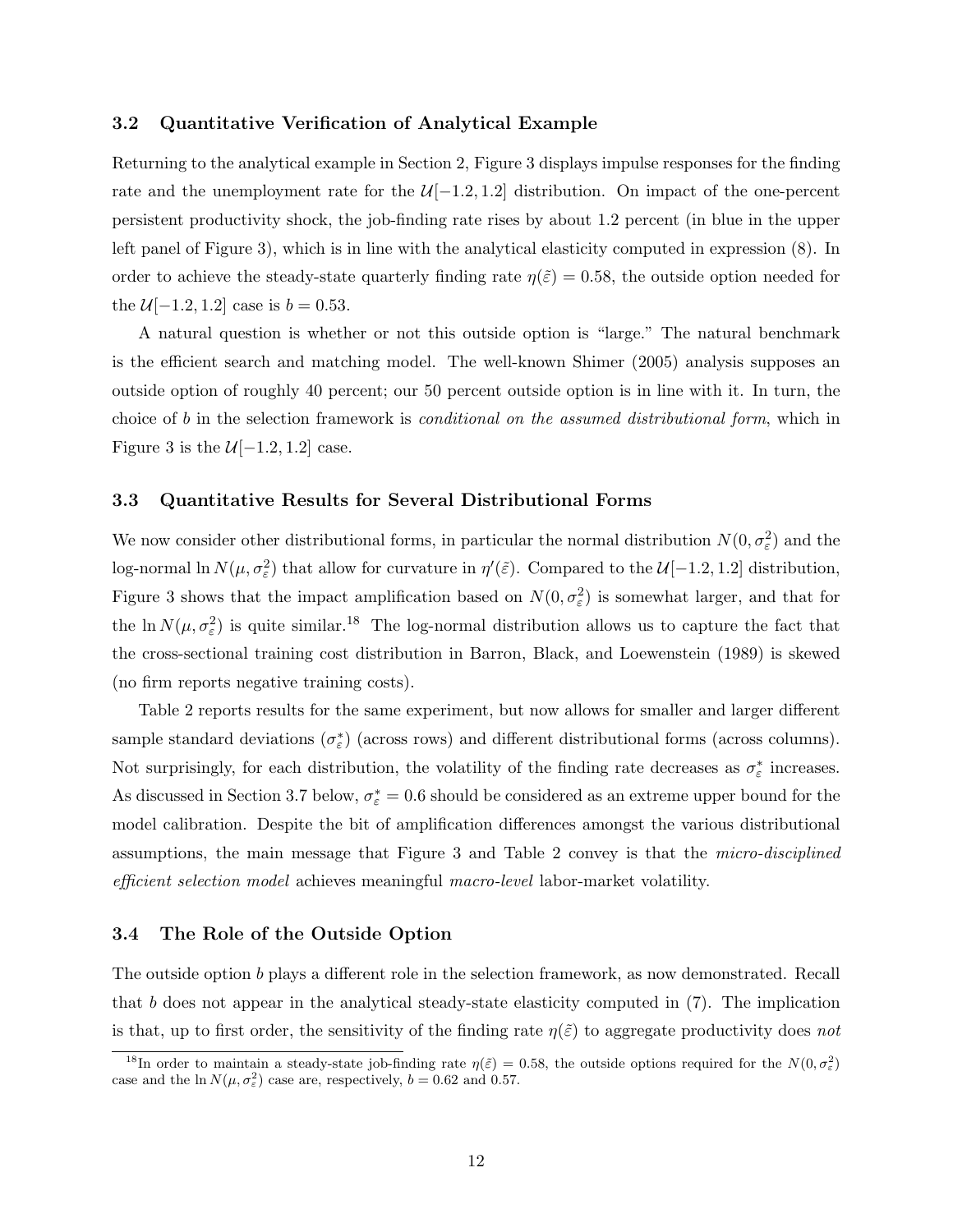#### 3.2 Quantitative Verification of Analytical Example

Returning to the analytical example in Section 2, Figure 3 displays impulse responses for the finding rate and the unemployment rate for the  $\mathcal{U}[-1.2, 1.2]$  distribution. On impact of the one-percent persistent productivity shock, the job-finding rate rises by about 1.2 percent (in blue in the upper left panel of Figure 3), which is in line with the analytical elasticity computed in expression (8). In order to achieve the steady-state quarterly finding rate  $\eta(\tilde{\varepsilon}) = 0.58$ , the outside option needed for the  $U[-1.2, 1.2]$  case is  $b = 0.53$ .

A natural question is whether or not this outside option is "large." The natural benchmark is the efficient search and matching model. The well-known Shimer (2005) analysis supposes an outside option of roughly 40 percent; our 50 percent outside option is in line with it. In turn, the choice of b in the selection framework is *conditional on the assumed distributional form*, which in Figure 3 is the  $\mathcal{U}[-1.2, 1.2]$  case.

#### 3.3 Quantitative Results for Several Distributional Forms

We now consider other distributional forms, in particular the normal distribution  $N(0, \sigma_{\varepsilon}^2)$  and the log-normal ln  $N(\mu, \sigma_{\varepsilon}^2)$  that allow for curvature in  $\eta'(\tilde{\varepsilon})$ . Compared to the  $\mathcal{U}[-1.2, 1.2]$  distribution, Figure 3 shows that the impact amplification based on  $N(0, \sigma_{\varepsilon}^2)$  is somewhat larger, and that for the  $\ln N(\mu, \sigma_{\varepsilon}^2)$  is quite similar.<sup>18</sup> The log-normal distribution allows us to capture the fact that the cross-sectional training cost distribution in Barron, Black, and Loewenstein (1989) is skewed (no firm reports negative training costs).

Table 2 reports results for the same experiment, but now allows for smaller and larger different sample standard deviations  $(\sigma_{\varepsilon}^*)$  (across rows) and different distributional forms (across columns). Not surprisingly, for each distribution, the volatility of the finding rate decreases as  $\sigma_{\varepsilon}^*$  increases. As discussed in Section 3.7 below,  $\sigma_{\varepsilon}^* = 0.6$  should be considered as an extreme upper bound for the model calibration. Despite the bit of amplification differences amongst the various distributional assumptions, the main message that Figure 3 and Table 2 convey is that the micro-disciplined efficient selection model achieves meaningful macro-level labor-market volatility.

#### 3.4 The Role of the Outside Option

The outside option b plays a different role in the selection framework, as now demonstrated. Recall that b does not appear in the analytical steady-state elasticity computed in  $(7)$ . The implication is that, up to first order, the sensitivity of the finding rate  $\eta(\tilde{\varepsilon})$  to aggregate productivity does not

<sup>&</sup>lt;sup>18</sup>In order to maintain a steady-state job-finding rate  $\eta(\tilde{\varepsilon}) = 0.58$ , the outside options required for the  $N(0, \sigma_{\varepsilon})$ case and the  $\ln N(\mu, \sigma_{\varepsilon}^2)$  case are, respectively,  $b = 0.62$  and 0.57.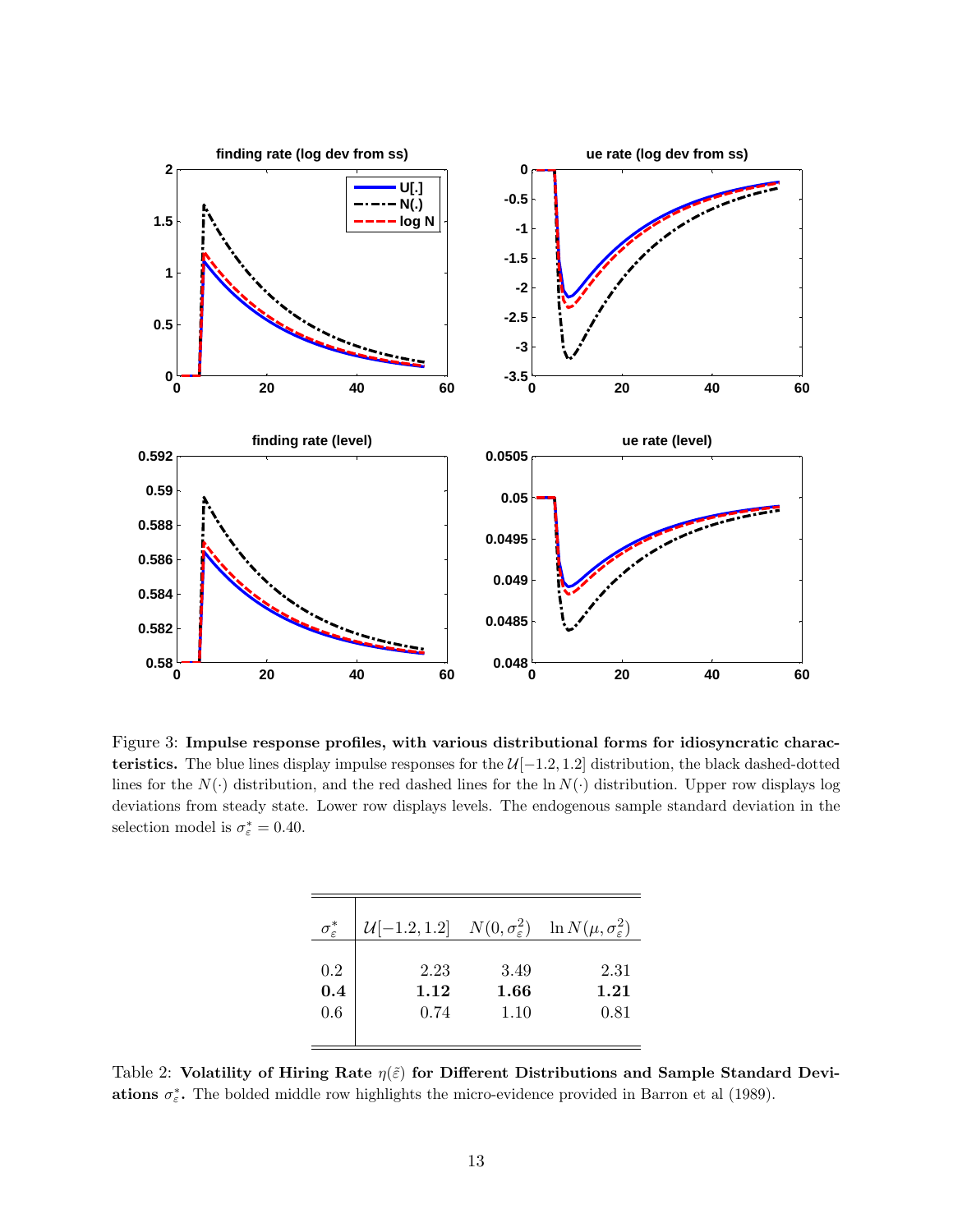

Figure 3: Impulse response profiles, with various distributional forms for idiosyncratic characteristics. The blue lines display impulse responses for the U[−1.2, 1.2] distribution, the black dashed-dotted lines for the  $N(\cdot)$  distribution, and the red dashed lines for the ln  $N(\cdot)$  distribution. Upper row displays log deviations from steady state. Lower row displays levels. The endogenous sample standard deviation in the selection model is  $\sigma_{\varepsilon}^* = 0.40$ .

| $\sigma_{\varepsilon}^*$ | $\mathcal{U}[-1.2, 1.2]$ $N(0, \sigma_{\varepsilon}^2)$ $\ln N(\mu, \sigma_{\varepsilon}^2)$ |      |      |
|--------------------------|----------------------------------------------------------------------------------------------|------|------|
| 0.2                      | 2.23                                                                                         | 3.49 | 2.31 |
| 0.4                      | 1.12                                                                                         | 1.66 | 1.21 |
| 0.6                      | 0.74                                                                                         | 1.10 | 0.81 |

Table 2: Volatility of Hiring Rate  $\eta(\tilde{\varepsilon})$  for Different Distributions and Sample Standard Deviations  $\sigma_{\varepsilon}^*$ . The bolded middle row highlights the micro-evidence provided in Barron et al (1989).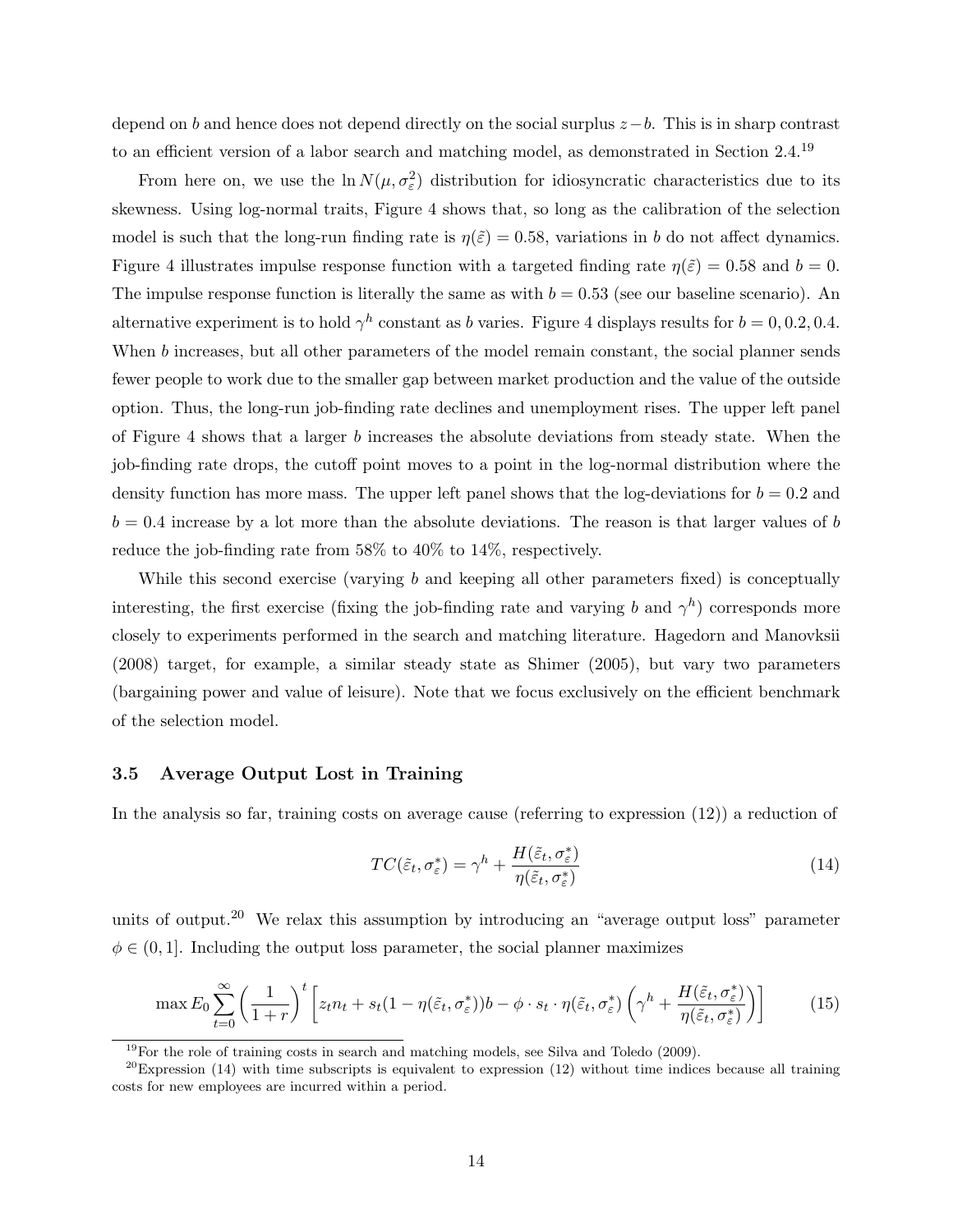depend on b and hence does not depend directly on the social surplus  $z-b$ . This is in sharp contrast to an efficient version of a labor search and matching model, as demonstrated in Section 2.4.<sup>19</sup>

From here on, we use the  $\ln N(\mu, \sigma_{\varepsilon}^2)$  distribution for idiosyncratic characteristics due to its skewness. Using log-normal traits, Figure 4 shows that, so long as the calibration of the selection model is such that the long-run finding rate is  $\eta(\tilde{\varepsilon}) = 0.58$ , variations in b do not affect dynamics. Figure 4 illustrates impulse response function with a targeted finding rate  $\eta(\tilde{\varepsilon}) = 0.58$  and  $b = 0$ . The impulse response function is literally the same as with  $b = 0.53$  (see our baseline scenario). An alternative experiment is to hold  $\gamma^h$  constant as b varies. Figure 4 displays results for  $b = 0, 0.2, 0.4$ . When b increases, but all other parameters of the model remain constant, the social planner sends fewer people to work due to the smaller gap between market production and the value of the outside option. Thus, the long-run job-finding rate declines and unemployment rises. The upper left panel of Figure 4 shows that a larger b increases the absolute deviations from steady state. When the job-finding rate drops, the cutoff point moves to a point in the log-normal distribution where the density function has more mass. The upper left panel shows that the log-deviations for  $b = 0.2$  and  $b = 0.4$  increase by a lot more than the absolute deviations. The reason is that larger values of b reduce the job-finding rate from 58% to 40% to 14%, respectively.

While this second exercise (varying  $b$  and keeping all other parameters fixed) is conceptually interesting, the first exercise (fixing the job-finding rate and varying b and  $\gamma^h$ ) corresponds more closely to experiments performed in the search and matching literature. Hagedorn and Manovksii (2008) target, for example, a similar steady state as Shimer (2005), but vary two parameters (bargaining power and value of leisure). Note that we focus exclusively on the efficient benchmark of the selection model.

#### 3.5 Average Output Lost in Training

In the analysis so far, training costs on average cause (referring to expression (12)) a reduction of

$$
TC(\tilde{\varepsilon}_t, \sigma_{\varepsilon}^*) = \gamma^h + \frac{H(\tilde{\varepsilon}_t, \sigma_{\varepsilon}^*)}{\eta(\tilde{\varepsilon}_t, \sigma_{\varepsilon}^*)}
$$
(14)

units of output.<sup>20</sup> We relax this assumption by introducing an "average output loss" parameter  $\phi \in (0, 1]$ . Including the output loss parameter, the social planner maximizes

$$
\max E_0 \sum_{t=0}^{\infty} \left( \frac{1}{1+r} \right)^t \left[ z_t n_t + s_t (1 - \eta(\tilde{\varepsilon}_t, \sigma_{\varepsilon}^*)) b - \phi \cdot s_t \cdot \eta(\tilde{\varepsilon}_t, \sigma_{\varepsilon}^*) \left( \gamma^h + \frac{H(\tilde{\varepsilon}_t, \sigma_{\varepsilon}^*)}{\eta(\tilde{\varepsilon}_t, \sigma_{\varepsilon}^*)} \right) \right]
$$
(15)

 $19$ For the role of training costs in search and matching models, see Silva and Toledo (2009).

 $^{20}$ Expression (14) with time subscripts is equivalent to expression (12) without time indices because all training costs for new employees are incurred within a period.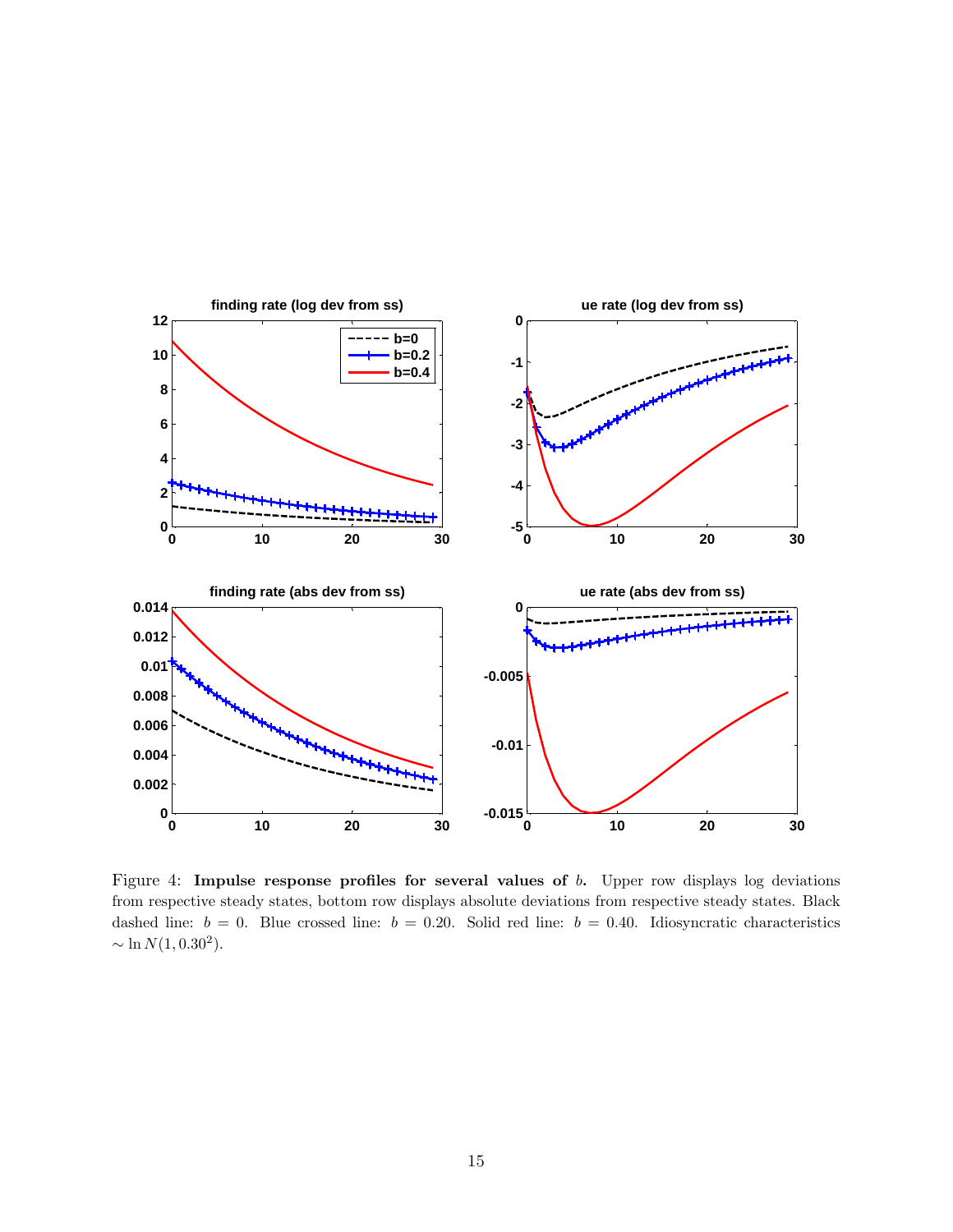

Figure 4: Impulse response profiles for several values of b. Upper row displays log deviations from respective steady states, bottom row displays absolute deviations from respective steady states. Black dashed line:  $b = 0$ . Blue crossed line:  $b = 0.20$ . Solid red line:  $b = 0.40$ . Idiosyncratic characteristics  $\sim \ln N(1, 0.30^2)$ .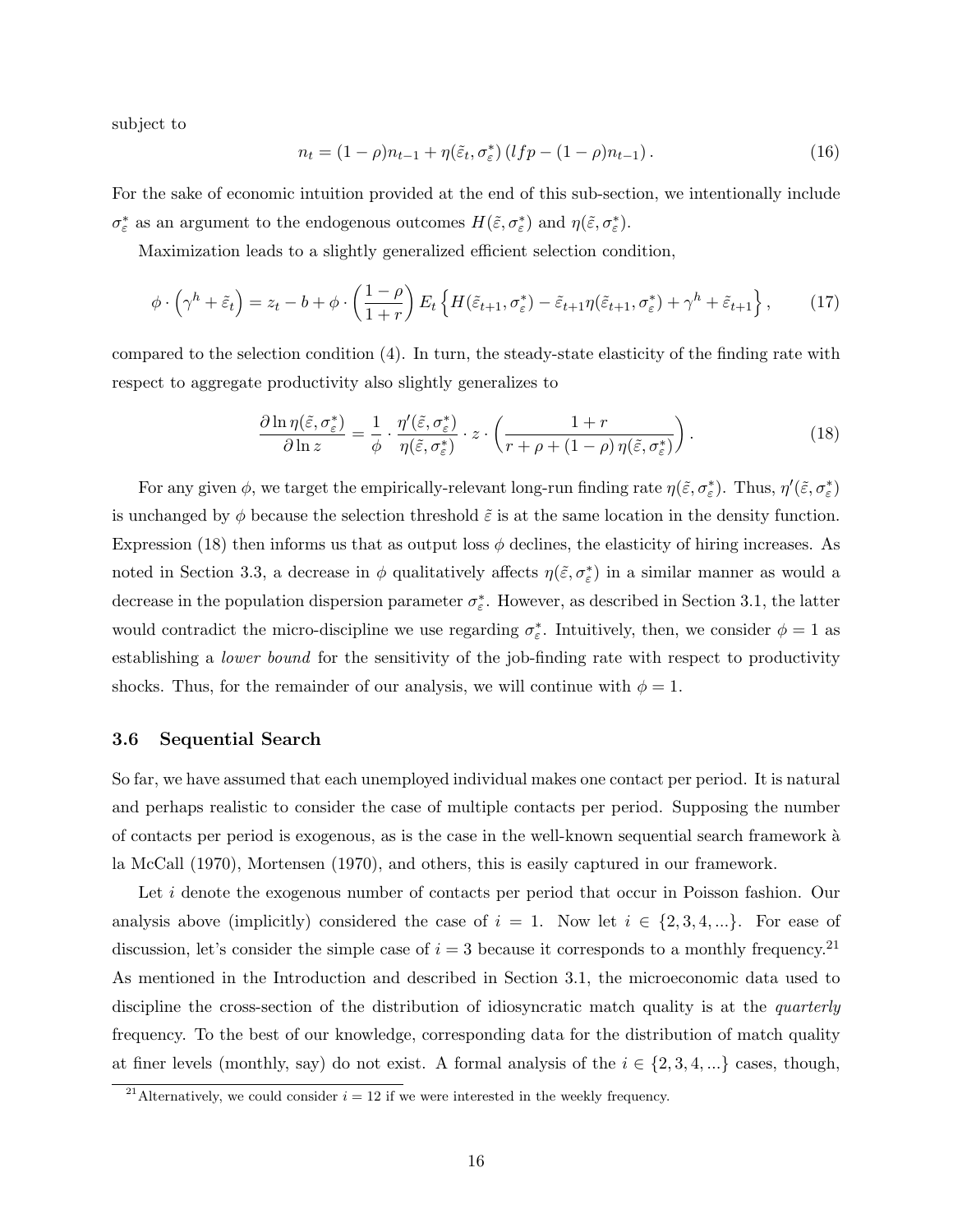subject to

$$
n_t = (1 - \rho)n_{t-1} + \eta(\tilde{\varepsilon}_t, \sigma_{\varepsilon}^*) (lfp - (1 - \rho)n_{t-1}).
$$
\n(16)

For the sake of economic intuition provided at the end of this sub-section, we intentionally include  $\sigma_{\varepsilon}^*$  as an argument to the endogenous outcomes  $H(\tilde{\varepsilon}, \sigma_{\varepsilon}^*)$  and  $\eta(\tilde{\varepsilon}, \sigma_{\varepsilon}^*)$ .

Maximization leads to a slightly generalized efficient selection condition,

$$
\phi \cdot \left(\gamma^h + \tilde{\varepsilon}_t\right) = z_t - b + \phi \cdot \left(\frac{1-\rho}{1+r}\right) E_t \left\{ H(\tilde{\varepsilon}_{t+1}, \sigma^*_{\varepsilon}) - \tilde{\varepsilon}_{t+1} \eta(\tilde{\varepsilon}_{t+1}, \sigma^*_{\varepsilon}) + \gamma^h + \tilde{\varepsilon}_{t+1} \right\},\tag{17}
$$

compared to the selection condition (4). In turn, the steady-state elasticity of the finding rate with respect to aggregate productivity also slightly generalizes to

$$
\frac{\partial \ln \eta(\tilde{\varepsilon}, \sigma_{\varepsilon}^*)}{\partial \ln z} = \frac{1}{\phi} \cdot \frac{\eta'(\tilde{\varepsilon}, \sigma_{\varepsilon}^*)}{\eta(\tilde{\varepsilon}, \sigma_{\varepsilon}^*)} \cdot z \cdot \left( \frac{1+r}{r+\rho+(1-\rho)\,\eta(\tilde{\varepsilon}, \sigma_{\varepsilon}^*)} \right). \tag{18}
$$

For any given  $\phi$ , we target the empirically-relevant long-run finding rate  $\eta(\tilde{\varepsilon}, \sigma_{\varepsilon}^*)$ . Thus,  $\eta'(\tilde{\varepsilon}, \sigma_{\varepsilon}^*)$ is unchanged by  $\phi$  because the selection threshold  $\tilde{\varepsilon}$  is at the same location in the density function. Expression (18) then informs us that as output loss  $\phi$  declines, the elasticity of hiring increases. As noted in Section 3.3, a decrease in  $\phi$  qualitatively affects  $\eta(\tilde{\varepsilon}, \sigma_{\varepsilon}^*)$  in a similar manner as would a decrease in the population dispersion parameter  $\sigma_{\varepsilon}^*$ . However, as described in Section 3.1, the latter would contradict the micro-discipline we use regarding  $\sigma_{\varepsilon}^*$ . Intuitively, then, we consider  $\phi = 1$  as establishing a lower bound for the sensitivity of the job-finding rate with respect to productivity shocks. Thus, for the remainder of our analysis, we will continue with  $\phi = 1$ .

#### 3.6 Sequential Search

So far, we have assumed that each unemployed individual makes one contact per period. It is natural and perhaps realistic to consider the case of multiple contacts per period. Supposing the number of contacts per period is exogenous, as is the case in the well-known sequential search framework `a la McCall (1970), Mortensen (1970), and others, this is easily captured in our framework.

Let i denote the exogenous number of contacts per period that occur in Poisson fashion. Our analysis above (implicitly) considered the case of  $i = 1$ . Now let  $i \in \{2, 3, 4, ...\}$ . For ease of discussion, let's consider the simple case of  $i = 3$  because it corresponds to a monthly frequency.<sup>21</sup> As mentioned in the Introduction and described in Section 3.1, the microeconomic data used to discipline the cross-section of the distribution of idiosyncratic match quality is at the *quarterly* frequency. To the best of our knowledge, corresponding data for the distribution of match quality at finer levels (monthly, say) do not exist. A formal analysis of the  $i \in \{2, 3, 4, ...\}$  cases, though,

<sup>&</sup>lt;sup>21</sup>Alternatively, we could consider  $i = 12$  if we were interested in the weekly frequency.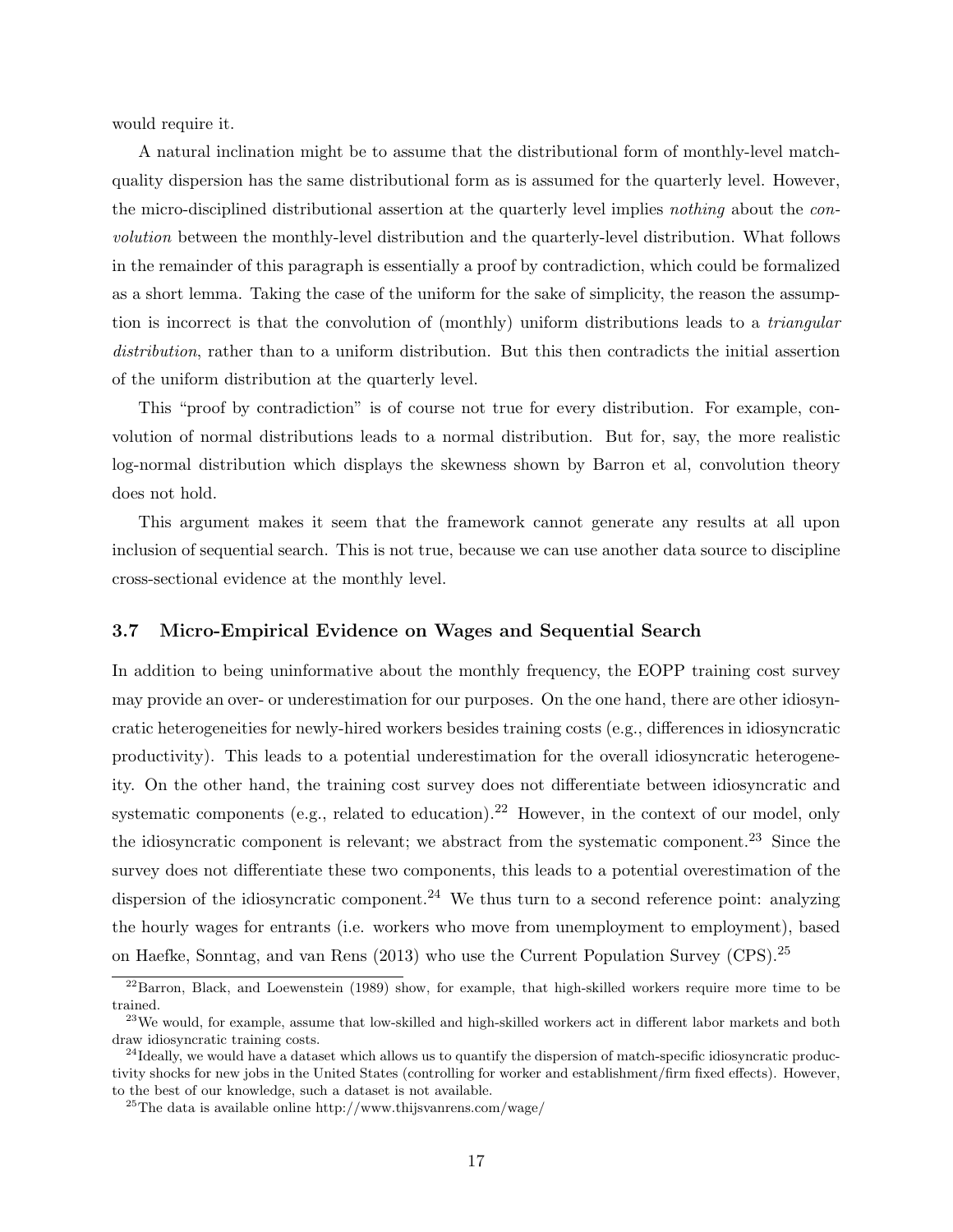would require it.

A natural inclination might be to assume that the distributional form of monthly-level matchquality dispersion has the same distributional form as is assumed for the quarterly level. However, the micro-disciplined distributional assertion at the quarterly level implies nothing about the convolution between the monthly-level distribution and the quarterly-level distribution. What follows in the remainder of this paragraph is essentially a proof by contradiction, which could be formalized as a short lemma. Taking the case of the uniform for the sake of simplicity, the reason the assumption is incorrect is that the convolution of (monthly) uniform distributions leads to a *triangular* distribution, rather than to a uniform distribution. But this then contradicts the initial assertion of the uniform distribution at the quarterly level.

This "proof by contradiction" is of course not true for every distribution. For example, convolution of normal distributions leads to a normal distribution. But for, say, the more realistic log-normal distribution which displays the skewness shown by Barron et al, convolution theory does not hold.

This argument makes it seem that the framework cannot generate any results at all upon inclusion of sequential search. This is not true, because we can use another data source to discipline cross-sectional evidence at the monthly level.

#### 3.7 Micro-Empirical Evidence on Wages and Sequential Search

In addition to being uninformative about the monthly frequency, the EOPP training cost survey may provide an over- or underestimation for our purposes. On the one hand, there are other idiosyncratic heterogeneities for newly-hired workers besides training costs (e.g., differences in idiosyncratic productivity). This leads to a potential underestimation for the overall idiosyncratic heterogeneity. On the other hand, the training cost survey does not differentiate between idiosyncratic and systematic components (e.g., related to education).<sup>22</sup> However, in the context of our model, only the idiosyncratic component is relevant; we abstract from the systematic component.<sup>23</sup> Since the survey does not differentiate these two components, this leads to a potential overestimation of the dispersion of the idiosyncratic component.<sup>24</sup> We thus turn to a second reference point: analyzing the hourly wages for entrants (i.e. workers who move from unemployment to employment), based on Haefke, Sonntag, and van Rens (2013) who use the Current Population Survey (CPS).<sup>25</sup>

<sup>&</sup>lt;sup>22</sup>Barron, Black, and Loewenstein (1989) show, for example, that high-skilled workers require more time to be trained.

 $^{23}$ We would, for example, assume that low-skilled and high-skilled workers act in different labor markets and both draw idiosyncratic training costs.

 $^{24}$ Ideally, we would have a dataset which allows us to quantify the dispersion of match-specific idiosyncratic productivity shocks for new jobs in the United States (controlling for worker and establishment/firm fixed effects). However, to the best of our knowledge, such a dataset is not available.

<sup>&</sup>lt;sup>25</sup>The data is available online http://www.thijsvanrens.com/wage/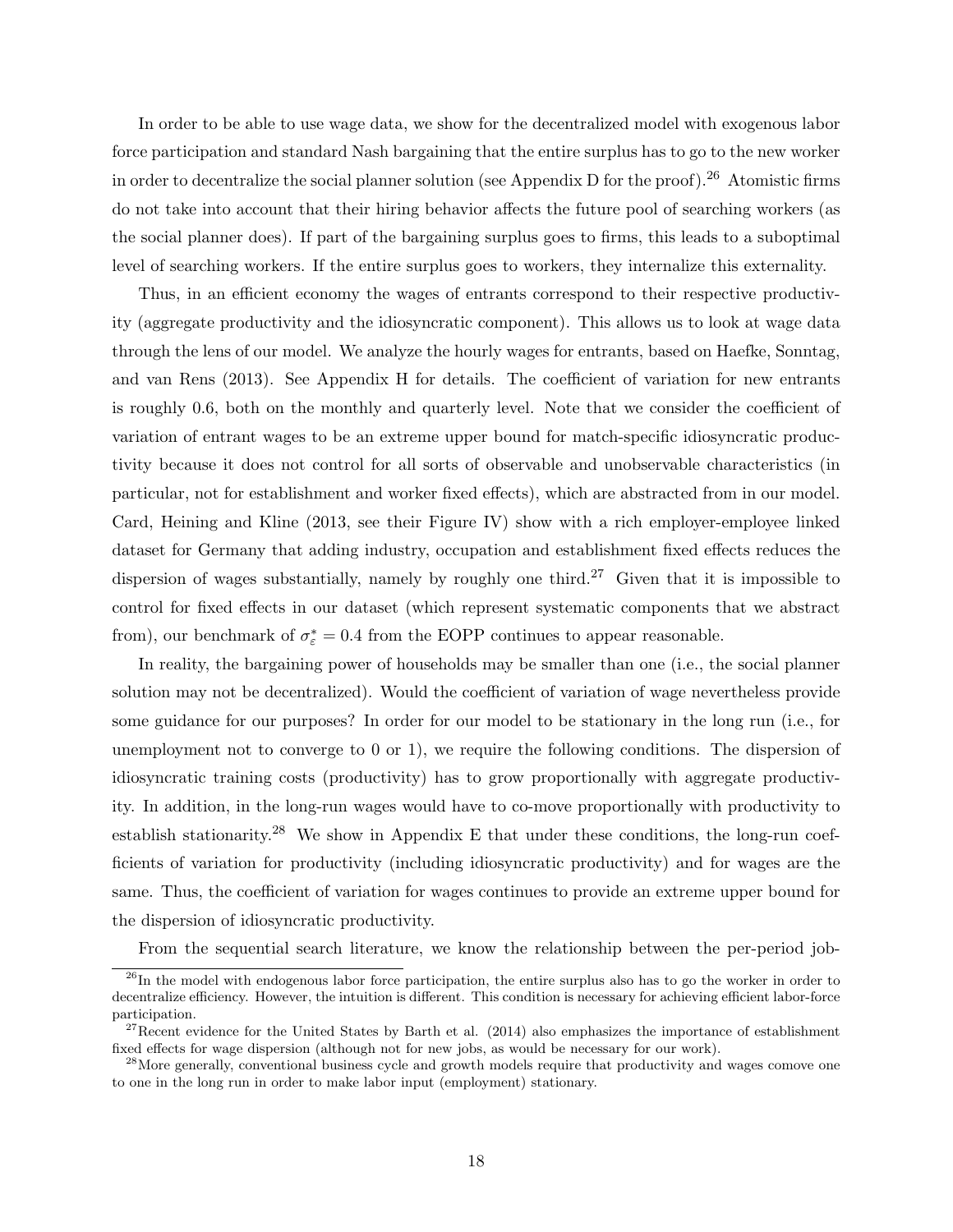In order to be able to use wage data, we show for the decentralized model with exogenous labor force participation and standard Nash bargaining that the entire surplus has to go to the new worker in order to decentralize the social planner solution (see Appendix D for the proof).<sup>26</sup> Atomistic firms do not take into account that their hiring behavior affects the future pool of searching workers (as the social planner does). If part of the bargaining surplus goes to firms, this leads to a suboptimal level of searching workers. If the entire surplus goes to workers, they internalize this externality.

Thus, in an efficient economy the wages of entrants correspond to their respective productivity (aggregate productivity and the idiosyncratic component). This allows us to look at wage data through the lens of our model. We analyze the hourly wages for entrants, based on Haefke, Sonntag, and van Rens (2013). See Appendix H for details. The coefficient of variation for new entrants is roughly 0.6, both on the monthly and quarterly level. Note that we consider the coefficient of variation of entrant wages to be an extreme upper bound for match-specific idiosyncratic productivity because it does not control for all sorts of observable and unobservable characteristics (in particular, not for establishment and worker fixed effects), which are abstracted from in our model. Card, Heining and Kline (2013, see their Figure IV) show with a rich employer-employee linked dataset for Germany that adding industry, occupation and establishment fixed effects reduces the dispersion of wages substantially, namely by roughly one third.<sup>27</sup> Given that it is impossible to control for fixed effects in our dataset (which represent systematic components that we abstract from), our benchmark of  $\sigma_{\varepsilon}^* = 0.4$  from the EOPP continues to appear reasonable.

In reality, the bargaining power of households may be smaller than one (i.e., the social planner solution may not be decentralized). Would the coefficient of variation of wage nevertheless provide some guidance for our purposes? In order for our model to be stationary in the long run (i.e., for unemployment not to converge to 0 or 1), we require the following conditions. The dispersion of idiosyncratic training costs (productivity) has to grow proportionally with aggregate productivity. In addition, in the long-run wages would have to co-move proportionally with productivity to establish stationarity.<sup>28</sup> We show in Appendix E that under these conditions, the long-run coefficients of variation for productivity (including idiosyncratic productivity) and for wages are the same. Thus, the coefficient of variation for wages continues to provide an extreme upper bound for the dispersion of idiosyncratic productivity.

From the sequential search literature, we know the relationship between the per-period job-

 $^{26}$ In the model with endogenous labor force participation, the entire surplus also has to go the worker in order to decentralize efficiency. However, the intuition is different. This condition is necessary for achieving efficient labor-force participation.

<sup>&</sup>lt;sup>27</sup>Recent evidence for the United States by Barth et al.  $(2014)$  also emphasizes the importance of establishment fixed effects for wage dispersion (although not for new jobs, as would be necessary for our work).

 $^{28}$ More generally, conventional business cycle and growth models require that productivity and wages comove one to one in the long run in order to make labor input (employment) stationary.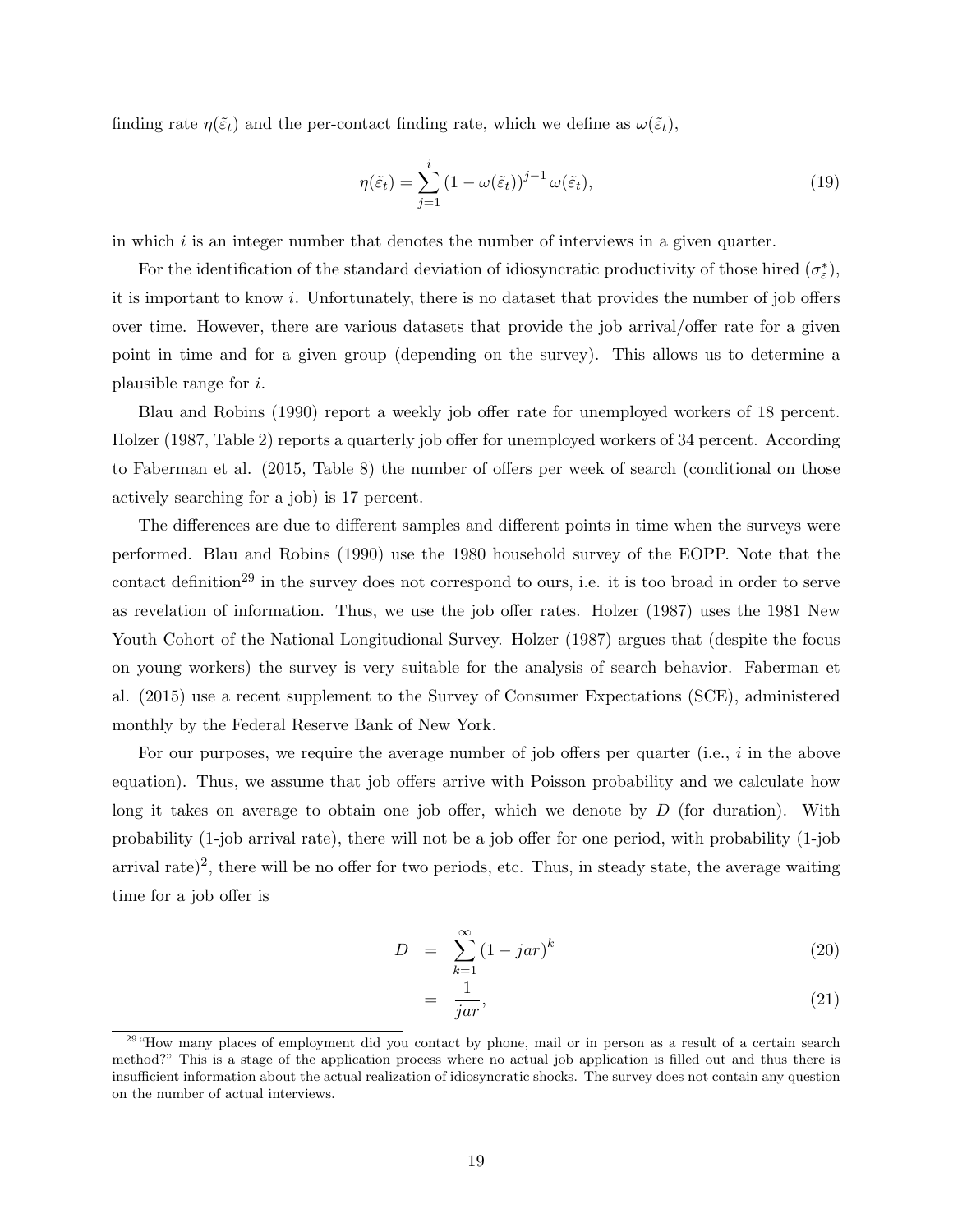finding rate  $\eta(\tilde{\varepsilon}_t)$  and the per-contact finding rate, which we define as  $\omega(\tilde{\varepsilon}_t)$ ,

$$
\eta(\tilde{\varepsilon}_t) = \sum_{j=1}^i (1 - \omega(\tilde{\varepsilon}_t))^{j-1} \omega(\tilde{\varepsilon}_t),\tag{19}
$$

in which  $i$  is an integer number that denotes the number of interviews in a given quarter.

For the identification of the standard deviation of idiosyncratic productivity of those hired  $(\sigma_{\varepsilon}^*)$ , it is important to know i. Unfortunately, there is no dataset that provides the number of job offers over time. However, there are various datasets that provide the job arrival/offer rate for a given point in time and for a given group (depending on the survey). This allows us to determine a plausible range for i.

Blau and Robins (1990) report a weekly job offer rate for unemployed workers of 18 percent. Holzer (1987, Table 2) reports a quarterly job offer for unemployed workers of 34 percent. According to Faberman et al. (2015, Table 8) the number of offers per week of search (conditional on those actively searching for a job) is 17 percent.

The differences are due to different samples and different points in time when the surveys were performed. Blau and Robins (1990) use the 1980 household survey of the EOPP. Note that the contact definition<sup>29</sup> in the survey does not correspond to ours, i.e. it is too broad in order to serve as revelation of information. Thus, we use the job offer rates. Holzer (1987) uses the 1981 New Youth Cohort of the National Longitudional Survey. Holzer (1987) argues that (despite the focus on young workers) the survey is very suitable for the analysis of search behavior. Faberman et al. (2015) use a recent supplement to the Survey of Consumer Expectations (SCE), administered monthly by the Federal Reserve Bank of New York.

For our purposes, we require the average number of job offers per quarter (i.e.,  $i$  in the above equation). Thus, we assume that job offers arrive with Poisson probability and we calculate how long it takes on average to obtain one job offer, which we denote by  $D$  (for duration). With probability (1-job arrival rate), there will not be a job offer for one period, with probability (1-job arrival rate)<sup>2</sup>, there will be no offer for two periods, etc. Thus, in steady state, the average waiting time for a job offer is

$$
D = \sum_{k=1}^{\infty} (1 - jar)^k
$$
 (20)

$$
= \frac{1}{jar},\tag{21}
$$

<sup>&</sup>lt;sup>29</sup> "How many places of employment did you contact by phone, mail or in person as a result of a certain search method?" This is a stage of the application process where no actual job application is filled out and thus there is insufficient information about the actual realization of idiosyncratic shocks. The survey does not contain any question on the number of actual interviews.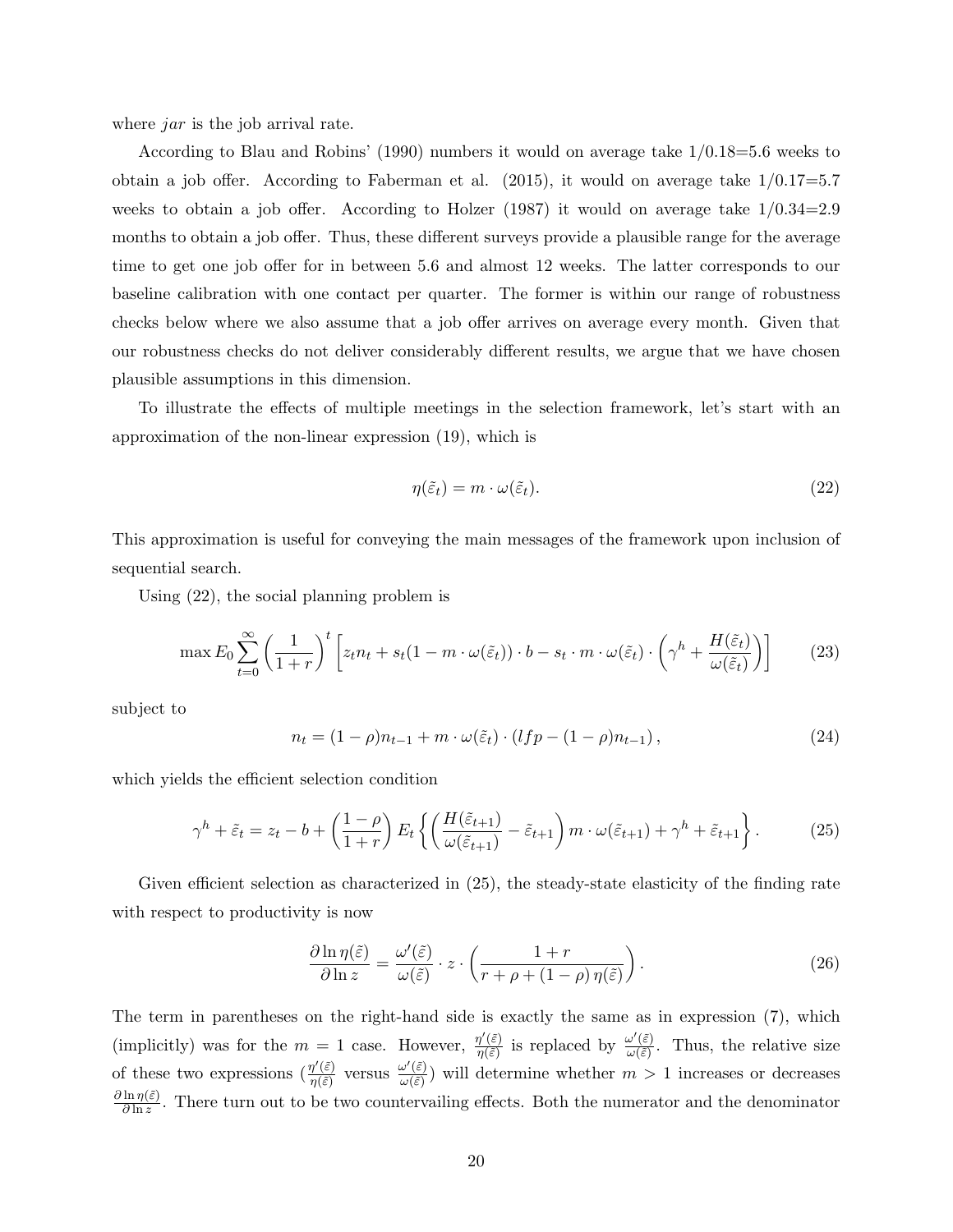where *jar* is the job arrival rate.

According to Blau and Robins' (1990) numbers it would on average take 1/0.18=5.6 weeks to obtain a job offer. According to Faberman et al.  $(2015)$ , it would on average take  $1/0.17=5.7$ weeks to obtain a job offer. According to Holzer  $(1987)$  it would on average take  $1/0.34=2.9$ months to obtain a job offer. Thus, these different surveys provide a plausible range for the average time to get one job offer for in between 5.6 and almost 12 weeks. The latter corresponds to our baseline calibration with one contact per quarter. The former is within our range of robustness checks below where we also assume that a job offer arrives on average every month. Given that our robustness checks do not deliver considerably different results, we argue that we have chosen plausible assumptions in this dimension.

To illustrate the effects of multiple meetings in the selection framework, let's start with an approximation of the non-linear expression (19), which is

$$
\eta(\tilde{\varepsilon}_t) = m \cdot \omega(\tilde{\varepsilon}_t). \tag{22}
$$

This approximation is useful for conveying the main messages of the framework upon inclusion of sequential search.

Using (22), the social planning problem is

$$
\max E_0 \sum_{t=0}^{\infty} \left( \frac{1}{1+r} \right)^t \left[ z_t n_t + s_t (1-m \cdot \omega(\tilde{\varepsilon}_t)) \cdot b - s_t \cdot m \cdot \omega(\tilde{\varepsilon}_t) \cdot \left( \gamma^h + \frac{H(\tilde{\varepsilon}_t)}{\omega(\tilde{\varepsilon}_t)} \right) \right]
$$
(23)

subject to

$$
n_t = (1 - \rho)n_{t-1} + m \cdot \omega(\tilde{\varepsilon}_t) \cdot (lfp - (1 - \rho)n_{t-1}), \qquad (24)
$$

which yields the efficient selection condition

$$
\gamma^h + \tilde{\varepsilon}_t = z_t - b + \left(\frac{1-\rho}{1+r}\right) E_t \left\{ \left(\frac{H(\tilde{\varepsilon}_{t+1})}{\omega(\tilde{\varepsilon}_{t+1})} - \tilde{\varepsilon}_{t+1}\right) m \cdot \omega(\tilde{\varepsilon}_{t+1}) + \gamma^h + \tilde{\varepsilon}_{t+1} \right\}.
$$
 (25)

Given efficient selection as characterized in (25), the steady-state elasticity of the finding rate with respect to productivity is now

$$
\frac{\partial \ln \eta(\tilde{\varepsilon})}{\partial \ln z} = \frac{\omega'(\tilde{\varepsilon})}{\omega(\tilde{\varepsilon})} \cdot z \cdot \left( \frac{1+r}{r+\rho+(1-\rho)\,\eta(\tilde{\varepsilon})} \right). \tag{26}
$$

The term in parentheses on the right-hand side is exactly the same as in expression (7), which (implicitly) was for the  $m = 1$  case. However,  $\frac{\eta'(\tilde{\varepsilon})}{\eta(\tilde{\varepsilon})}$  $\frac{\eta'(\tilde{\varepsilon})}{\eta(\tilde{\varepsilon})}$  is replaced by  $\frac{\omega'(\tilde{\varepsilon})}{\omega(\tilde{\varepsilon})}$  $\frac{\partial^{\alpha}(\varepsilon)}{\partial(\varepsilon)}$ . Thus, the relative size of these two expressions  $\left(\frac{\eta'(\tilde{\varepsilon})}{\eta(\tilde{\varepsilon})}\right)$  $\frac{\eta'(\tilde{\varepsilon})}{\eta(\tilde{\varepsilon})}$  versus  $\frac{\omega'(\tilde{\varepsilon})}{\omega(\tilde{\varepsilon})}$  $\frac{\partial (\varepsilon)}{\partial (\varepsilon)}$  will determine whether  $m > 1$  increases or decreases  $\partial \ln \eta(\tilde{\varepsilon})$  $\frac{\ln \eta(\varepsilon)}{\partial \ln z}$ . There turn out to be two countervailing effects. Both the numerator and the denominator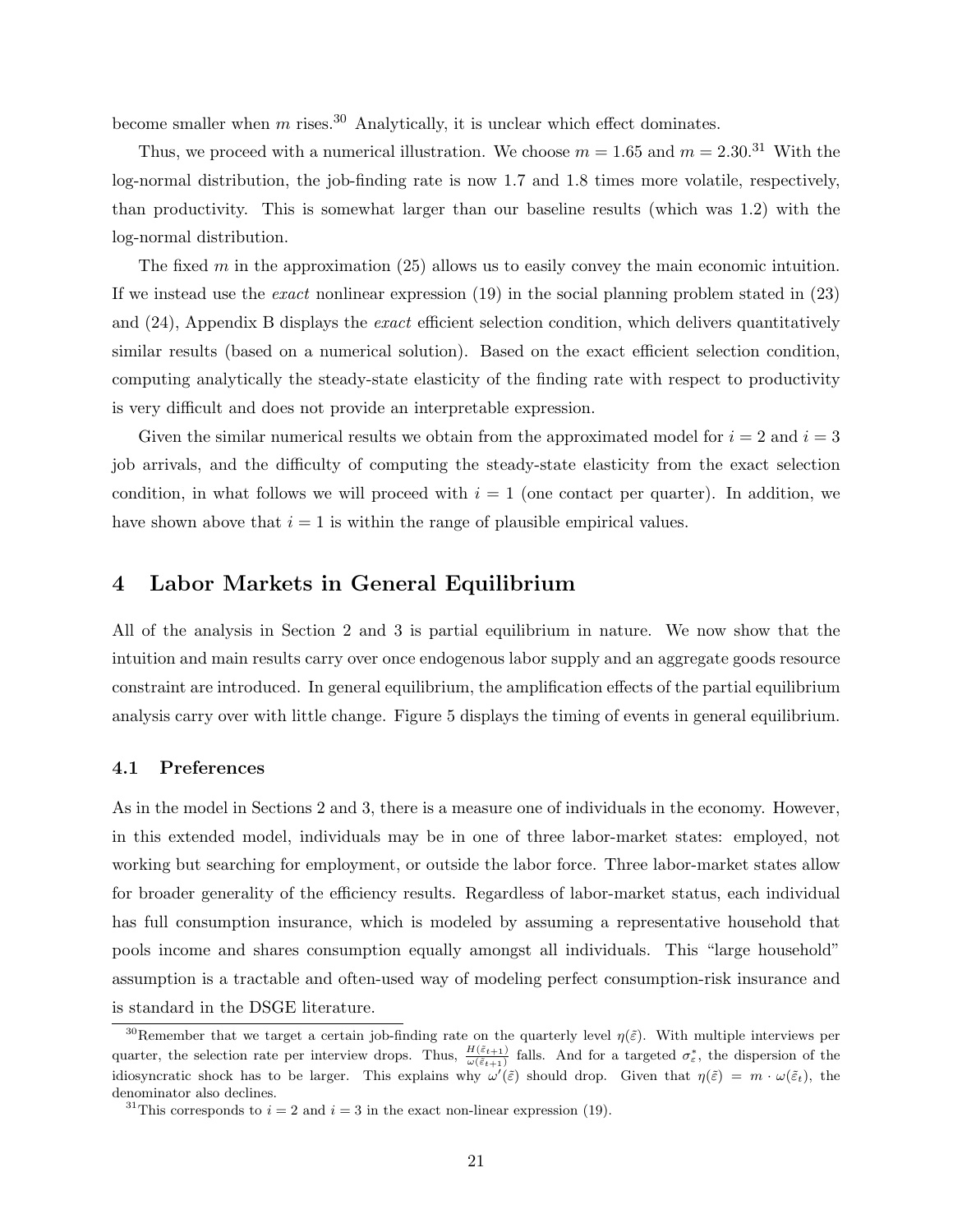become smaller when  $m$  rises.<sup>30</sup> Analytically, it is unclear which effect dominates.

Thus, we proceed with a numerical illustration. We choose  $m = 1.65$  and  $m = 2.30^{31}$  With the log-normal distribution, the job-finding rate is now 1.7 and 1.8 times more volatile, respectively, than productivity. This is somewhat larger than our baseline results (which was 1.2) with the log-normal distribution.

The fixed m in the approximation  $(25)$  allows us to easily convey the main economic intuition. If we instead use the exact nonlinear expression (19) in the social planning problem stated in (23) and (24), Appendix B displays the exact efficient selection condition, which delivers quantitatively similar results (based on a numerical solution). Based on the exact efficient selection condition, computing analytically the steady-state elasticity of the finding rate with respect to productivity is very difficult and does not provide an interpretable expression.

Given the similar numerical results we obtain from the approximated model for  $i = 2$  and  $i = 3$ job arrivals, and the difficulty of computing the steady-state elasticity from the exact selection condition, in what follows we will proceed with  $i = 1$  (one contact per quarter). In addition, we have shown above that  $i = 1$  is within the range of plausible empirical values.

### 4 Labor Markets in General Equilibrium

All of the analysis in Section 2 and 3 is partial equilibrium in nature. We now show that the intuition and main results carry over once endogenous labor supply and an aggregate goods resource constraint are introduced. In general equilibrium, the amplification effects of the partial equilibrium analysis carry over with little change. Figure 5 displays the timing of events in general equilibrium.

#### 4.1 Preferences

As in the model in Sections 2 and 3, there is a measure one of individuals in the economy. However, in this extended model, individuals may be in one of three labor-market states: employed, not working but searching for employment, or outside the labor force. Three labor-market states allow for broader generality of the efficiency results. Regardless of labor-market status, each individual has full consumption insurance, which is modeled by assuming a representative household that pools income and shares consumption equally amongst all individuals. This "large household" assumption is a tractable and often-used way of modeling perfect consumption-risk insurance and is standard in the DSGE literature.

<sup>&</sup>lt;sup>30</sup>Remember that we target a certain job-finding rate on the quarterly level  $\eta(\tilde{\varepsilon})$ . With multiple interviews per quarter, the selection rate per interview drops. Thus,  $\frac{H(\tilde{\varepsilon}_{t+1})}{\omega(\tilde{\varepsilon}_{t+1})}$  falls. And for a targeted  $\sigma_{\varepsilon}^*$ , the dispersion of the idiosyncratic shock has to be larger. This explains why  $\omega'(\tilde{\varepsilon})$  should drop. Given that  $\eta(\tilde{\varepsilon}) = m \cdot \omega(\tilde{\varepsilon}_t)$ , the denominator also declines.

<sup>&</sup>lt;sup>31</sup>This corresponds to  $i = 2$  and  $i = 3$  in the exact non-linear expression (19).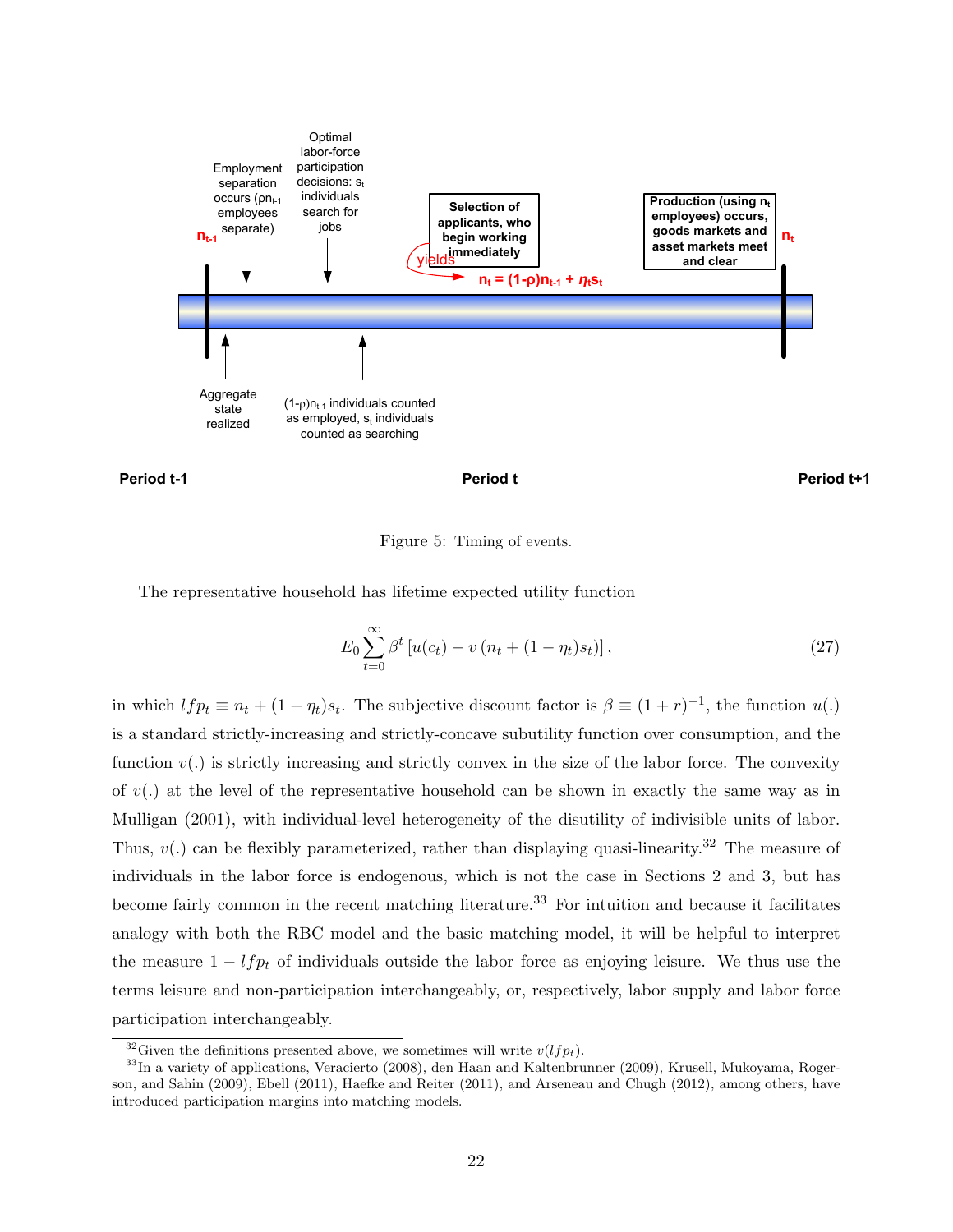





#### Figure 5: Timing of events.

The representative household has lifetime expected utility function

$$
E_0 \sum_{t=0}^{\infty} \beta^t \left[ u(c_t) - v\left(n_t + (1 - \eta_t)s_t\right) \right],\tag{27}
$$

in which  $lfp_t \equiv n_t + (1 - \eta_t)s_t$ . The subjective discount factor is  $\beta \equiv (1 + r)^{-1}$ , the function  $u(.)$ is a standard strictly-increasing and strictly-concave subutility function over consumption, and the function  $v(.)$  is strictly increasing and strictly convex in the size of the labor force. The convexity of  $v(.)$  at the level of the representative household can be shown in exactly the same way as in Mulligan (2001), with individual-level heterogeneity of the disutility of indivisible units of labor. Thus,  $v(.)$  can be flexibly parameterized, rather than displaying quasi-linearity.<sup>32</sup> The measure of individuals in the labor force is endogenous, which is not the case in Sections 2 and 3, but has become fairly common in the recent matching literature.<sup>33</sup> For intuition and because it facilitates analogy with both the RBC model and the basic matching model, it will be helpful to interpret the measure  $1 - lfp_t$  of individuals outside the labor force as enjoying leisure. We thus use the terms leisure and non-participation interchangeably, or, respectively, labor supply and labor force participation interchangeably.

<sup>&</sup>lt;sup>32</sup>Given the definitions presented above, we sometimes will write  $v(lfp_t)$ .

<sup>33</sup>In a variety of applications, Veracierto (2008), den Haan and Kaltenbrunner (2009), Krusell, Mukoyama, Rogerson, and Sahin (2009), Ebell (2011), Haefke and Reiter (2011), and Arseneau and Chugh (2012), among others, have introduced participation margins into matching models.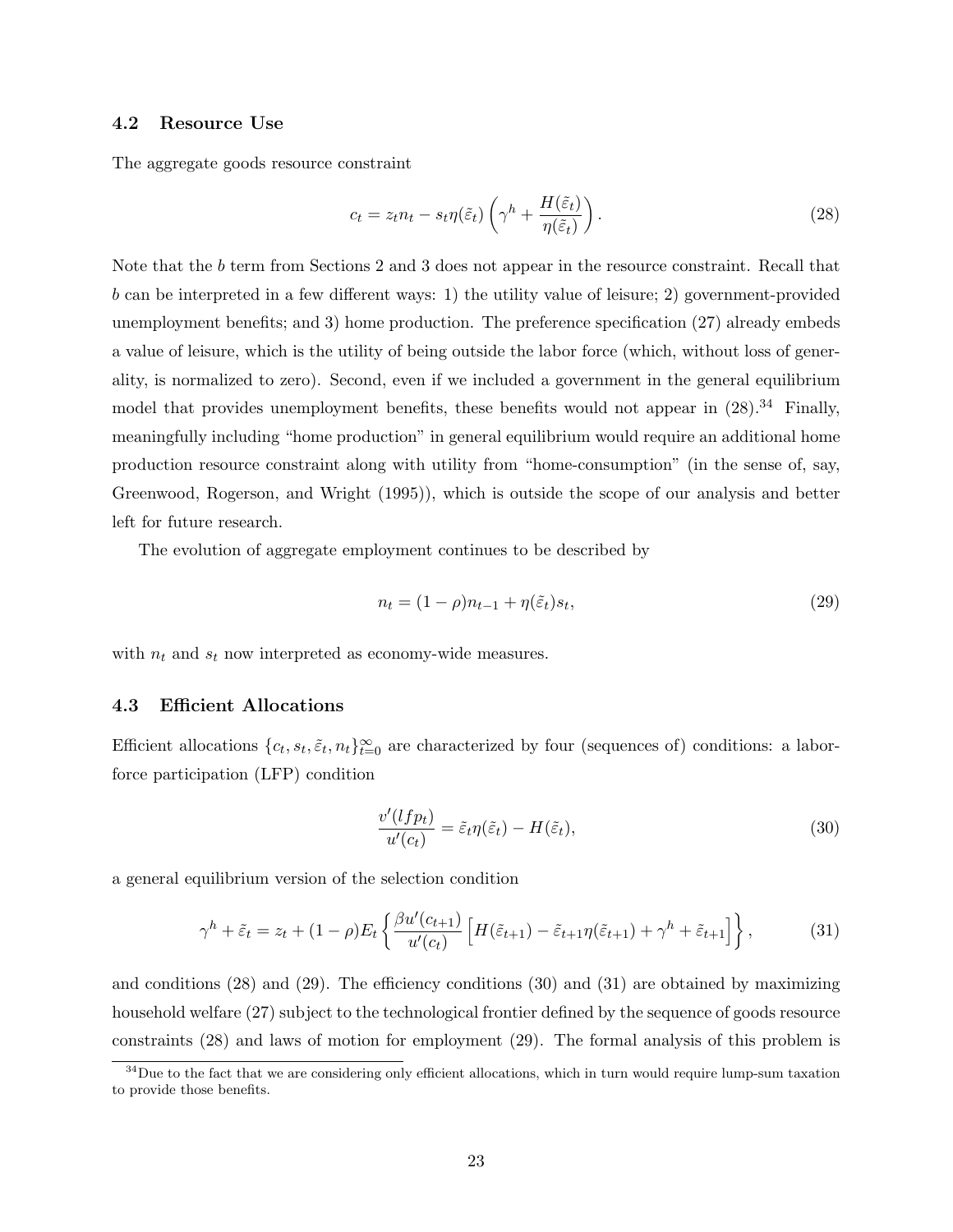#### 4.2 Resource Use

The aggregate goods resource constraint

$$
c_t = z_t n_t - s_t \eta(\tilde{\varepsilon}_t) \left(\gamma^h + \frac{H(\tilde{\varepsilon}_t)}{\eta(\tilde{\varepsilon}_t)}\right). \tag{28}
$$

Note that the b term from Sections 2 and 3 does not appear in the resource constraint. Recall that b can be interpreted in a few different ways: 1) the utility value of leisure; 2) government-provided unemployment benefits; and 3) home production. The preference specification (27) already embeds a value of leisure, which is the utility of being outside the labor force (which, without loss of generality, is normalized to zero). Second, even if we included a government in the general equilibrium model that provides unemployment benefits, these benefits would not appear in  $(28).^{34}$  Finally, meaningfully including "home production" in general equilibrium would require an additional home production resource constraint along with utility from "home-consumption" (in the sense of, say, Greenwood, Rogerson, and Wright (1995)), which is outside the scope of our analysis and better left for future research.

The evolution of aggregate employment continues to be described by

$$
n_t = (1 - \rho)n_{t-1} + \eta(\tilde{\varepsilon}_t)s_t,\tag{29}
$$

with  $n_t$  and  $s_t$  now interpreted as economy-wide measures.

#### 4.3 Efficient Allocations

Efficient allocations  $\{c_t, s_t, \tilde{\varepsilon}_t, n_t\}_{t=0}^{\infty}$  are characterized by four (sequences of) conditions: a laborforce participation (LFP) condition

$$
\frac{v'(lfp_t)}{u'(c_t)} = \tilde{\varepsilon}_t \eta(\tilde{\varepsilon}_t) - H(\tilde{\varepsilon}_t),\tag{30}
$$

a general equilibrium version of the selection condition

$$
\gamma^h + \tilde{\varepsilon}_t = z_t + (1 - \rho) E_t \left\{ \frac{\beta u'(c_{t+1})}{u'(c_t)} \left[ H(\tilde{\varepsilon}_{t+1}) - \tilde{\varepsilon}_{t+1} \eta(\tilde{\varepsilon}_{t+1}) + \gamma^h + \tilde{\varepsilon}_{t+1} \right] \right\},\tag{31}
$$

and conditions (28) and (29). The efficiency conditions (30) and (31) are obtained by maximizing household welfare (27) subject to the technological frontier defined by the sequence of goods resource constraints (28) and laws of motion for employment (29). The formal analysis of this problem is

<sup>&</sup>lt;sup>34</sup>Due to the fact that we are considering only efficient allocations, which in turn would require lump-sum taxation to provide those benefits.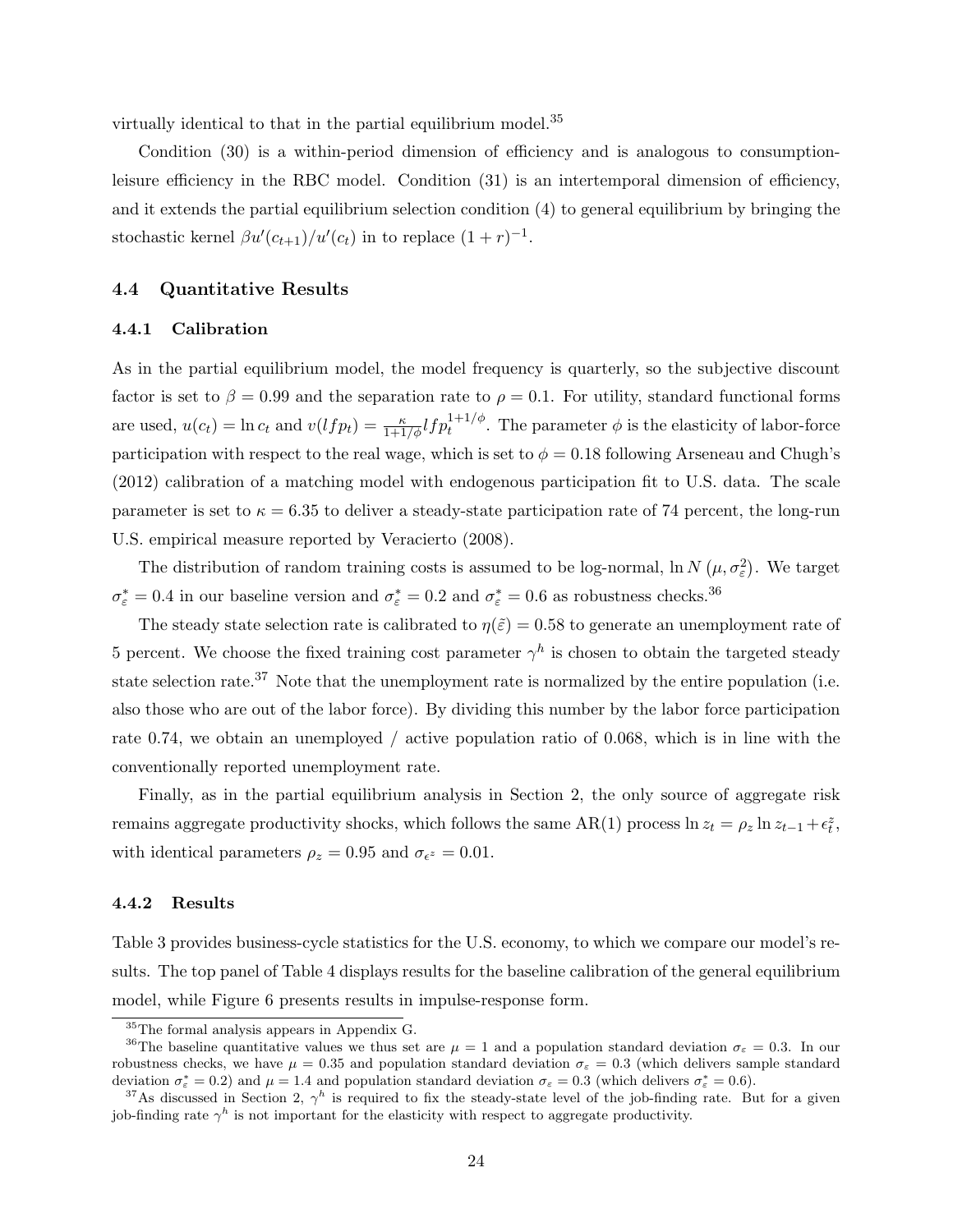virtually identical to that in the partial equilibrium model.<sup>35</sup>

Condition (30) is a within-period dimension of efficiency and is analogous to consumptionleisure efficiency in the RBC model. Condition (31) is an intertemporal dimension of efficiency, and it extends the partial equilibrium selection condition (4) to general equilibrium by bringing the stochastic kernel  $\beta u'(c_{t+1})/u'(c_t)$  in to replace  $(1+r)^{-1}$ .

#### 4.4 Quantitative Results

#### 4.4.1 Calibration

As in the partial equilibrium model, the model frequency is quarterly, so the subjective discount factor is set to  $\beta = 0.99$  and the separation rate to  $\rho = 0.1$ . For utility, standard functional forms are used,  $u(c_t) = \ln c_t$  and  $v(lfp_t) = \frac{\kappa}{1+1/\phi} lfp_t^{1+1/\phi}$ . The parameter  $\phi$  is the elasticity of labor-force participation with respect to the real wage, which is set to  $\phi = 0.18$  following Arseneau and Chugh's (2012) calibration of a matching model with endogenous participation fit to U.S. data. The scale parameter is set to  $\kappa = 6.35$  to deliver a steady-state participation rate of 74 percent, the long-run U.S. empirical measure reported by Veracierto (2008).

The distribution of random training costs is assumed to be log-normal,  $\ln N(\mu, \sigma_{\varepsilon}^2)$ . We target  $\sigma_{\varepsilon}^* = 0.4$  in our baseline version and  $\sigma_{\varepsilon}^* = 0.2$  and  $\sigma_{\varepsilon}^* = 0.6$  as robustness checks.<sup>36</sup>

The steady state selection rate is calibrated to  $\eta(\tilde{\varepsilon}) = 0.58$  to generate an unemployment rate of 5 percent. We choose the fixed training cost parameter  $\gamma^h$  is chosen to obtain the targeted steady state selection rate.<sup>37</sup> Note that the unemployment rate is normalized by the entire population (i.e. also those who are out of the labor force). By dividing this number by the labor force participation rate 0.74, we obtain an unemployed / active population ratio of 0.068, which is in line with the conventionally reported unemployment rate.

Finally, as in the partial equilibrium analysis in Section 2, the only source of aggregate risk remains aggregate productivity shocks, which follows the same AR(1) process  $\ln z_t = \rho_z \ln z_{t-1} + \epsilon_t^z$ , with identical parameters  $\rho_z = 0.95$  and  $\sigma_{\epsilon^z} = 0.01$ .

#### 4.4.2 Results

Table 3 provides business-cycle statistics for the U.S. economy, to which we compare our model's results. The top panel of Table 4 displays results for the baseline calibration of the general equilibrium model, while Figure 6 presents results in impulse-response form.

<sup>35</sup>The formal analysis appears in Appendix G.

<sup>&</sup>lt;sup>36</sup>The baseline quantitative values we thus set are  $\mu = 1$  and a population standard deviation  $\sigma_{\varepsilon} = 0.3$ . In our robustness checks, we have  $\mu = 0.35$  and population standard deviation  $\sigma_{\epsilon} = 0.3$  (which delivers sample standard deviation  $\sigma_{\varepsilon}^* = 0.2$ ) and  $\mu = 1.4$  and population standard deviation  $\sigma_{\varepsilon} = 0.3$  (which delivers  $\sigma_{\varepsilon}^* = 0.6$ ).

<sup>&</sup>lt;sup>37</sup>As discussed in Section 2,  $\gamma^h$  is required to fix the steady-state level of the job-finding rate. But for a given job-finding rate  $\gamma^h$  is not important for the elasticity with respect to aggregate productivity.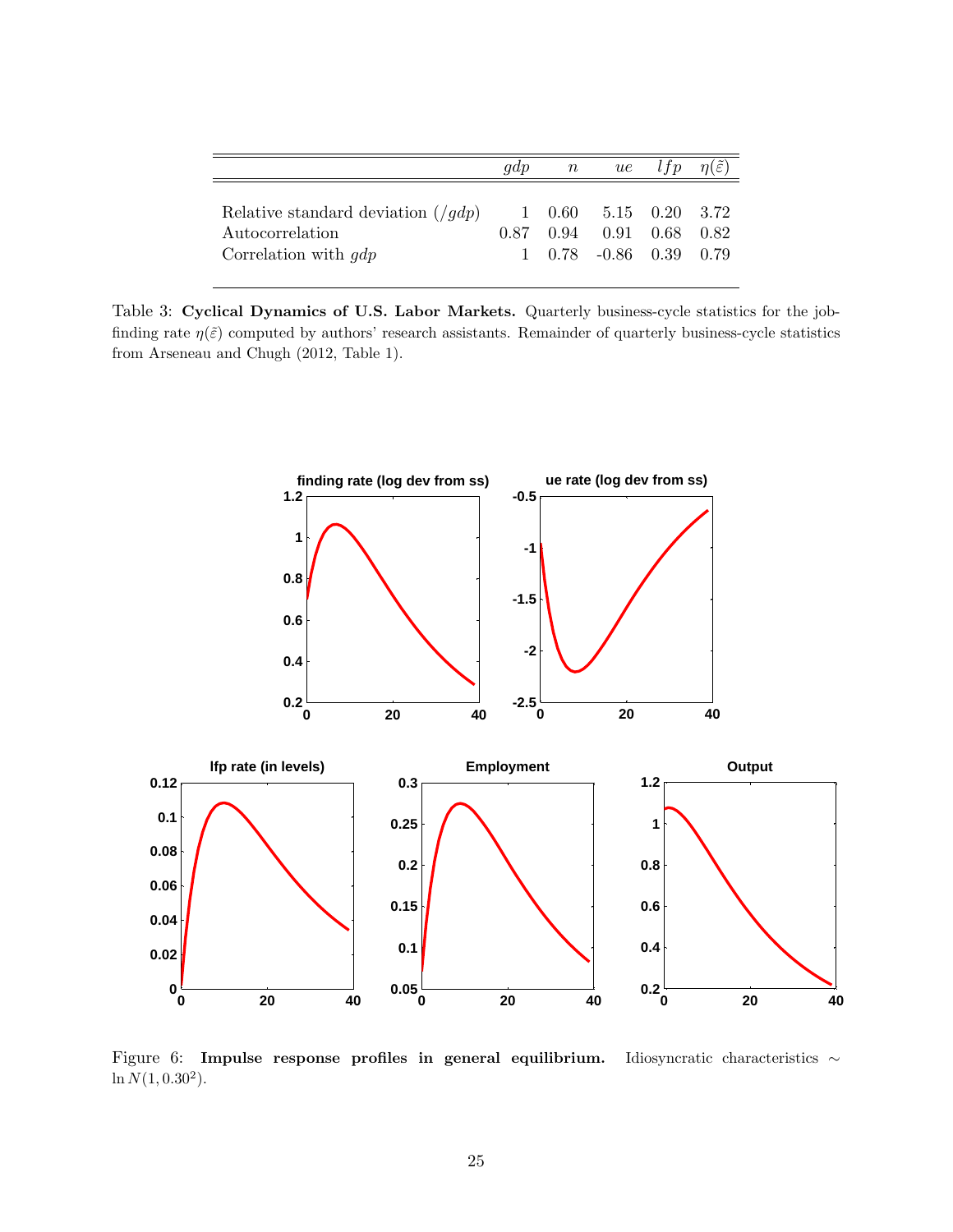|                                                                                                     | qdp | $\,n$ | ue                                                                                                   | l f p | $n(\varepsilon)$ |
|-----------------------------------------------------------------------------------------------------|-----|-------|------------------------------------------------------------------------------------------------------|-------|------------------|
| Relative standard deviation $\left(\frac{qdp}{\right)$<br>Autocorrelation<br>Correlation with $qdp$ |     |       | $1\quad 0.60\quad 5.15\quad 0.20\quad 3.72$<br>$0.87$ $0.94$ $0.91$ $0.68$<br>1 0.78 -0.86 0.39 0.79 |       | 0.82             |

Table 3: Cyclical Dynamics of U.S. Labor Markets. Quarterly business-cycle statistics for the jobfinding rate  $\eta(\tilde{\varepsilon})$  computed by authors' research assistants. Remainder of quarterly business-cycle statistics from Arseneau and Chugh (2012, Table 1).



Figure 6: Impulse response profiles in general equilibrium. Idiosyncratic characteristics ∼  $\ln N(1, 0.30^2)$ .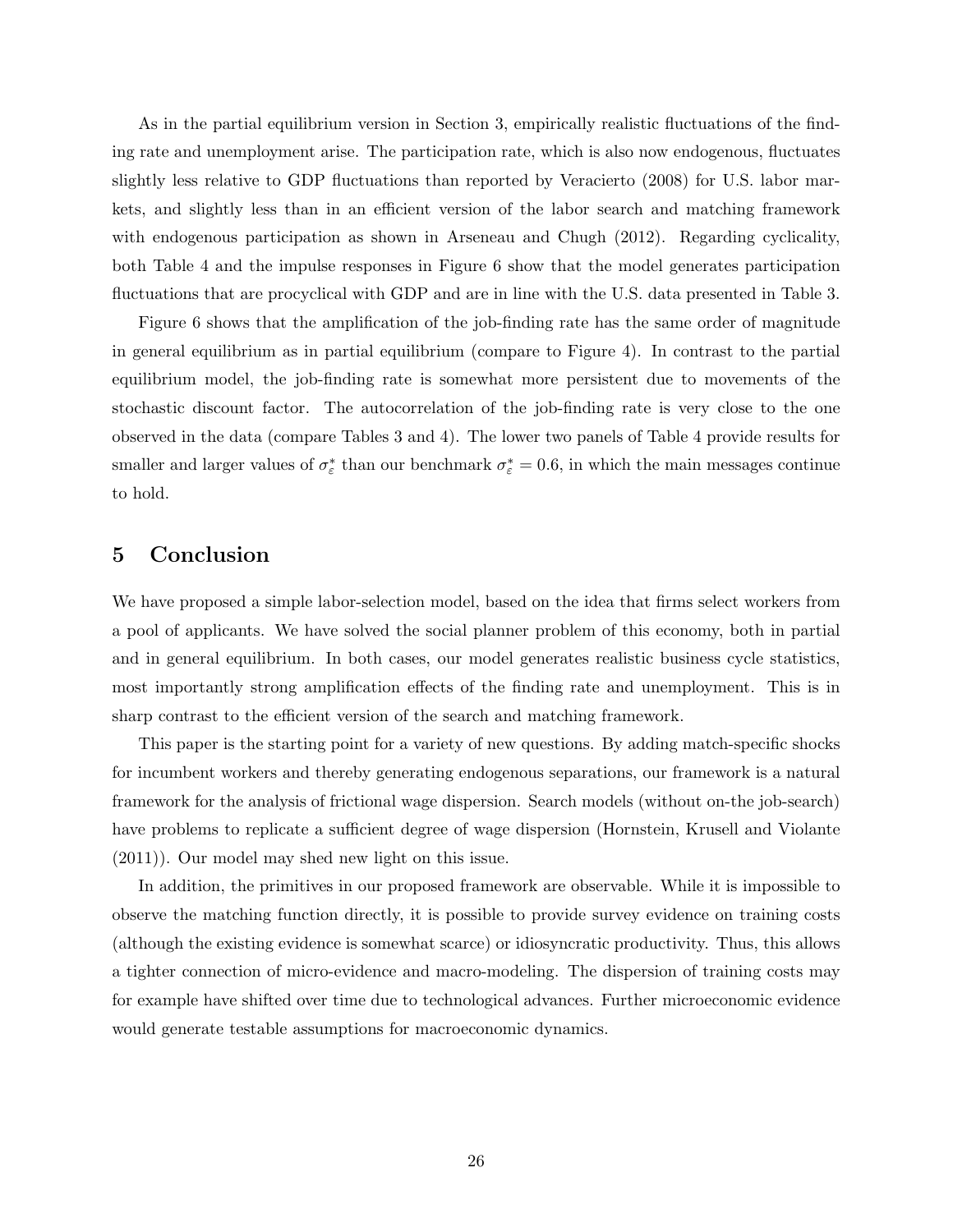As in the partial equilibrium version in Section 3, empirically realistic fluctuations of the finding rate and unemployment arise. The participation rate, which is also now endogenous, fluctuates slightly less relative to GDP fluctuations than reported by Veracierto (2008) for U.S. labor markets, and slightly less than in an efficient version of the labor search and matching framework with endogenous participation as shown in Arseneau and Chugh (2012). Regarding cyclicality, both Table 4 and the impulse responses in Figure 6 show that the model generates participation fluctuations that are procyclical with GDP and are in line with the U.S. data presented in Table 3.

Figure 6 shows that the amplification of the job-finding rate has the same order of magnitude in general equilibrium as in partial equilibrium (compare to Figure 4). In contrast to the partial equilibrium model, the job-finding rate is somewhat more persistent due to movements of the stochastic discount factor. The autocorrelation of the job-finding rate is very close to the one observed in the data (compare Tables 3 and 4). The lower two panels of Table 4 provide results for smaller and larger values of  $\sigma_{\varepsilon}^*$  than our benchmark  $\sigma_{\varepsilon}^* = 0.6$ , in which the main messages continue to hold.

# 5 Conclusion

We have proposed a simple labor-selection model, based on the idea that firms select workers from a pool of applicants. We have solved the social planner problem of this economy, both in partial and in general equilibrium. In both cases, our model generates realistic business cycle statistics, most importantly strong amplification effects of the finding rate and unemployment. This is in sharp contrast to the efficient version of the search and matching framework.

This paper is the starting point for a variety of new questions. By adding match-specific shocks for incumbent workers and thereby generating endogenous separations, our framework is a natural framework for the analysis of frictional wage dispersion. Search models (without on-the job-search) have problems to replicate a sufficient degree of wage dispersion (Hornstein, Krusell and Violante (2011)). Our model may shed new light on this issue.

In addition, the primitives in our proposed framework are observable. While it is impossible to observe the matching function directly, it is possible to provide survey evidence on training costs (although the existing evidence is somewhat scarce) or idiosyncratic productivity. Thus, this allows a tighter connection of micro-evidence and macro-modeling. The dispersion of training costs may for example have shifted over time due to technological advances. Further microeconomic evidence would generate testable assumptions for macroeconomic dynamics.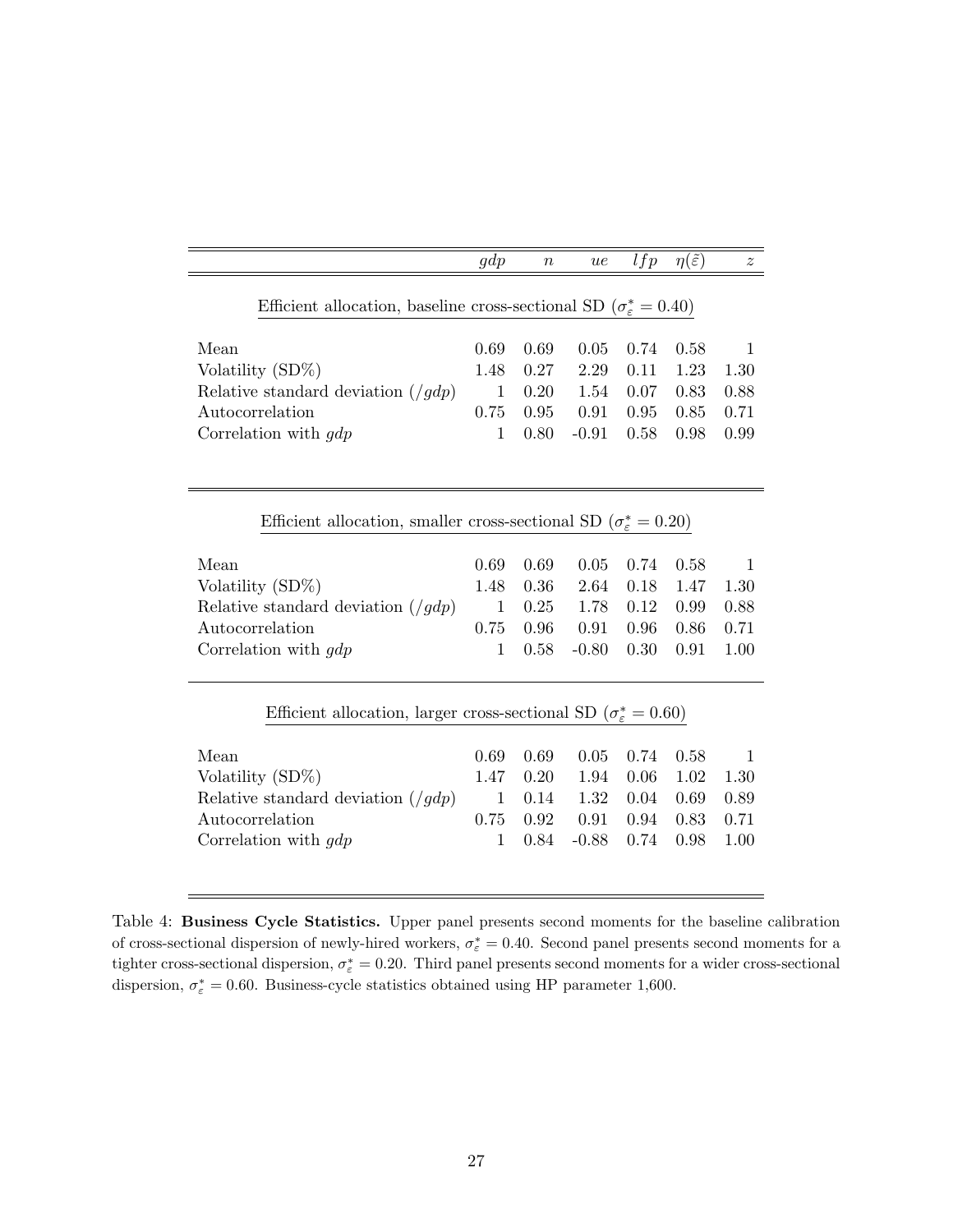|                                                                                       | gdp          | $\boldsymbol{n}$ | ue      | lfp  | $\eta(\tilde{\varepsilon})$ | $\boldsymbol{z}$ |
|---------------------------------------------------------------------------------------|--------------|------------------|---------|------|-----------------------------|------------------|
|                                                                                       |              |                  |         |      |                             |                  |
| Efficient allocation, baseline cross-sectional SD ( $\sigma_{\varepsilon}^* = 0.40$ ) |              |                  |         |      |                             |                  |
|                                                                                       |              |                  |         |      |                             |                  |
| Mean                                                                                  | 0.69         | 0.69             | 0.05    | 0.74 | 0.58                        | $\overline{1}$   |
| Volatility $(SD\%)$                                                                   | 1.48         | 0.27             | 2.29    | 0.11 | 1.23                        | 1.30             |
| Relative standard deviation $\left(\frac{q}{q}\right)$                                | $\mathbf 1$  | 0.20             | 1.54    | 0.07 | 0.83                        | 0.88             |
| Autocorrelation                                                                       |              | 0.95             | 0.91    | 0.95 | 0.85                        | 0.71             |
| Correlation with $qdp$                                                                | 1            | 0.80             | $-0.91$ | 0.58 | 0.98                        | 0.99             |
|                                                                                       |              |                  |         |      |                             |                  |
|                                                                                       |              |                  |         |      |                             |                  |
|                                                                                       |              |                  |         |      |                             |                  |
| Efficient allocation, smaller cross-sectional SD ( $\sigma_{\varepsilon}^* = 0.20$ )  |              |                  |         |      |                             |                  |
|                                                                                       |              |                  |         |      |                             |                  |
| Mean                                                                                  | 0.69         | 0.69             | 0.05    | 0.74 | 0.58                        | -1               |
| Volatility (SD%)                                                                      | 1.48         | 0.36             | 2.64    | 0.18 | 1.47                        | 1.30             |
| Relative standard deviation $\left(\frac{gdp}{g}\right)$                              | $\mathbf{1}$ | 0.25             | 1.78    | 0.12 | 0.99                        | 0.88             |
| Autocorrelation                                                                       | 0.75         | 0.96             | 0.91    | 0.96 | 0.86                        | 0.71             |
| Correlation with $gdp$                                                                |              | 0.58             | $-0.80$ | 0.30 | 0.91                        | 1.00             |
|                                                                                       |              |                  |         |      |                             |                  |
|                                                                                       |              |                  |         |      |                             |                  |
| Efficient allocation, larger cross-sectional SD ( $\sigma_{\varepsilon}^* = 0.60$ )   |              |                  |         |      |                             |                  |
|                                                                                       |              |                  |         |      |                             |                  |
| Mean                                                                                  | 0.69         | 0.69             | 0.05    | 0.74 | 0.58                        | -1               |
| Volatility (SD%)                                                                      | 1.47         | 0.20             | 1.94    | 0.06 | 1.02                        | 1.30             |
| Relative standard deviation $(\frac{f}{gdp})$                                         | $\mathbf 1$  | 0.14             | 1.32    | 0.04 | 0.69                        | 0.89             |
| Autocorrelation                                                                       | 0.75         | 0.92             | 0.91    | 0.94 | 0.83                        | 0.71             |
| Correlation with $qdp$                                                                | $\mathbf{1}$ | 0.84             | $-0.88$ | 0.74 | 0.98                        | 1.00             |
|                                                                                       |              |                  |         |      |                             |                  |

Table 4: Business Cycle Statistics. Upper panel presents second moments for the baseline calibration of cross-sectional dispersion of newly-hired workers,  $\sigma_{\varepsilon}^* = 0.40$ . Second panel presents second moments for a tighter cross-sectional dispersion,  $\sigma_{\varepsilon}^* = 0.20$ . Third panel presents second moments for a wider cross-sectional dispersion,  $\sigma_{\varepsilon}^* = 0.60$ . Business-cycle statistics obtained using HP parameter 1,600.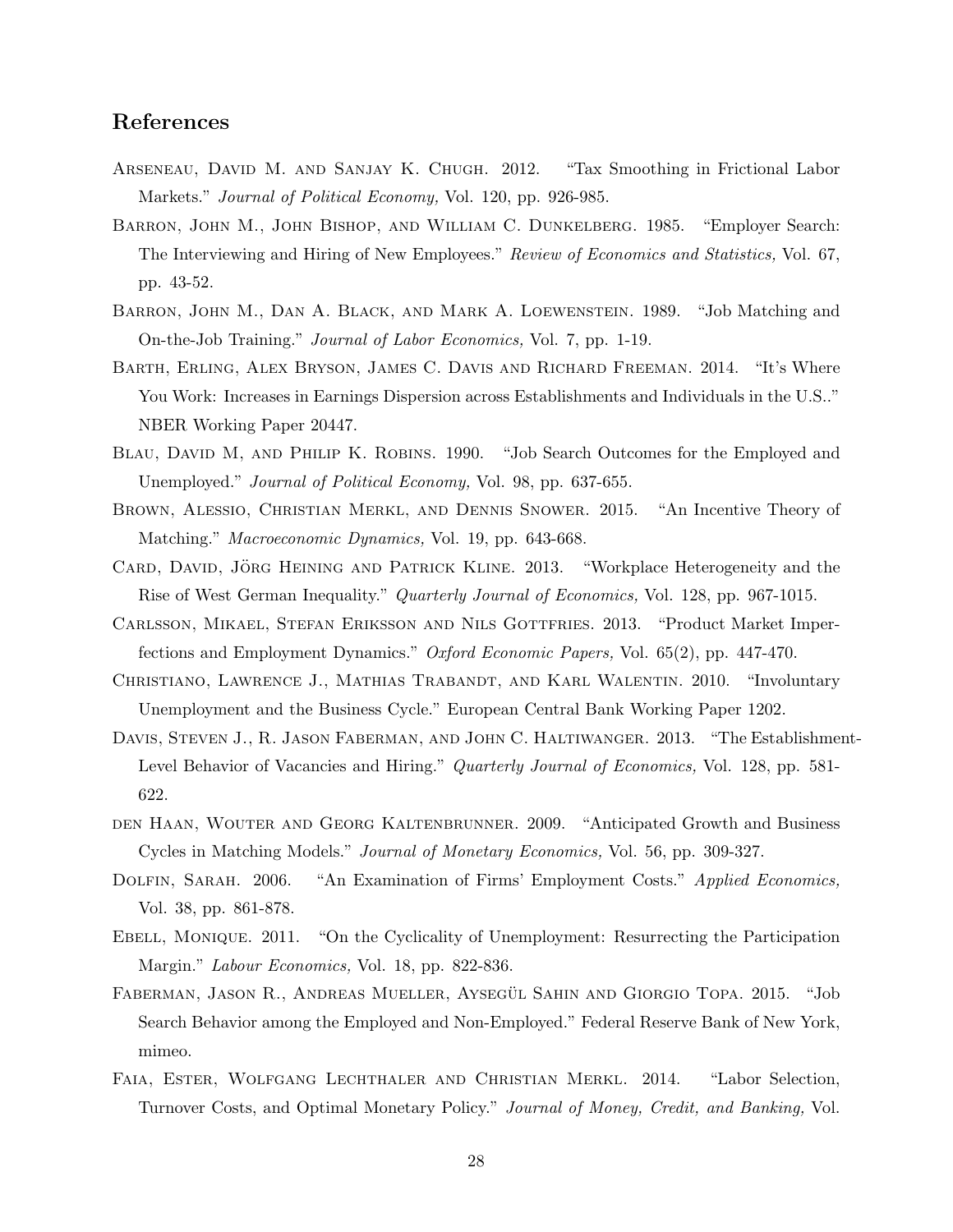# References

- Arseneau, David M. and Sanjay K. Chugh. 2012. "Tax Smoothing in Frictional Labor Markets." Journal of Political Economy, Vol. 120, pp. 926-985.
- Barron, John M., John Bishop, and William C. Dunkelberg. 1985. "Employer Search: The Interviewing and Hiring of New Employees." Review of Economics and Statistics, Vol. 67, pp. 43-52.
- Barron, John M., Dan A. Black, and Mark A. Loewenstein. 1989. "Job Matching and On-the-Job Training." Journal of Labor Economics, Vol. 7, pp. 1-19.
- Barth, Erling, Alex Bryson, James C. Davis and Richard Freeman. 2014. "It's Where You Work: Increases in Earnings Dispersion across Establishments and Individuals in the U.S.." NBER Working Paper 20447.
- BLAU, DAVID M, AND PHILIP K. ROBINS. 1990. "Job Search Outcomes for the Employed and Unemployed." Journal of Political Economy, Vol. 98, pp. 637-655.
- Brown, Alessio, Christian Merkl, and Dennis Snower. 2015. "An Incentive Theory of Matching." Macroeconomic Dynamics, Vol. 19, pp. 643-668.
- CARD, DAVID, JÖRG HEINING AND PATRICK KLINE. 2013. "Workplace Heterogeneity and the Rise of West German Inequality." Quarterly Journal of Economics, Vol. 128, pp. 967-1015.
- Carlsson, Mikael, Stefan Eriksson and Nils Gottfries. 2013. "Product Market Imperfections and Employment Dynamics." Oxford Economic Papers, Vol. 65(2), pp. 447-470.
- Christiano, Lawrence J., Mathias Trabandt, and Karl Walentin. 2010. "Involuntary Unemployment and the Business Cycle." European Central Bank Working Paper 1202.
- DAVIS, STEVEN J., R. JASON FABERMAN, AND JOHN C. HALTIWANGER. 2013. "The Establishment-Level Behavior of Vacancies and Hiring." Quarterly Journal of Economics, Vol. 128, pp. 581-622.
- den Haan, Wouter and Georg Kaltenbrunner. 2009. "Anticipated Growth and Business Cycles in Matching Models." Journal of Monetary Economics, Vol. 56, pp. 309-327.
- DOLFIN, SARAH. 2006. "An Examination of Firms' Employment Costs." Applied Economics, Vol. 38, pp. 861-878.
- EBELL, MONIQUE. 2011. "On the Cyclicality of Unemployment: Resurrecting the Participation Margin." Labour Economics, Vol. 18, pp. 822-836.
- FABERMAN, JASON R., ANDREAS MUELLER, AYSEGÜL SAHIN AND GIORGIO TOPA. 2015. "Job Search Behavior among the Employed and Non-Employed." Federal Reserve Bank of New York, mimeo.
- Faia, Ester, Wolfgang Lechthaler and Christian Merkl. 2014. "Labor Selection, Turnover Costs, and Optimal Monetary Policy." Journal of Money, Credit, and Banking, Vol.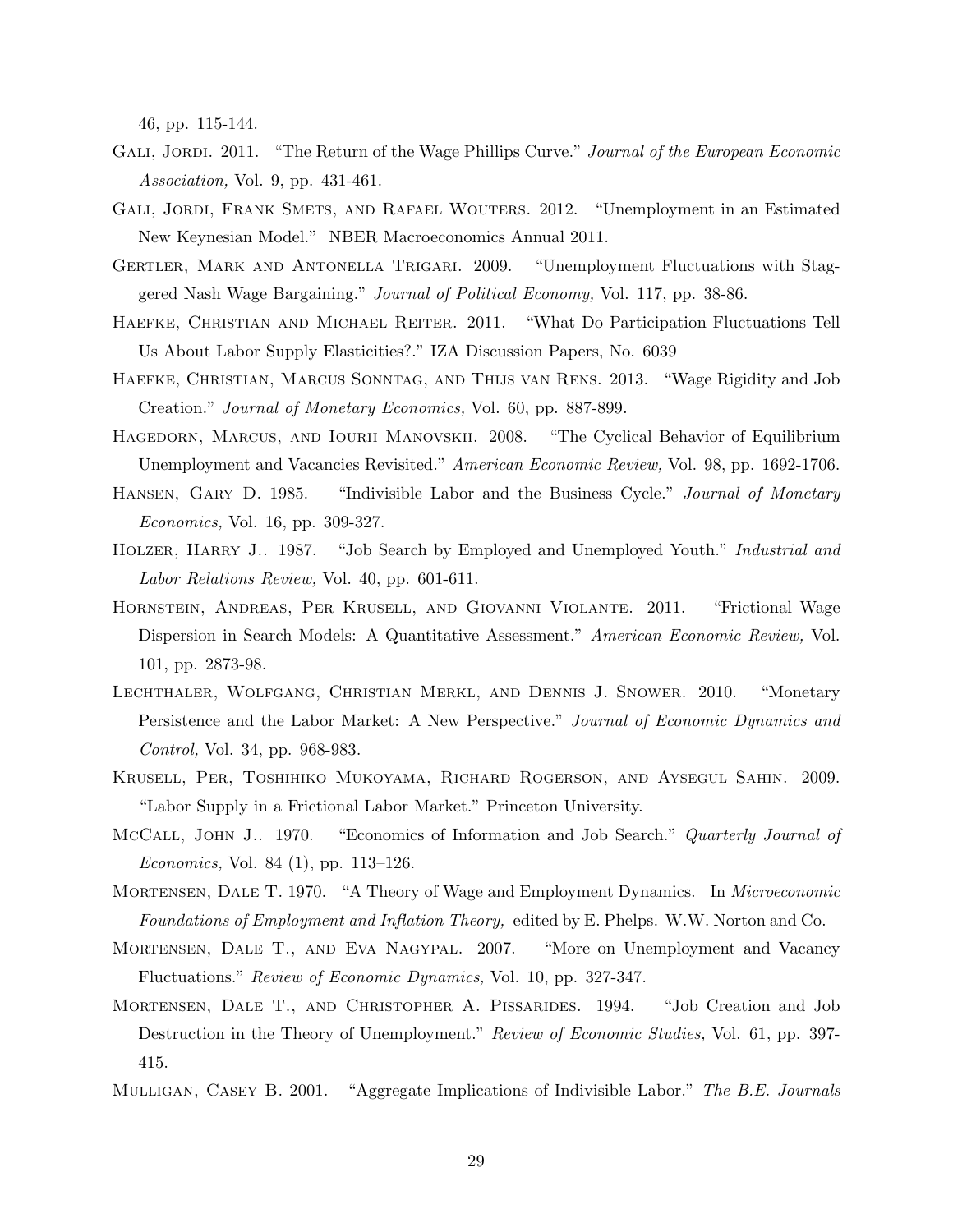46, pp. 115-144.

- GALI, JORDI. 2011. "The Return of the Wage Phillips Curve." Journal of the European Economic Association, Vol. 9, pp. 431-461.
- GALI, JORDI, FRANK SMETS, AND RAFAEL WOUTERS. 2012. "Unemployment in an Estimated New Keynesian Model." NBER Macroeconomics Annual 2011.
- Gertler, Mark and Antonella Trigari. 2009. "Unemployment Fluctuations with Staggered Nash Wage Bargaining." Journal of Political Economy, Vol. 117, pp. 38-86.
- Haefke, Christian and Michael Reiter. 2011. "What Do Participation Fluctuations Tell Us About Labor Supply Elasticities?." IZA Discussion Papers, No. 6039
- Haefke, Christian, Marcus Sonntag, and Thijs van Rens. 2013. "Wage Rigidity and Job Creation." Journal of Monetary Economics, Vol. 60, pp. 887-899.
- Hagedorn, Marcus, and Iourii Manovskii. 2008. "The Cyclical Behavior of Equilibrium Unemployment and Vacancies Revisited." American Economic Review, Vol. 98, pp. 1692-1706.
- HANSEN, GARY D. 1985. "Indivisible Labor and the Business Cycle." Journal of Monetary Economics, Vol. 16, pp. 309-327.
- HOLZER, HARRY J.. 1987. "Job Search by Employed and Unemployed Youth." *Industrial and* Labor Relations Review, Vol. 40, pp. 601-611.
- Hornstein, Andreas, Per Krusell, and Giovanni Violante. 2011. "Frictional Wage Dispersion in Search Models: A Quantitative Assessment." American Economic Review, Vol. 101, pp. 2873-98.
- Lechthaler, Wolfgang, Christian Merkl, and Dennis J. Snower. 2010. "Monetary Persistence and the Labor Market: A New Perspective." Journal of Economic Dynamics and Control, Vol. 34, pp. 968-983.
- Krusell, Per, Toshihiko Mukoyama, Richard Rogerson, and Aysegul Sahin. 2009. "Labor Supply in a Frictional Labor Market." Princeton University.
- McCall, John J.. 1970. "Economics of Information and Job Search." Quarterly Journal of Economics, Vol. 84 (1), pp. 113–126.
- Mortensen, Dale T. 1970. "A Theory of Wage and Employment Dynamics. In Microeconomic Foundations of Employment and Inflation Theory, edited by E. Phelps. W.W. Norton and Co.
- Mortensen, Dale T., and Eva Nagypal. 2007. "More on Unemployment and Vacancy Fluctuations." Review of Economic Dynamics, Vol. 10, pp. 327-347.
- Mortensen, Dale T., and Christopher A. Pissarides. 1994. "Job Creation and Job Destruction in the Theory of Unemployment." Review of Economic Studies, Vol. 61, pp. 397-415.
- MULLIGAN, CASEY B. 2001. "Aggregate Implications of Indivisible Labor." The B.E. Journals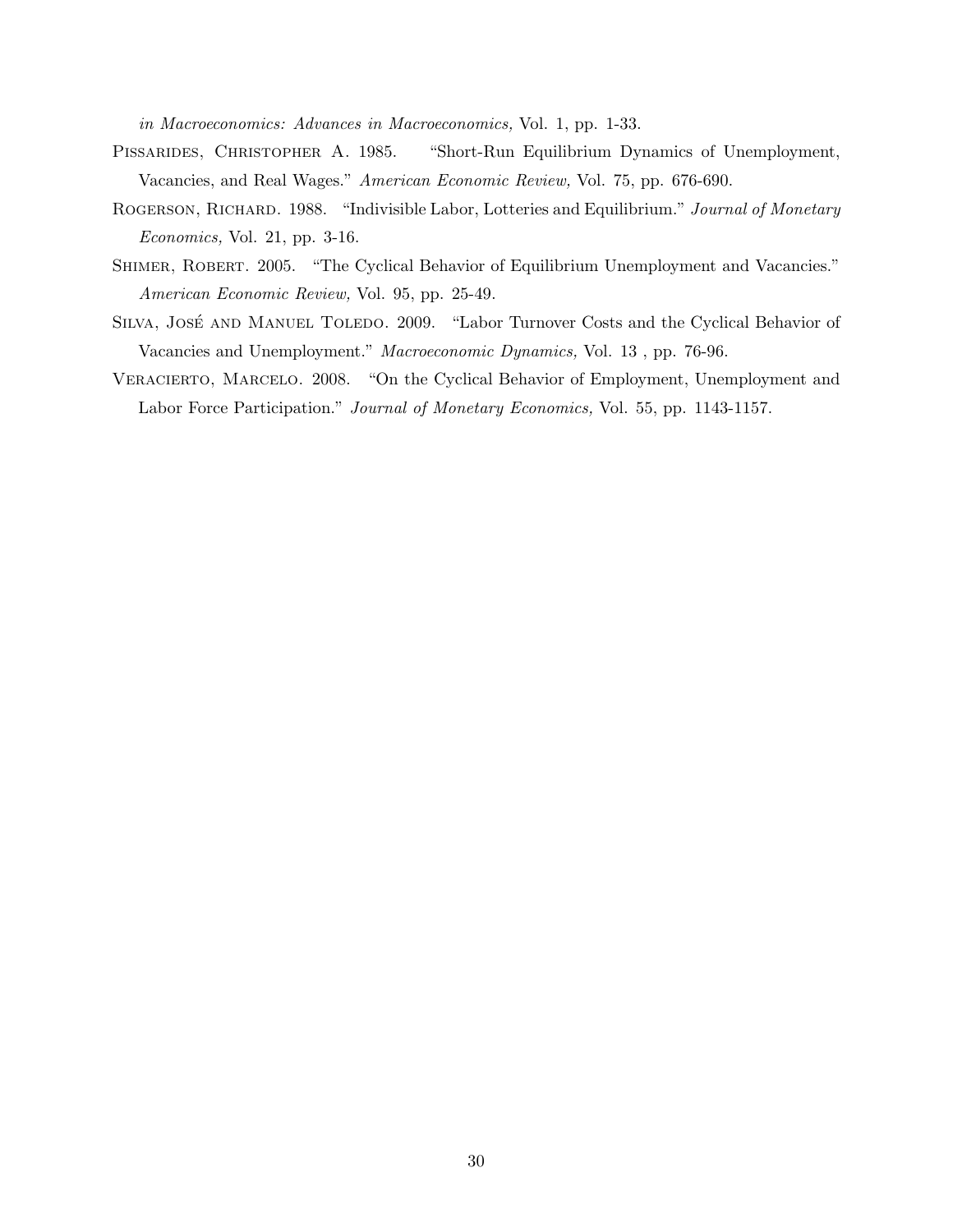in Macroeconomics: Advances in Macroeconomics, Vol. 1, pp. 1-33.

- PISSARIDES, CHRISTOPHER A. 1985. "Short-Run Equilibrium Dynamics of Unemployment, Vacancies, and Real Wages." American Economic Review, Vol. 75, pp. 676-690.
- ROGERSON, RICHARD. 1988. "Indivisible Labor, Lotteries and Equilibrium." Journal of Monetary Economics, Vol. 21, pp. 3-16.
- Shimer, Robert. 2005. "The Cyclical Behavior of Equilibrium Unemployment and Vacancies." American Economic Review, Vol. 95, pp. 25-49.
- SILVA, JOSÉ AND MANUEL TOLEDO. 2009. "Labor Turnover Costs and the Cyclical Behavior of Vacancies and Unemployment." Macroeconomic Dynamics, Vol. 13 , pp. 76-96.
- Veracierto, Marcelo. 2008. "On the Cyclical Behavior of Employment, Unemployment and Labor Force Participation." Journal of Monetary Economics, Vol. 55, pp. 1143-1157.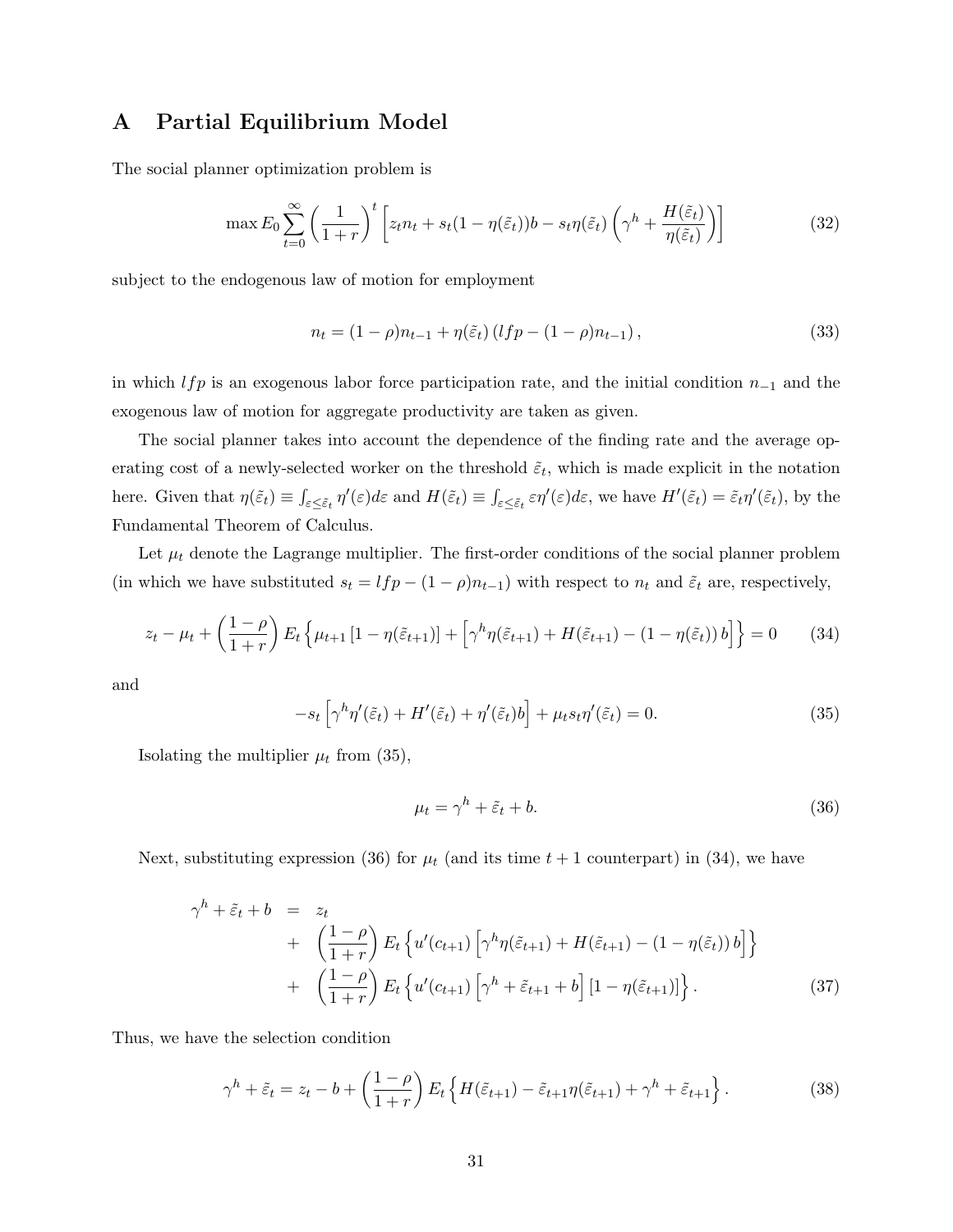# A Partial Equilibrium Model

The social planner optimization problem is

$$
\max E_0 \sum_{t=0}^{\infty} \left( \frac{1}{1+r} \right)^t \left[ z_t n_t + s_t (1-\eta(\tilde{\varepsilon}_t)) b - s_t \eta(\tilde{\varepsilon}_t) \left( \gamma^h + \frac{H(\tilde{\varepsilon}_t)}{\eta(\tilde{\varepsilon}_t)} \right) \right]
$$
(32)

subject to the endogenous law of motion for employment

$$
n_t = (1 - \rho)n_{t-1} + \eta(\tilde{\varepsilon}_t) (lfp - (1 - \rho)n_{t-1}),
$$
\n(33)

in which lfp is an exogenous labor force participation rate, and the initial condition  $n_{-1}$  and the exogenous law of motion for aggregate productivity are taken as given.

The social planner takes into account the dependence of the finding rate and the average operating cost of a newly-selected worker on the threshold  $\tilde{\varepsilon}_t$ , which is made explicit in the notation here. Given that  $\eta(\tilde{\varepsilon}_t) \equiv \int_{\varepsilon \leq \tilde{\varepsilon}_t} \eta'(\varepsilon) d\varepsilon$  and  $H(\tilde{\varepsilon}_t) \equiv \int_{\varepsilon \leq \tilde{\varepsilon}_t} \varepsilon \eta'(\varepsilon) d\varepsilon$ , we have  $H'(\tilde{\varepsilon}_t) = \tilde{\varepsilon}_t \eta'(\tilde{\varepsilon}_t)$ , by the Fundamental Theorem of Calculus.

Let  $\mu_t$  denote the Lagrange multiplier. The first-order conditions of the social planner problem (in which we have substituted  $s_t = lfp - (1 - \rho)n_{t-1}$ ) with respect to  $n_t$  and  $\tilde{\varepsilon}_t$  are, respectively,

$$
z_t - \mu_t + \left(\frac{1-\rho}{1+r}\right) E_t \left\{ \mu_{t+1} \left[1 - \eta(\tilde{\varepsilon}_{t+1})\right] + \left[\gamma^h \eta(\tilde{\varepsilon}_{t+1}) + H(\tilde{\varepsilon}_{t+1}) - (1 - \eta(\tilde{\varepsilon}_t)) b\right] \right\} = 0 \tag{34}
$$

and

$$
-s_t \left[ \gamma^h \eta'(\tilde{\varepsilon}_t) + H'(\tilde{\varepsilon}_t) + \eta'(\tilde{\varepsilon}_t) b \right] + \mu_t s_t \eta'(\tilde{\varepsilon}_t) = 0. \tag{35}
$$

Isolating the multiplier  $\mu_t$  from (35),

$$
\mu_t = \gamma^h + \tilde{\varepsilon}_t + b. \tag{36}
$$

Next, substituting expression (36) for  $\mu_t$  (and its time  $t + 1$  counterpart) in (34), we have

$$
\gamma^{h} + \tilde{\varepsilon}_{t} + b = z_{t}
$$
  
+ 
$$
\left(\frac{1-\rho}{1+r}\right) E_{t} \left\{ u'(c_{t+1}) \left[ \gamma^{h} \eta(\tilde{\varepsilon}_{t+1}) + H(\tilde{\varepsilon}_{t+1}) - (1-\eta(\tilde{\varepsilon}_{t})) b \right] \right\}
$$
  
+ 
$$
\left(\frac{1-\rho}{1+r}\right) E_{t} \left\{ u'(c_{t+1}) \left[ \gamma^{h} + \tilde{\varepsilon}_{t+1} + b \right] \left[ 1 - \eta(\tilde{\varepsilon}_{t+1}) \right] \right\}.
$$
 (37)

Thus, we have the selection condition

$$
\gamma^h + \tilde{\varepsilon}_t = z_t - b + \left(\frac{1-\rho}{1+r}\right) E_t \left\{ H(\tilde{\varepsilon}_{t+1}) - \tilde{\varepsilon}_{t+1} \eta(\tilde{\varepsilon}_{t+1}) + \gamma^h + \tilde{\varepsilon}_{t+1} \right\}.
$$
 (38)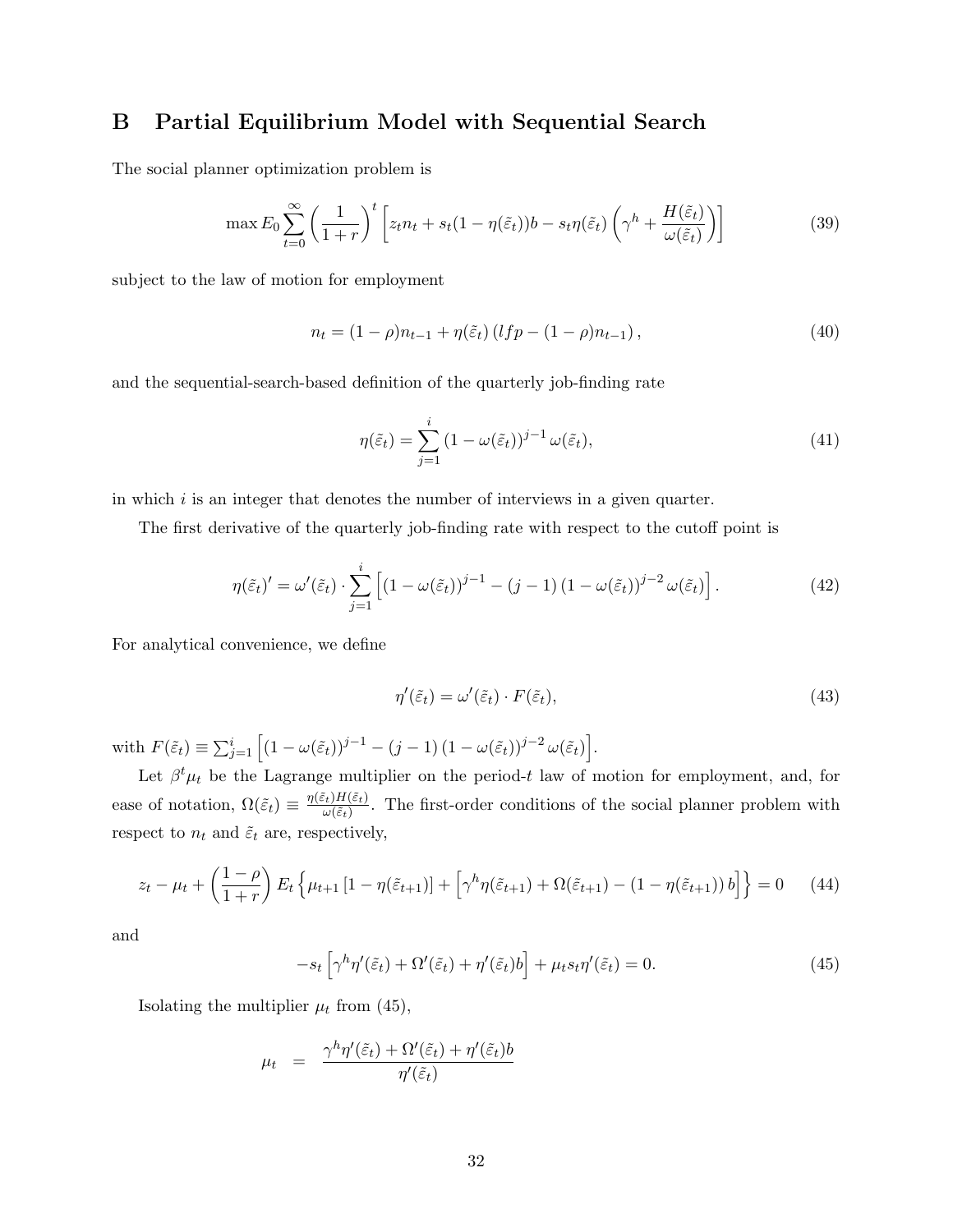# B Partial Equilibrium Model with Sequential Search

The social planner optimization problem is

$$
\max E_0 \sum_{t=0}^{\infty} \left( \frac{1}{1+r} \right)^t \left[ z_t n_t + s_t (1-\eta(\tilde{\varepsilon}_t)) b - s_t \eta(\tilde{\varepsilon}_t) \left( \gamma^h + \frac{H(\tilde{\varepsilon}_t)}{\omega(\tilde{\varepsilon}_t)} \right) \right]
$$
(39)

subject to the law of motion for employment

$$
n_t = (1 - \rho)n_{t-1} + \eta(\tilde{\varepsilon}_t) (lfp - (1 - \rho)n_{t-1}),
$$
\n(40)

and the sequential-search-based definition of the quarterly job-finding rate

$$
\eta(\tilde{\varepsilon}_t) = \sum_{j=1}^i (1 - \omega(\tilde{\varepsilon}_t))^{j-1} \omega(\tilde{\varepsilon}_t),\tag{41}
$$

in which  $i$  is an integer that denotes the number of interviews in a given quarter.

The first derivative of the quarterly job-finding rate with respect to the cutoff point is

$$
\eta(\tilde{\varepsilon}_t)' = \omega'(\tilde{\varepsilon}_t) \cdot \sum_{j=1}^i \left[ (1 - \omega(\tilde{\varepsilon}_t))^{j-1} - (j-1) (1 - \omega(\tilde{\varepsilon}_t))^{j-2} \omega(\tilde{\varepsilon}_t) \right]. \tag{42}
$$

For analytical convenience, we define

$$
\eta'(\tilde{\varepsilon}_t) = \omega'(\tilde{\varepsilon}_t) \cdot F(\tilde{\varepsilon}_t),\tag{43}
$$

with  $F(\tilde{\varepsilon}_t) \equiv \sum_{j=1}^i \left[ (1 - \omega(\tilde{\varepsilon}_t))^{j-1} - (j-1) (1 - \omega(\tilde{\varepsilon}_t))^{j-2} \omega(\tilde{\varepsilon}_t) \right].$ 

Let  $\beta^t \mu_t$  be the Lagrange multiplier on the period-t law of motion for employment, and, for ease of notation,  $\Omega(\tilde{\varepsilon}_t) \equiv \frac{\eta(\tilde{\varepsilon}_t) H(\tilde{\varepsilon}_t)}{\omega(\tilde{\varepsilon}_t)}$  $\frac{\partial^2 E(t) H(\varepsilon_t)}{\partial \omega(\tilde{\varepsilon}_t)}$ . The first-order conditions of the social planner problem with respect to  $n_t$  and  $\tilde{\varepsilon}_t$  are, respectively,

$$
z_t - \mu_t + \left(\frac{1-\rho}{1+r}\right) E_t \left\{ \mu_{t+1} \left[1 - \eta(\tilde{\varepsilon}_{t+1})\right] + \left[\gamma^h \eta(\tilde{\varepsilon}_{t+1}) + \Omega(\tilde{\varepsilon}_{t+1}) - (1 - \eta(\tilde{\varepsilon}_{t+1})) b\right] \right\} = 0 \quad (44)
$$

and

$$
-s_t \left[ \gamma^h \eta'(\tilde{\varepsilon}_t) + \Omega'(\tilde{\varepsilon}_t) + \eta'(\tilde{\varepsilon}_t) b \right] + \mu_t s_t \eta'(\tilde{\varepsilon}_t) = 0. \tag{45}
$$

Isolating the multiplier  $\mu_t$  from (45),

$$
\mu_t = \frac{\gamma^h \eta'(\tilde{\varepsilon}_t) + \Omega'(\tilde{\varepsilon}_t) + \eta'(\tilde{\varepsilon}_t)b}{\eta'(\tilde{\varepsilon}_t)}
$$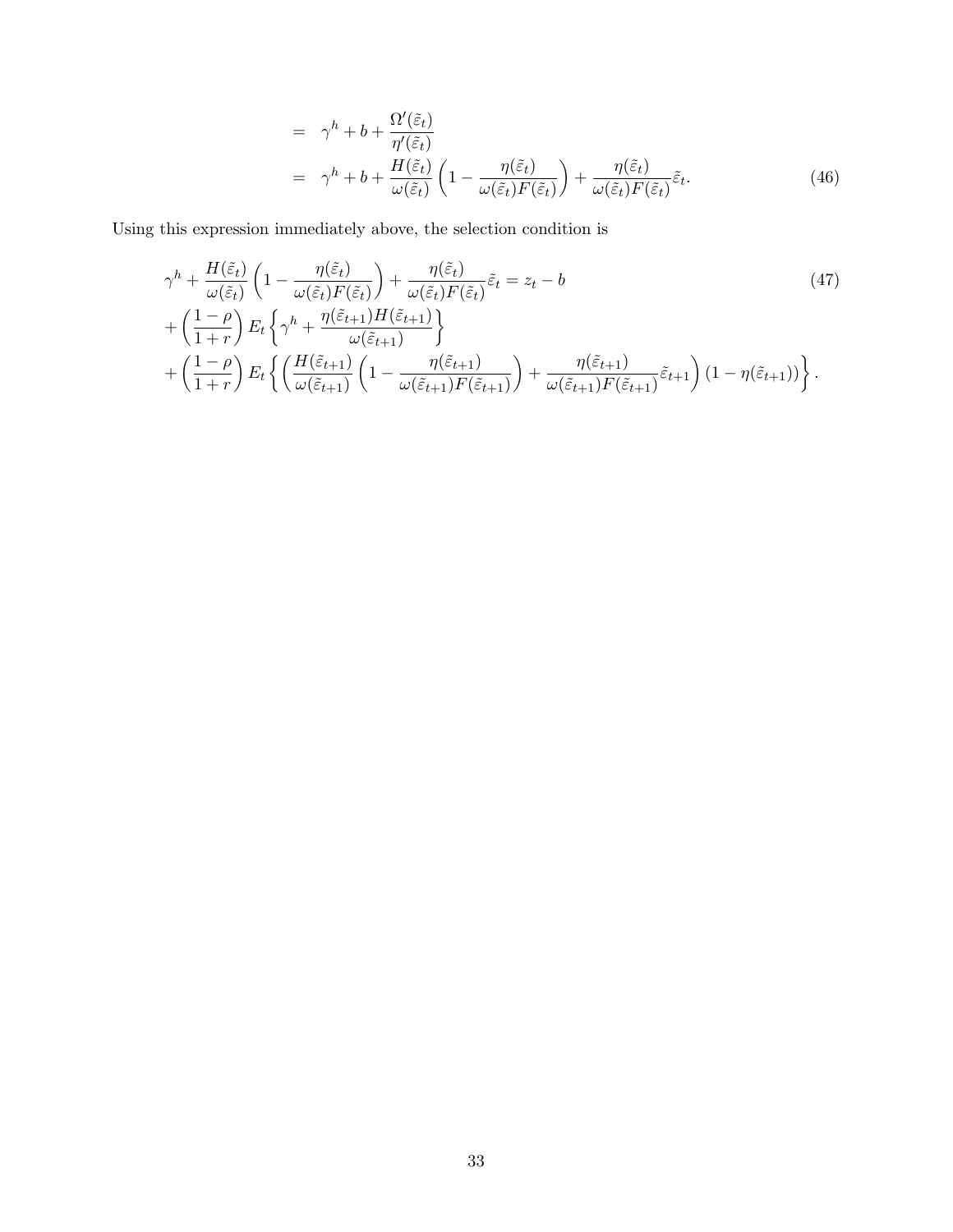$$
= \gamma^{h} + b + \frac{\Omega'(\tilde{\varepsilon}_{t})}{\eta'(\tilde{\varepsilon}_{t})}
$$
  

$$
= \gamma^{h} + b + \frac{H(\tilde{\varepsilon}_{t})}{\omega(\tilde{\varepsilon}_{t})} \left(1 - \frac{\eta(\tilde{\varepsilon}_{t})}{\omega(\tilde{\varepsilon}_{t})F(\tilde{\varepsilon}_{t})}\right) + \frac{\eta(\tilde{\varepsilon}_{t})}{\omega(\tilde{\varepsilon}_{t})F(\tilde{\varepsilon}_{t})}\tilde{\varepsilon}_{t}.
$$
(46)

Using this expression immediately above, the selection condition is

$$
\gamma^{h} + \frac{H(\tilde{\varepsilon}_{t})}{\omega(\tilde{\varepsilon}_{t})} \left(1 - \frac{\eta(\tilde{\varepsilon}_{t})}{\omega(\tilde{\varepsilon}_{t})F(\tilde{\varepsilon}_{t})}\right) + \frac{\eta(\tilde{\varepsilon}_{t})}{\omega(\tilde{\varepsilon}_{t})F(\tilde{\varepsilon}_{t})}\tilde{\varepsilon}_{t} = z_{t} - b \tag{47}
$$
\n
$$
+ \left(\frac{1-\rho}{1+r}\right) E_{t} \left\{\gamma^{h} + \frac{\eta(\tilde{\varepsilon}_{t+1})H(\tilde{\varepsilon}_{t+1})}{\omega(\tilde{\varepsilon}_{t+1})}\right\}
$$
\n
$$
+ \left(\frac{1-\rho}{1+r}\right) E_{t} \left\{\left(\frac{H(\tilde{\varepsilon}_{t+1})}{\omega(\tilde{\varepsilon}_{t+1})}\left(1 - \frac{\eta(\tilde{\varepsilon}_{t+1})}{\omega(\tilde{\varepsilon}_{t+1})F(\tilde{\varepsilon}_{t+1})}\right) + \frac{\eta(\tilde{\varepsilon}_{t+1})}{\omega(\tilde{\varepsilon}_{t+1})F(\tilde{\varepsilon}_{t+1})}\tilde{\varepsilon}_{t+1}\right) (1 - \eta(\tilde{\varepsilon}_{t+1}))\right\}.
$$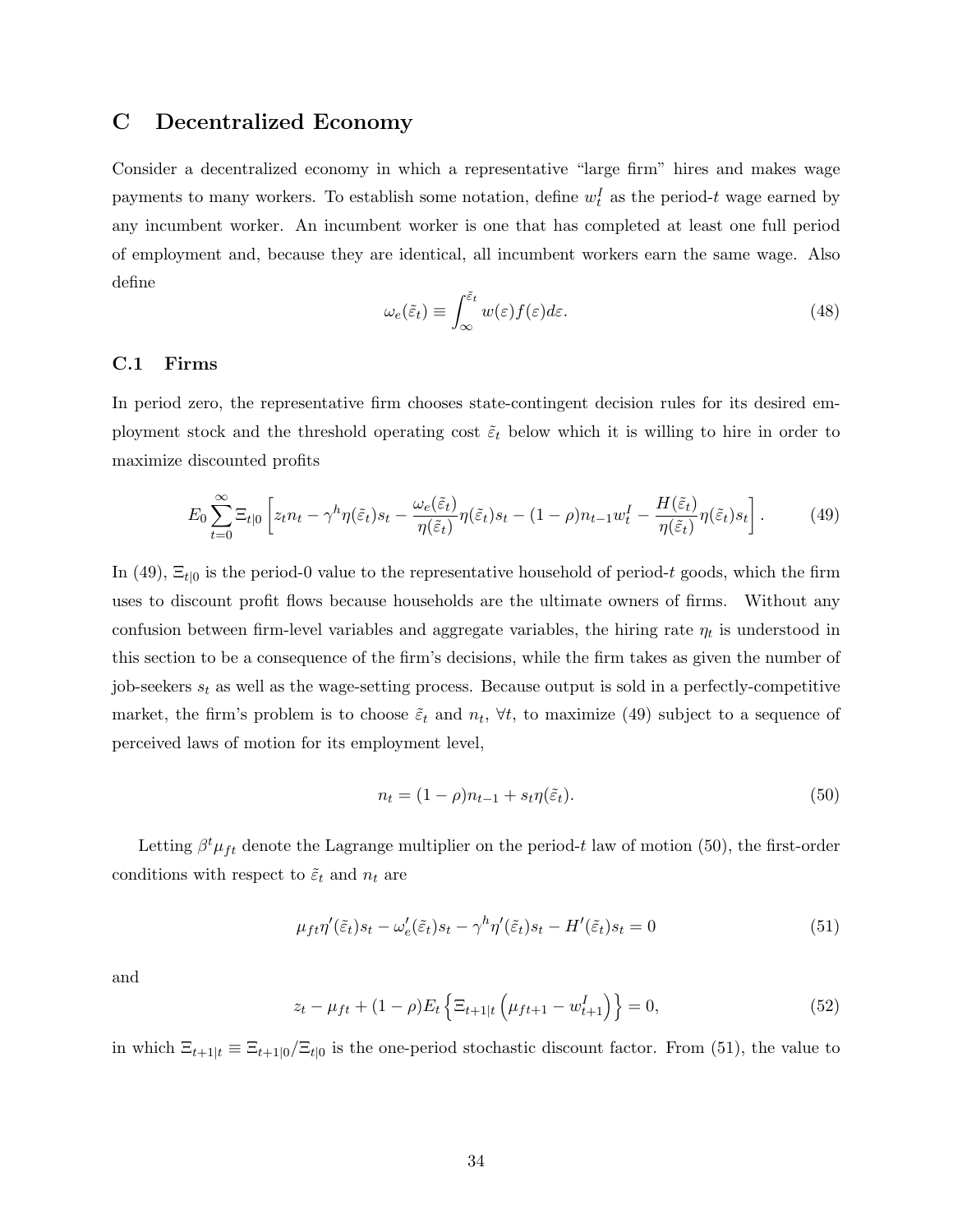# C Decentralized Economy

Consider a decentralized economy in which a representative "large firm" hires and makes wage payments to many workers. To establish some notation, define  $w_t^I$  as the period-t wage earned by any incumbent worker. An incumbent worker is one that has completed at least one full period of employment and, because they are identical, all incumbent workers earn the same wage. Also define

$$
\omega_e(\tilde{\varepsilon}_t) \equiv \int_{\infty}^{\tilde{\varepsilon}_t} w(\varepsilon) f(\varepsilon) d\varepsilon. \tag{48}
$$

#### C.1 Firms

In period zero, the representative firm chooses state-contingent decision rules for its desired employment stock and the threshold operating cost  $\tilde{\varepsilon}_t$  below which it is willing to hire in order to maximize discounted profits

$$
E_0 \sum_{t=0}^{\infty} \Xi_{t|0} \left[ z_t n_t - \gamma^h \eta(\tilde{\varepsilon}_t) s_t - \frac{\omega_e(\tilde{\varepsilon}_t)}{\eta(\tilde{\varepsilon}_t)} \eta(\tilde{\varepsilon}_t) s_t - (1 - \rho) n_{t-1} w_t^I - \frac{H(\tilde{\varepsilon}_t)}{\eta(\tilde{\varepsilon}_t)} \eta(\tilde{\varepsilon}_t) s_t \right].
$$
 (49)

In (49),  $\Xi_{t|0}$  is the period-0 value to the representative household of period-t goods, which the firm uses to discount profit flows because households are the ultimate owners of firms. Without any confusion between firm-level variables and aggregate variables, the hiring rate  $\eta_t$  is understood in this section to be a consequence of the firm's decisions, while the firm takes as given the number of job-seekers  $s_t$  as well as the wage-setting process. Because output is sold in a perfectly-competitive market, the firm's problem is to choose  $\tilde{\varepsilon}_t$  and  $n_t$ ,  $\forall t$ , to maximize (49) subject to a sequence of perceived laws of motion for its employment level,

$$
n_t = (1 - \rho)n_{t-1} + s_t \eta(\tilde{\varepsilon}_t). \tag{50}
$$

Letting  $\beta^t \mu_{ft}$  denote the Lagrange multiplier on the period-t law of motion (50), the first-order conditions with respect to  $\tilde{\varepsilon}_t$  and  $n_t$  are

$$
\mu_{ft}\eta'(\tilde{\varepsilon}_t)s_t - \omega'_e(\tilde{\varepsilon}_t)s_t - \gamma^h\eta'(\tilde{\varepsilon}_t)s_t - H'(\tilde{\varepsilon}_t)s_t = 0
$$
\n(51)

and

$$
z_t - \mu_{ft} + (1 - \rho) E_t \left\{ \Xi_{t+1|t} \left( \mu_{ft+1} - w_{t+1}^I \right) \right\} = 0, \tag{52}
$$

in which  $\Xi_{t+1|t} \equiv \Xi_{t+1|0}/\Xi_{t|0}$  is the one-period stochastic discount factor. From (51), the value to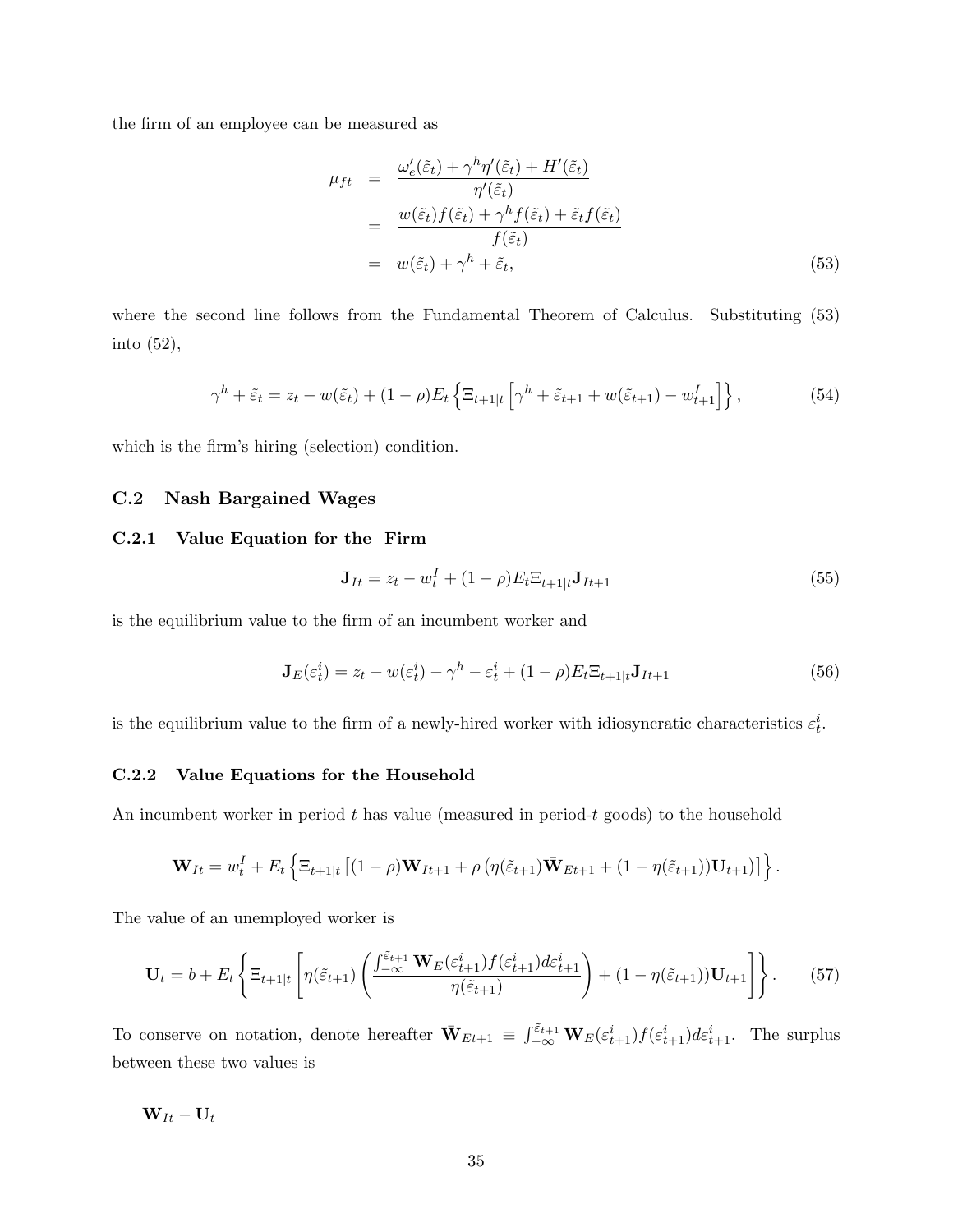the firm of an employee can be measured as

$$
\mu_{ft} = \frac{\omega'_{e}(\tilde{\varepsilon}_{t}) + \gamma^{h} \eta'(\tilde{\varepsilon}_{t}) + H'(\tilde{\varepsilon}_{t})}{\eta'(\tilde{\varepsilon}_{t})}
$$
\n
$$
= \frac{w(\tilde{\varepsilon}_{t}) f(\tilde{\varepsilon}_{t}) + \gamma^{h} f(\tilde{\varepsilon}_{t}) + \tilde{\varepsilon}_{t} f(\tilde{\varepsilon}_{t})}{f(\tilde{\varepsilon}_{t})}
$$
\n
$$
= w(\tilde{\varepsilon}_{t}) + \gamma^{h} + \tilde{\varepsilon}_{t}, \qquad (53)
$$

where the second line follows from the Fundamental Theorem of Calculus. Substituting (53) into (52),

$$
\gamma^h + \tilde{\varepsilon}_t = z_t - w(\tilde{\varepsilon}_t) + (1 - \rho) E_t \left\{ \Xi_{t+1|t} \left[ \gamma^h + \tilde{\varepsilon}_{t+1} + w(\tilde{\varepsilon}_{t+1}) - w_{t+1}^I \right] \right\},\tag{54}
$$

which is the firm's hiring (selection) condition.

### C.2 Nash Bargained Wages

#### C.2.1 Value Equation for the Firm

$$
\mathbf{J}_{It} = z_t - w_t^I + (1 - \rho) E_t \Xi_{t+1|t} \mathbf{J}_{It+1}
$$
\n(55)

is the equilibrium value to the firm of an incumbent worker and

$$
\mathbf{J}_E(\varepsilon_t^i) = z_t - w(\varepsilon_t^i) - \gamma^h - \varepsilon_t^i + (1 - \rho) E_t \Xi_{t+1|t} \mathbf{J}_{It+1}
$$
\n(56)

is the equilibrium value to the firm of a newly-hired worker with idiosyncratic characteristics  $\varepsilon_t^i$ .

#### C.2.2 Value Equations for the Household

An incumbent worker in period  $t$  has value (measured in period- $t$  goods) to the household

$$
\mathbf{W}_{It} = w_t^I + E_t \left\{ \Xi_{t+1|t} \left[ (1-\rho) \mathbf{W}_{It+1} + \rho \left( \eta(\tilde{\varepsilon}_{t+1}) \bar{\mathbf{W}}_{Et+1} + (1 - \eta(\tilde{\varepsilon}_{t+1})) \mathbf{U}_{t+1} \right) \right] \right\}.
$$

The value of an unemployed worker is

$$
\mathbf{U}_{t} = b + E_{t} \left\{ \Xi_{t+1|t} \left[ \eta(\tilde{\varepsilon}_{t+1}) \left( \frac{\int_{-\infty}^{\tilde{\varepsilon}_{t+1}} \mathbf{W}_{E}(\varepsilon_{t+1}^{i}) f(\varepsilon_{t+1}^{i}) d\varepsilon_{t+1}^{i}}{\eta(\tilde{\varepsilon}_{t+1})} \right) + (1 - \eta(\tilde{\varepsilon}_{t+1})) \mathbf{U}_{t+1} \right] \right\}.
$$
 (57)

To conserve on notation, denote hereafter  $\bar{\mathbf{W}}_{Et+1} \equiv \int_{-\infty}^{\tilde{\varepsilon}_{t+1}} \mathbf{W}_E(\varepsilon_{t+1}^i) f(\varepsilon_{t+1}^i) d\varepsilon_{t+1}^i$ . The surplus between these two values is

$$
\mathbf{W}_{It} - \mathbf{U}_t
$$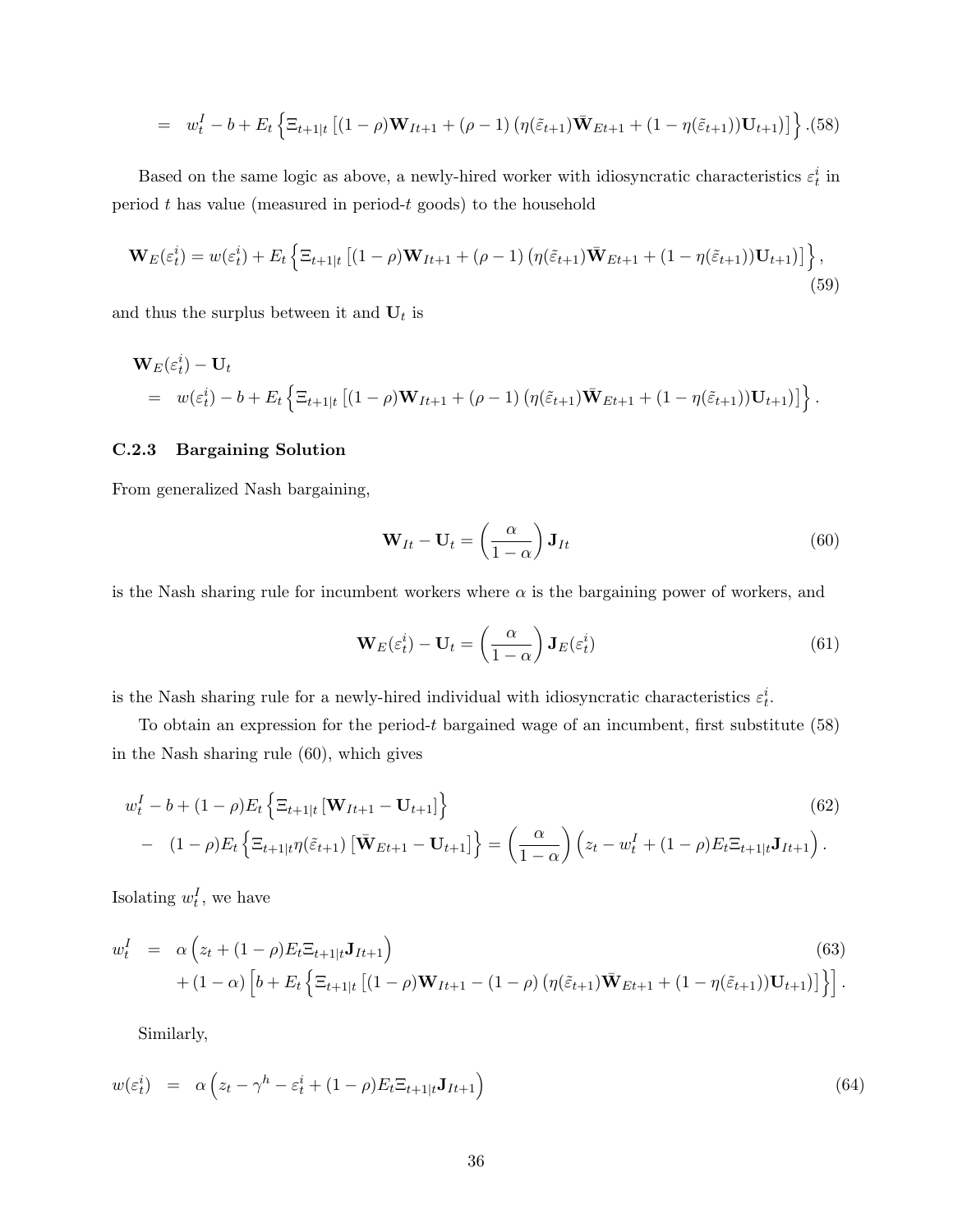$$
= w_t^I - b + E_t \left\{ \Xi_{t+1|t} \left[ (1-\rho) \mathbf{W}_{It+1} + (\rho - 1) \left( \eta(\tilde{\varepsilon}_{t+1}) \bar{\mathbf{W}}_{Et+1} + (1 - \eta(\tilde{\varepsilon}_{t+1})) \mathbf{U}_{t+1} \right) \right] \right\} . (58)
$$

Based on the same logic as above, a newly-hired worker with idiosyncratic characteristics  $\varepsilon_t^i$  in period  $t$  has value (measured in period- $t$  goods) to the household

$$
\mathbf{W}_{E}(\varepsilon_{t}^{i}) = w(\varepsilon_{t}^{i}) + E_{t} \left\{ \Xi_{t+1|t} \left[ (1-\rho)\mathbf{W}_{It+1} + (\rho - 1) \left( \eta(\tilde{\varepsilon}_{t+1})\bar{\mathbf{W}}_{Et+1} + (1 - \eta(\tilde{\varepsilon}_{t+1}))\mathbf{U}_{t+1} \right) \right] \right\},\tag{59}
$$

and thus the surplus between it and  $U_t$  is

$$
\mathbf{W}_{E}(\varepsilon_{t}^{i}) - \mathbf{U}_{t}
$$
\n
$$
= w(\varepsilon_{t}^{i}) - b + E_{t} \left\{ \Xi_{t+1|t} \left[ (1 - \rho) \mathbf{W}_{It+1} + (\rho - 1) \left( \eta(\tilde{\varepsilon}_{t+1}) \bar{\mathbf{W}}_{Et+1} + (1 - \eta(\tilde{\varepsilon}_{t+1})) \mathbf{U}_{t+1} \right) \right] \right\}.
$$

#### C.2.3 Bargaining Solution

From generalized Nash bargaining,

$$
\mathbf{W}_{It} - \mathbf{U}_t = \left(\frac{\alpha}{1 - \alpha}\right) \mathbf{J}_{It}
$$
\n(60)

is the Nash sharing rule for incumbent workers where  $\alpha$  is the bargaining power of workers, and

$$
\mathbf{W}_E(\varepsilon_t^i) - \mathbf{U}_t = \left(\frac{\alpha}{1-\alpha}\right) \mathbf{J}_E(\varepsilon_t^i)
$$
\n(61)

is the Nash sharing rule for a newly-hired individual with idiosyncratic characteristics  $\varepsilon_t^i$ .

To obtain an expression for the period- $t$  bargained wage of an incumbent, first substitute  $(58)$ in the Nash sharing rule (60), which gives

$$
w_t^I - b + (1 - \rho) E_t \left\{ \Xi_{t+1|t} \left[ \mathbf{W}_{It+1} - \mathbf{U}_{t+1} \right] \right\}
$$
(62)  
- 
$$
(1 - \rho) E_t \left\{ \Xi_{t+1|t} \eta(\tilde{\varepsilon}_{t+1}) \left[ \bar{\mathbf{W}}_{Et+1} - \mathbf{U}_{t+1} \right] \right\} = \left( \frac{\alpha}{1 - \alpha} \right) \left( z_t - w_t^I + (1 - \rho) E_t \Xi_{t+1|t} \mathbf{J}_{It+1} \right).
$$

Isolating  $w_t^I$ , we have

$$
w_t^I = \alpha \left( z_t + (1 - \rho) E_t \Xi_{t+1|t} \mathbf{J}_{It+1} \right)
$$
\n
$$
+ (1 - \alpha) \left[ b + E_t \left\{ \Xi_{t+1|t} \left[ (1 - \rho) \mathbf{W}_{It+1} - (1 - \rho) \left( \eta(\tilde{\varepsilon}_{t+1}) \bar{\mathbf{W}}_{Et+1} + (1 - \eta(\tilde{\varepsilon}_{t+1})) \mathbf{U}_{t+1} \right) \right] \right\} \right].
$$
\n(63)

Similarly,

$$
w(\varepsilon_t^i) = \alpha \left( z_t - \gamma^h - \varepsilon_t^i + (1 - \rho) E_t \Xi_{t+1|t} \mathbf{J}_{It+1} \right) \tag{64}
$$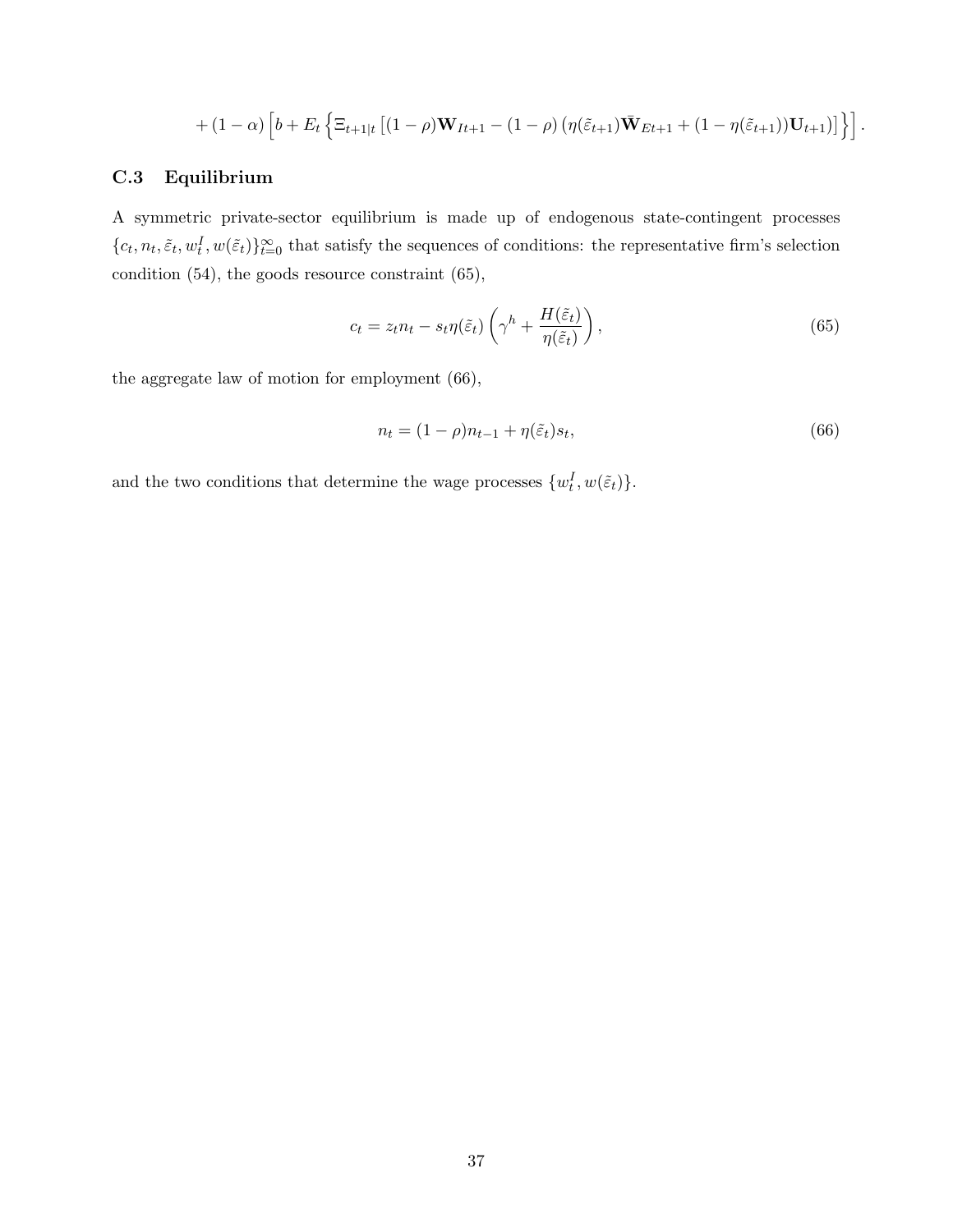$$
+(1-\alpha)\left[b+E_t\left\{\Xi_{t+1|t}\left[(1-\rho)\mathbf{W}_{It+1}-(1-\rho)\left(\eta(\tilde{\varepsilon}_{t+1})\bar{\mathbf{W}}_{Et+1}+(1-\eta(\tilde{\varepsilon}_{t+1}))\mathbf{U}_{t+1}\right)\right]\right\}\right].
$$

# C.3 Equilibrium

A symmetric private-sector equilibrium is made up of endogenous state-contingent processes  ${c_t, n_t, \tilde{\varepsilon}_t, w_t^I, w(\tilde{\varepsilon}_t)\}_{t=0}^{\infty}$  that satisfy the sequences of conditions: the representative firm's selection condition (54), the goods resource constraint (65),

$$
c_t = z_t n_t - s_t \eta(\tilde{\varepsilon}_t) \left(\gamma^h + \frac{H(\tilde{\varepsilon}_t)}{\eta(\tilde{\varepsilon}_t)}\right),\tag{65}
$$

the aggregate law of motion for employment (66),

$$
n_t = (1 - \rho)n_{t-1} + \eta(\tilde{\varepsilon}_t)s_t,
$$
\n(66)

and the two conditions that determine the wage processes  $\{w_t^I, w(\tilde{\varepsilon}_t)\}.$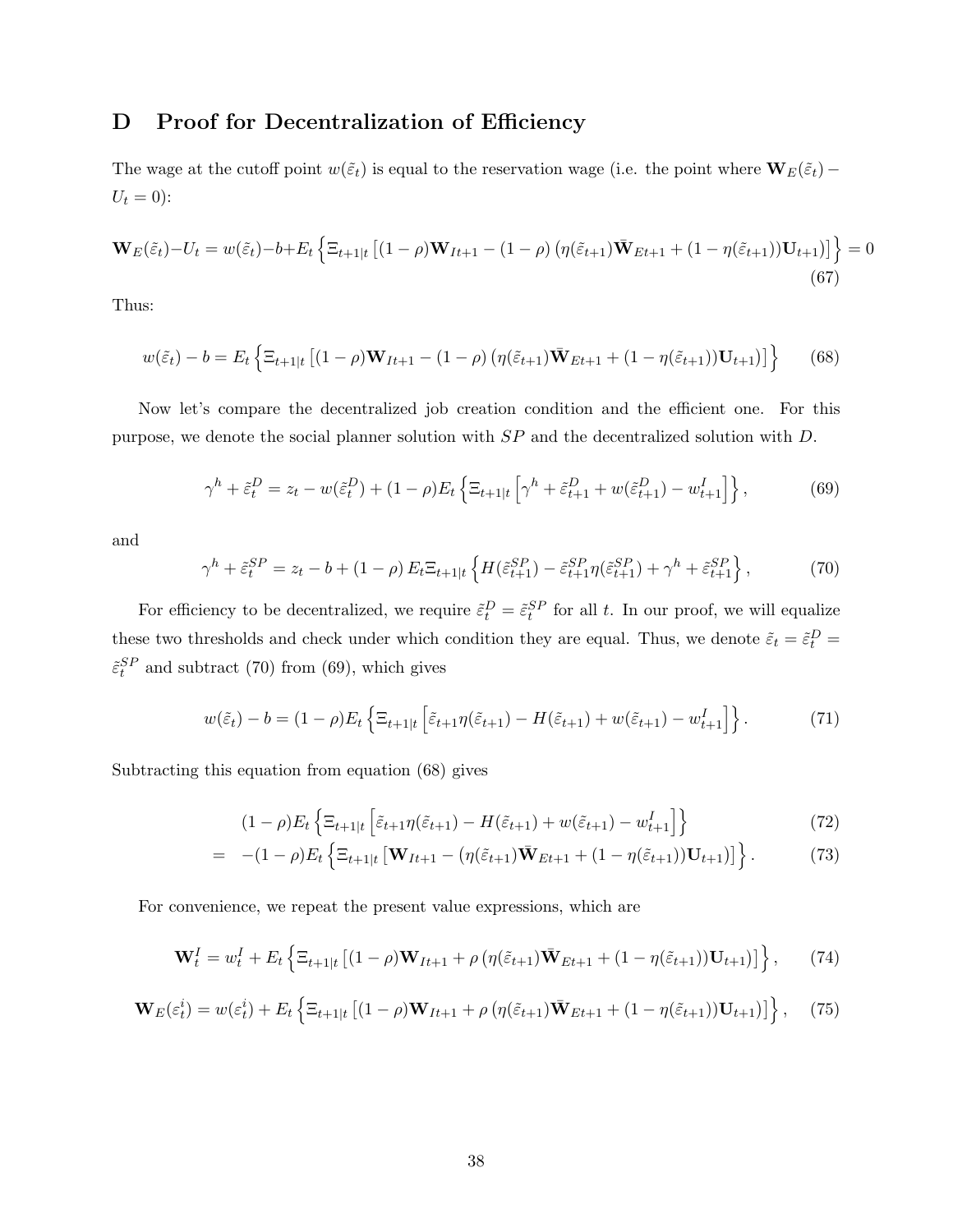# D Proof for Decentralization of Efficiency

The wage at the cutoff point  $w(\tilde{\varepsilon}_t)$  is equal to the reservation wage (i.e. the point where  $\mathbf{W}_E(\tilde{\varepsilon}_t)$  –  $U_t = 0$ :

$$
\mathbf{W}_{E}(\tilde{\varepsilon}_{t})-U_{t}=w(\tilde{\varepsilon}_{t})-b+E_{t}\left\{\Xi_{t+1|t}\left[(1-\rho)\mathbf{W}_{It+1}-(1-\rho)\left(\eta(\tilde{\varepsilon}_{t+1})\bar{\mathbf{W}}_{Et+1}+(1-\eta(\tilde{\varepsilon}_{t+1}))\mathbf{U}_{t+1}\right)\right]\right\}=0
$$
\n(67)

Thus:

$$
w(\tilde{\varepsilon}_t) - b = E_t \left\{ \Xi_{t+1|t} \left[ (1 - \rho) \mathbf{W}_{It+1} - (1 - \rho) \left( \eta(\tilde{\varepsilon}_{t+1}) \bar{\mathbf{W}}_{Et+1} + (1 - \eta(\tilde{\varepsilon}_{t+1})) \mathbf{U}_{t+1} \right) \right] \right\}
$$
(68)

Now let's compare the decentralized job creation condition and the efficient one. For this purpose, we denote the social planner solution with SP and the decentralized solution with D.

$$
\gamma^h + \tilde{\varepsilon}_t^D = z_t - w(\tilde{\varepsilon}_t^D) + (1 - \rho) E_t \left\{ \Xi_{t+1|t} \left[ \gamma^h + \tilde{\varepsilon}_{t+1}^D + w(\tilde{\varepsilon}_{t+1}^D) - w_{t+1}^I \right] \right\},\tag{69}
$$

and

$$
\gamma^h + \tilde{\varepsilon}_t^{SP} = z_t - b + (1 - \rho) E_t \Xi_{t+1|t} \left\{ H(\tilde{\varepsilon}_{t+1}^{SP}) - \tilde{\varepsilon}_{t+1}^{SP} \eta(\tilde{\varepsilon}_{t+1}^{SP}) + \gamma^h + \tilde{\varepsilon}_{t+1}^{SP} \right\},\tag{70}
$$

For efficiency to be decentralized, we require  $\tilde{\varepsilon}_t^D = \tilde{\varepsilon}_t^{SP}$  for all t. In our proof, we will equalize these two thresholds and check under which condition they are equal. Thus, we denote  $\tilde{\varepsilon}_t = \tilde{\varepsilon}_t^D$  $\tilde{\epsilon}_t^{SP}$  and subtract (70) from (69), which gives

$$
w(\tilde{\varepsilon}_t) - b = (1 - \rho) E_t \left\{ \Xi_{t+1|t} \left[ \tilde{\varepsilon}_{t+1} \eta(\tilde{\varepsilon}_{t+1}) - H(\tilde{\varepsilon}_{t+1}) + w(\tilde{\varepsilon}_{t+1}) - w_{t+1}^I \right] \right\}.
$$
 (71)

Subtracting this equation from equation (68) gives

$$
(1 - \rho)E_t \left\{ \Xi_{t+1|t} \left[ \tilde{\varepsilon}_{t+1} \eta(\tilde{\varepsilon}_{t+1}) - H(\tilde{\varepsilon}_{t+1}) + w(\tilde{\varepsilon}_{t+1}) - w_{t+1}^I \right] \right\}
$$
(72)

$$
= -(1 - \rho) E_t \left\{ \Xi_{t+1|t} \left[ \mathbf{W}_{It+1} - (\eta(\tilde{\varepsilon}_{t+1}) \bar{\mathbf{W}}_{Et+1} + (1 - \eta(\tilde{\varepsilon}_{t+1})) \mathbf{U}_{t+1}) \right] \right\}.
$$
 (73)

For convenience, we repeat the present value expressions, which are

$$
\mathbf{W}_{t}^{I} = w_{t}^{I} + E_{t} \left\{ \Xi_{t+1|t} \left[ (1 - \rho) \mathbf{W}_{It+1} + \rho \left( \eta(\tilde{\varepsilon}_{t+1}) \bar{\mathbf{W}}_{Et+1} + (1 - \eta(\tilde{\varepsilon}_{t+1})) \mathbf{U}_{t+1} \right) \right] \right\}, \qquad (74)
$$

$$
\mathbf{W}_{E}(\varepsilon_{t}^{i}) = w(\varepsilon_{t}^{i}) + E_{t} \left\{ \Xi_{t+1|t} \left[ (1-\rho)\mathbf{W}_{It+1} + \rho \left( \eta(\tilde{\varepsilon}_{t+1})\bar{\mathbf{W}}_{Et+1} + (1-\eta(\tilde{\varepsilon}_{t+1}))\mathbf{U}_{t+1} \right) \right] \right\}, \quad (75)
$$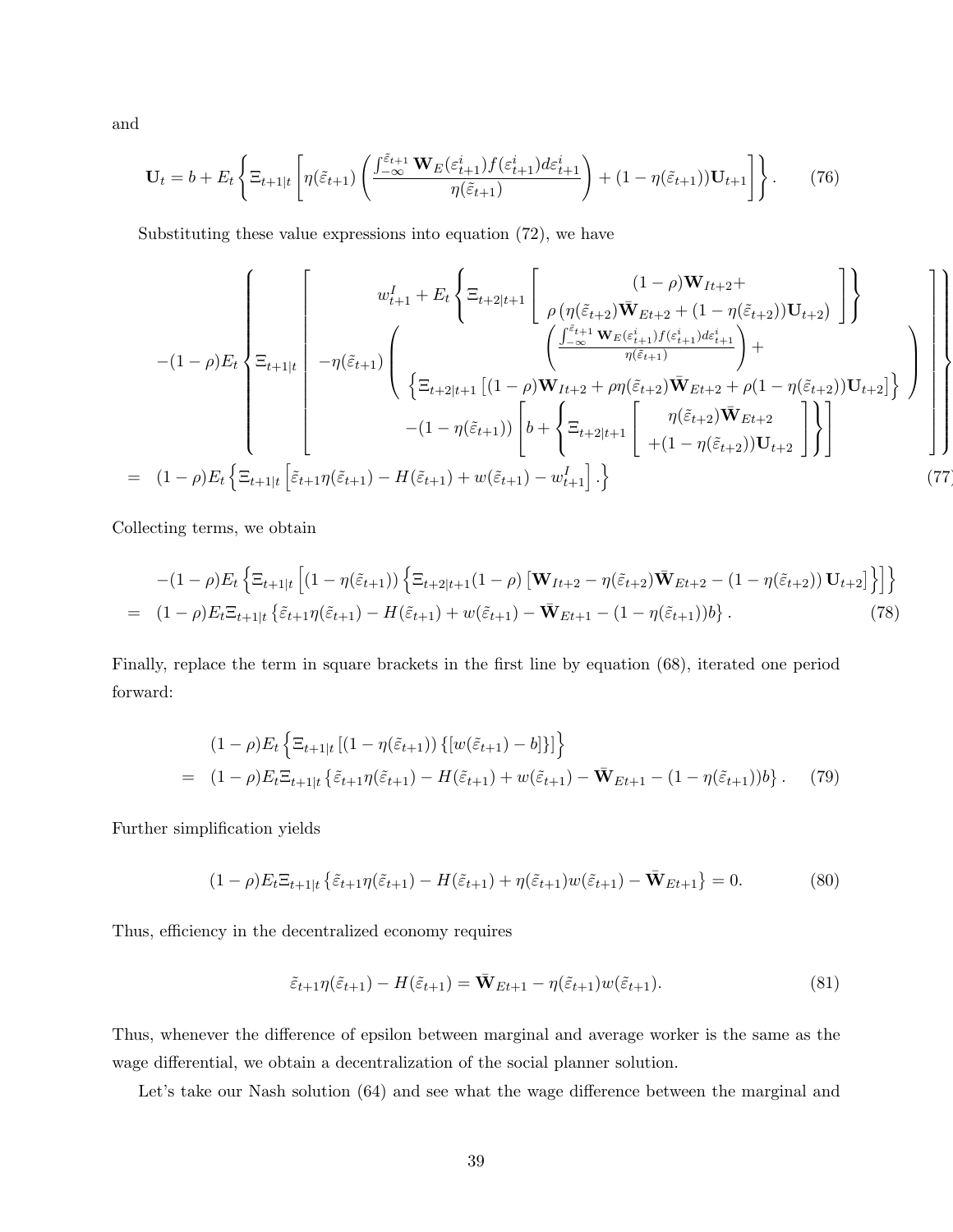and

$$
\mathbf{U}_t = b + E_t \left\{ \Xi_{t+1|t} \left[ \eta(\tilde{\varepsilon}_{t+1}) \left( \frac{\int_{-\infty}^{\tilde{\varepsilon}_{t+1}} \mathbf{W}_E(\varepsilon_{t+1}^i) f(\varepsilon_{t+1}^i) d\varepsilon_{t+1}^i}{\eta(\tilde{\varepsilon}_{t+1})} \right) + (1 - \eta(\tilde{\varepsilon}_{t+1})) \mathbf{U}_{t+1} \right] \right\}.
$$
 (76)

Substituting these value expressions into equation (72), we have

$$
-(1-\rho)E_{t}\left\{\Xi_{t+1|t}\left[\begin{array}{c}w_{t+1}^{I}+E_{t}\left\{\Xi_{t+2|t+1}\left[\begin{array}{c} (1-\rho)\mathbf{W}_{It+2}+\\ \rho\left(\eta(\tilde{\varepsilon}_{t+2})\mathbf{\bar{W}}_{Et+2}+(1-\eta(\tilde{\varepsilon}_{t+2}))\mathbf{U}_{t+2}\right)\end{array}\right]\right\} \\ - (1-\rho)E_{t}\left\{\Xi_{t+1|t}\left[\begin{array}{c} -\eta(\tilde{\varepsilon}_{t+1})\left(\frac{\int_{-\infty}^{\tilde{\varepsilon}_{t+1}}\mathbf{W}_{E}(\varepsilon_{t+1}^{i})f(\varepsilon_{t+1}^{i})d\varepsilon_{t+1}^{i}}{\eta(\tilde{\varepsilon}_{t+1})}+\right)+\\ \left\{\Xi_{t+2|t+1}\left[(1-\rho)\mathbf{W}_{It+2}+\rho\eta(\tilde{\varepsilon}_{t+2})\mathbf{\bar{W}}_{Et+2}+\rho(1-\eta(\tilde{\varepsilon}_{t+2}))\mathbf{U}_{t+2}\right]\right\}\end{array}\right\}\right\}
$$

$$
= (1-\rho)E_{t}\left\{\Xi_{t+1|t}\left[\tilde{\varepsilon}_{t+1}\eta(\tilde{\varepsilon}_{t+1})-H(\tilde{\varepsilon}_{t+1})+w(\tilde{\varepsilon}_{t+1})-w_{t+1}^{I}\right]\cdot\right\}
$$
(77)

Collecting terms, we obtain

$$
-(1-\rho)E_t \left\{ \Xi_{t+1|t} \left[ (1-\eta(\tilde{\varepsilon}_{t+1})) \left\{ \Xi_{t+2|t+1}(1-\rho) \left[ \mathbf{W}_{It+2} - \eta(\tilde{\varepsilon}_{t+2}) \bar{\mathbf{W}}_{Et+2} - (1-\eta(\tilde{\varepsilon}_{t+2})) \mathbf{U}_{t+2} \right] \right\} \right] \right\}
$$
  
= 
$$
(1-\rho)E_t \Xi_{t+1|t} \left\{ \tilde{\varepsilon}_{t+1} \eta(\tilde{\varepsilon}_{t+1}) - H(\tilde{\varepsilon}_{t+1}) + w(\tilde{\varepsilon}_{t+1}) - \bar{\mathbf{W}}_{Et+1} - (1-\eta(\tilde{\varepsilon}_{t+1}))b \right\}.
$$
 (78)

Finally, replace the term in square brackets in the first line by equation (68), iterated one period forward:

$$
(1 - \rho) E_t \left\{ \Xi_{t+1|t} \left[ (1 - \eta(\tilde{\varepsilon}_{t+1})) \{ [w(\tilde{\varepsilon}_{t+1}) - b] \} \right] \right\}
$$
  
= 
$$
(1 - \rho) E_t \Xi_{t+1|t} \left\{ \tilde{\varepsilon}_{t+1} \eta(\tilde{\varepsilon}_{t+1}) - H(\tilde{\varepsilon}_{t+1}) + w(\tilde{\varepsilon}_{t+1}) - \bar{\mathbf{W}}_{Et+1} - (1 - \eta(\tilde{\varepsilon}_{t+1})) b \right\}.
$$
 (79)

Further simplification yields

$$
(1 - \rho)E_t \Xi_{t+1|t} \left\{ \tilde{\varepsilon}_{t+1} \eta(\tilde{\varepsilon}_{t+1}) - H(\tilde{\varepsilon}_{t+1}) + \eta(\tilde{\varepsilon}_{t+1}) w(\tilde{\varepsilon}_{t+1}) - \bar{\mathbf{W}}_{Et+1} \right\} = 0. \tag{80}
$$

Thus, efficiency in the decentralized economy requires

$$
\tilde{\varepsilon}_{t+1}\eta(\tilde{\varepsilon}_{t+1}) - H(\tilde{\varepsilon}_{t+1}) = \bar{\mathbf{W}}_{Et+1} - \eta(\tilde{\varepsilon}_{t+1})w(\tilde{\varepsilon}_{t+1}).\tag{81}
$$

Thus, whenever the difference of epsilon between marginal and average worker is the same as the wage differential, we obtain a decentralization of the social planner solution.

Let's take our Nash solution (64) and see what the wage difference between the marginal and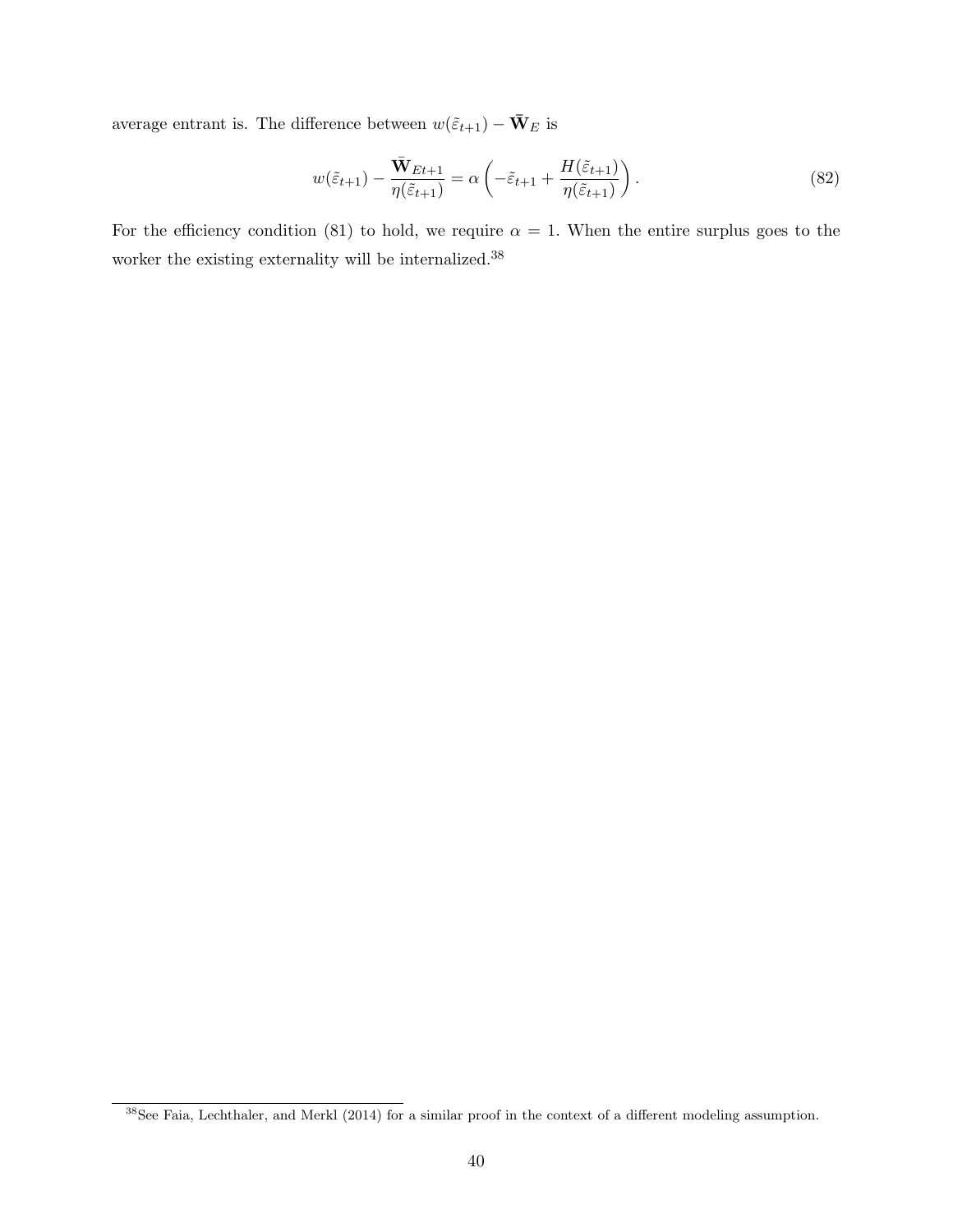average entrant is. The difference between  $w(\tilde{\varepsilon}_{t+1}) - \bar{\mathbf{W}}_{E}$  is

$$
w(\tilde{\varepsilon}_{t+1}) - \frac{\bar{\mathbf{W}}_{Et+1}}{\eta(\tilde{\varepsilon}_{t+1})} = \alpha \left( -\tilde{\varepsilon}_{t+1} + \frac{H(\tilde{\varepsilon}_{t+1})}{\eta(\tilde{\varepsilon}_{t+1})} \right). \tag{82}
$$

For the efficiency condition (81) to hold, we require  $\alpha = 1$ . When the entire surplus goes to the worker the existing externality will be internalized.  $^{38}$ 

 $38$ See Faia, Lechthaler, and Merkl (2014) for a similar proof in the context of a different modeling assumption.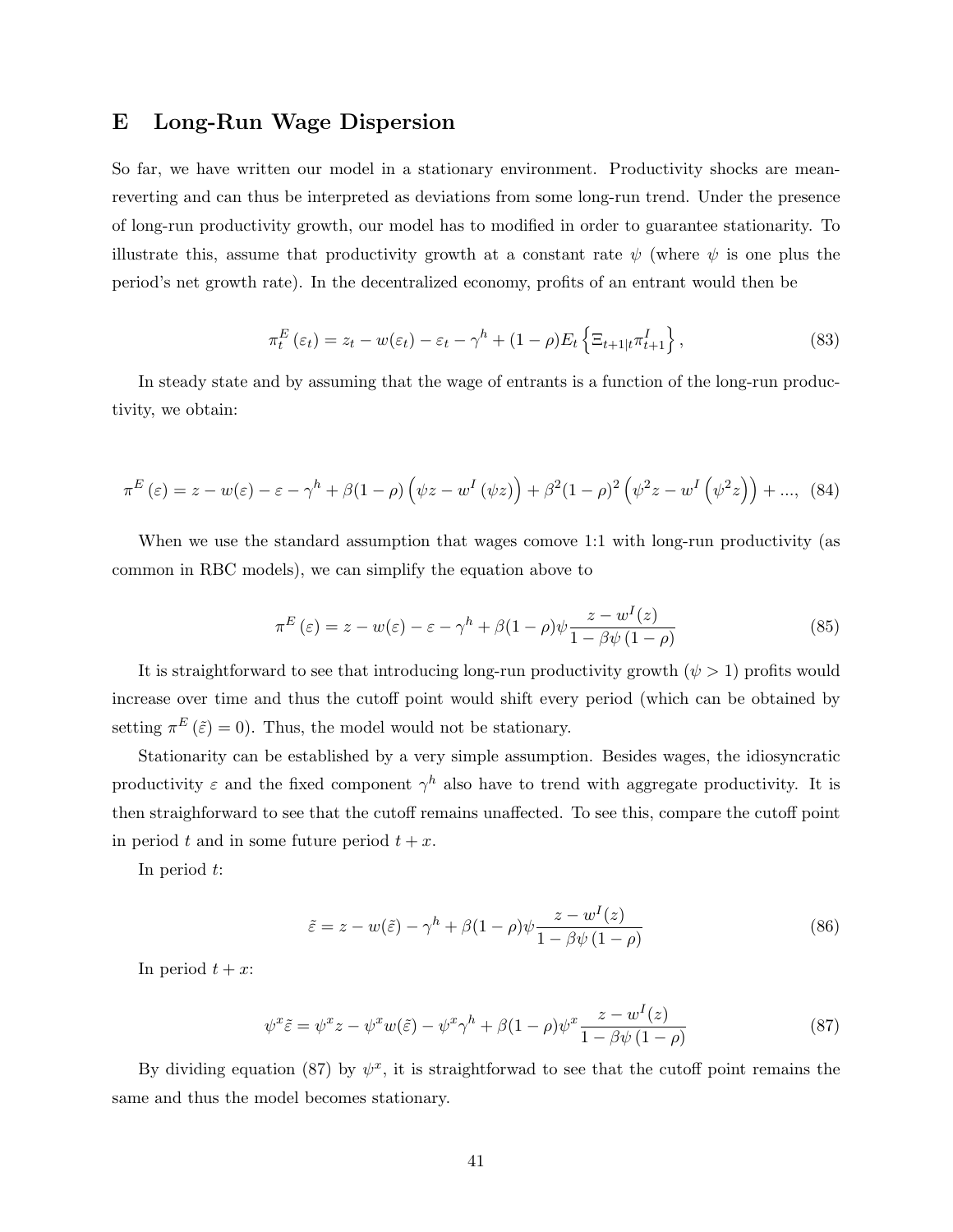# E Long-Run Wage Dispersion

So far, we have written our model in a stationary environment. Productivity shocks are meanreverting and can thus be interpreted as deviations from some long-run trend. Under the presence of long-run productivity growth, our model has to modified in order to guarantee stationarity. To illustrate this, assume that productivity growth at a constant rate  $\psi$  (where  $\psi$  is one plus the period's net growth rate). In the decentralized economy, profits of an entrant would then be

$$
\pi_t^E(\varepsilon_t) = z_t - w(\varepsilon_t) - \varepsilon_t - \gamma^h + (1 - \rho) E_t \left\{ \Xi_{t+1|t} \pi_{t+1}^I \right\},\tag{83}
$$

In steady state and by assuming that the wage of entrants is a function of the long-run productivity, we obtain:

$$
\pi^{E}(\varepsilon) = z - w(\varepsilon) - \varepsilon - \gamma^{h} + \beta(1 - \rho) \left(\psi z - w^{I}(\psi z)\right) + \beta^{2}(1 - \rho)^{2} \left(\psi^{2} z - w^{I}(\psi^{2} z)\right) + \dots, (84)
$$

When we use the standard assumption that wages comove 1:1 with long-run productivity (as common in RBC models), we can simplify the equation above to

$$
\pi^{E}(\varepsilon) = z - w(\varepsilon) - \varepsilon - \gamma^{h} + \beta (1 - \rho) \psi \frac{z - w^{I}(z)}{1 - \beta \psi (1 - \rho)}
$$
(85)

It is straightforward to see that introducing long-run productivity growth  $(\psi > 1)$  profits would increase over time and thus the cutoff point would shift every period (which can be obtained by setting  $\pi^{E}(\tilde{\varepsilon}) = 0$ . Thus, the model would not be stationary.

Stationarity can be established by a very simple assumption. Besides wages, the idiosyncratic productivity  $\varepsilon$  and the fixed component  $\gamma^h$  also have to trend with aggregate productivity. It is then straighforward to see that the cutoff remains unaffected. To see this, compare the cutoff point in period t and in some future period  $t + x$ .

In period  $t$ :

$$
\tilde{\varepsilon} = z - w(\tilde{\varepsilon}) - \gamma^h + \beta (1 - \rho) \psi \frac{z - w^I(z)}{1 - \beta \psi (1 - \rho)}
$$
\n(86)

In period  $t + x$ :

$$
\psi^x \tilde{\varepsilon} = \psi^x z - \psi^x w(\tilde{\varepsilon}) - \psi^x \gamma^h + \beta (1 - \rho) \psi^x \frac{z - w^I(z)}{1 - \beta \psi (1 - \rho)}
$$
(87)

By dividing equation (87) by  $\psi^x$ , it is straightforwad to see that the cutoff point remains the same and thus the model becomes stationary.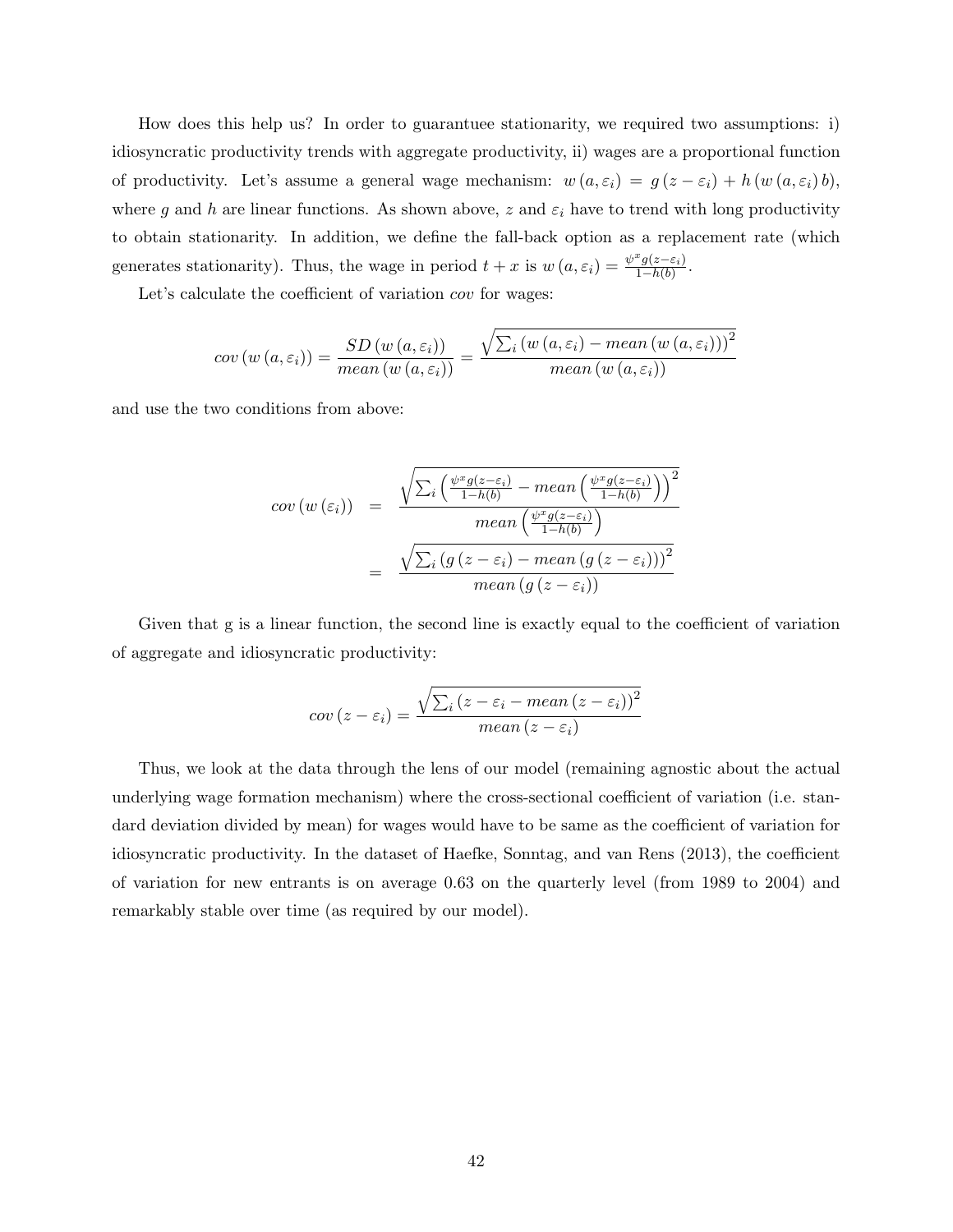How does this help us? In order to guarantuee stationarity, we required two assumptions: i) idiosyncratic productivity trends with aggregate productivity, ii) wages are a proportional function of productivity. Let's assume a general wage mechanism:  $w(a, \varepsilon_i) = g(z - \varepsilon_i) + h(w(a, \varepsilon_i) b)$ , where g and h are linear functions. As shown above, z and  $\varepsilon_i$  have to trend with long productivity to obtain stationarity. In addition, we define the fall-back option as a replacement rate (which generates stationarity). Thus, the wage in period  $t + x$  is  $w(a, \varepsilon_i) = \frac{\psi^x g(z - \varepsilon_i)}{1 - h(b)}$  $\frac{g(z-\varepsilon_i)}{1-h(b)}$ .

Let's calculate the coefficient of variation *cov* for wages:

$$
cov(w(a, \varepsilon_i)) = \frac{SD(w(a, \varepsilon_i))}{mean(w(a, \varepsilon_i))} = \frac{\sqrt{\sum_i (w(a, \varepsilon_i) - mean(w(a, \varepsilon_i)))^2}}{mean(w(a, \varepsilon_i))}
$$

and use the two conditions from above:

$$
cov(w(\varepsilon_i)) = \frac{\sqrt{\sum_i \left(\frac{\psi^x g(z-\varepsilon_i)}{1-h(b)} - mean\left(\frac{\psi^x g(z-\varepsilon_i)}{1-h(b)}\right)\right)^2}}{mean\left(\frac{\psi^x g(z-\varepsilon_i)}{1-h(b)}\right)}
$$

$$
= \frac{\sqrt{\sum_i \left(g\left(z-\varepsilon_i\right) - mean\left(g\left(z-\varepsilon_i\right)\right)\right)^2}}{mean\left(g\left(z-\varepsilon_i\right)\right)}
$$

Given that g is a linear function, the second line is exactly equal to the coefficient of variation of aggregate and idiosyncratic productivity:

$$
cov(z - \varepsilon_i) = \frac{\sqrt{\sum_i (z - \varepsilon_i - mean (z - \varepsilon_i))^2}}{mean (z - \varepsilon_i)}
$$

Thus, we look at the data through the lens of our model (remaining agnostic about the actual underlying wage formation mechanism) where the cross-sectional coefficient of variation (i.e. standard deviation divided by mean) for wages would have to be same as the coefficient of variation for idiosyncratic productivity. In the dataset of Haefke, Sonntag, and van Rens (2013), the coefficient of variation for new entrants is on average 0.63 on the quarterly level (from 1989 to 2004) and remarkably stable over time (as required by our model).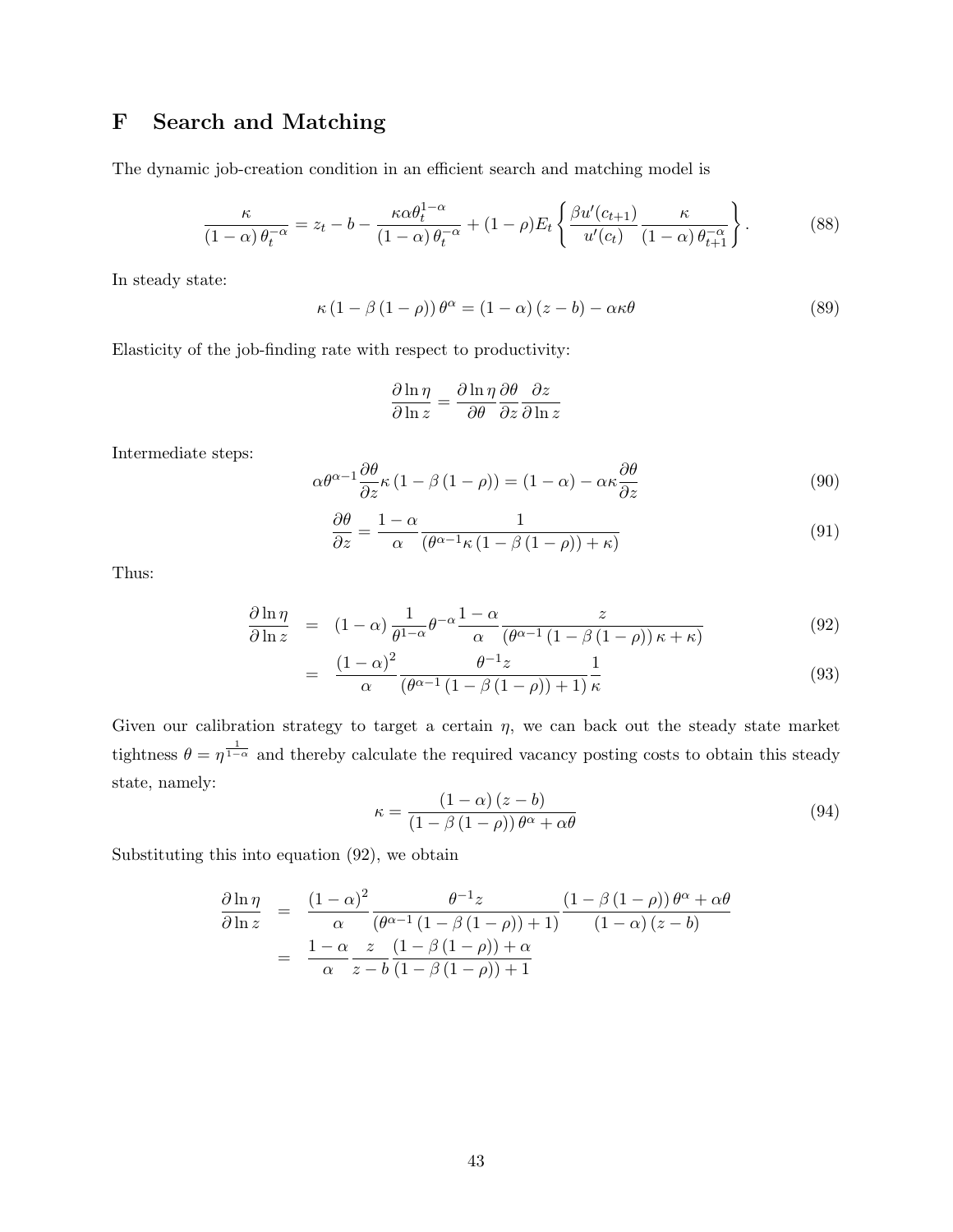# F Search and Matching

The dynamic job-creation condition in an efficient search and matching model is

$$
\frac{\kappa}{(1-\alpha)\,\theta_t^{-\alpha}} = z_t - b - \frac{\kappa \alpha \theta_t^{1-\alpha}}{(1-\alpha)\,\theta_t^{-\alpha}} + (1-\rho)E_t \left\{ \frac{\beta u'(c_{t+1})}{u'(c_t)} \frac{\kappa}{(1-\alpha)\,\theta_{t+1}^{-\alpha}} \right\}.
$$
 (88)

In steady state:

$$
\kappa (1 - \beta (1 - \rho)) \theta^{\alpha} = (1 - \alpha) (z - b) - \alpha \kappa \theta \tag{89}
$$

Elasticity of the job-finding rate with respect to productivity:

$$
\frac{\partial \ln \eta}{\partial \ln z} = \frac{\partial \ln \eta}{\partial \theta} \frac{\partial \theta}{\partial z} \frac{\partial z}{\partial \ln z}
$$

Intermediate steps:

$$
\alpha \theta^{\alpha - 1} \frac{\partial \theta}{\partial z} \kappa (1 - \beta (1 - \rho)) = (1 - \alpha) - \alpha \kappa \frac{\partial \theta}{\partial z}
$$
(90)

$$
\frac{\partial \theta}{\partial z} = \frac{1 - \alpha}{\alpha} \frac{1}{(\theta^{\alpha - 1} \kappa (1 - \beta (1 - \rho)) + \kappa)}
$$
(91)

Thus:

$$
\frac{\partial \ln \eta}{\partial \ln z} = (1 - \alpha) \frac{1}{\theta^{1 - \alpha}} \theta^{-\alpha} \frac{1 - \alpha}{\alpha} \frac{z}{(\theta^{\alpha - 1} (1 - \beta (1 - \rho)) \kappa + \kappa)}
$$
(92)

$$
= \frac{\left(1-\alpha\right)^2}{\alpha} \frac{\theta^{-1}z}{\left(\theta^{\alpha-1}\left(1-\beta\left(1-\rho\right)\right)+1\right)} \frac{1}{\kappa} \tag{93}
$$

Given our calibration strategy to target a certain  $\eta$ , we can back out the steady state market tightness  $\theta = \eta^{\frac{1}{1-\alpha}}$  and thereby calculate the required vacancy posting costs to obtain this steady state, namely:

$$
\kappa = \frac{\left(1 - \alpha\right)\left(z - b\right)}{\left(1 - \beta\left(1 - \rho\right)\right)\theta^{\alpha} + \alpha\theta} \tag{94}
$$

Substituting this into equation (92), we obtain

$$
\frac{\partial \ln \eta}{\partial \ln z} = \frac{(1-\alpha)^2}{\alpha} \frac{\theta^{-1} z}{(\theta^{\alpha-1} (1-\beta(1-\rho))+1)} \frac{(1-\beta(1-\rho)) \theta^{\alpha} + \alpha \theta}{(1-\alpha)(z-b)}
$$

$$
= \frac{1-\alpha}{\alpha} \frac{z}{z-b} \frac{(1-\beta(1-\rho))+\alpha}{(1-\beta(1-\rho))+1}
$$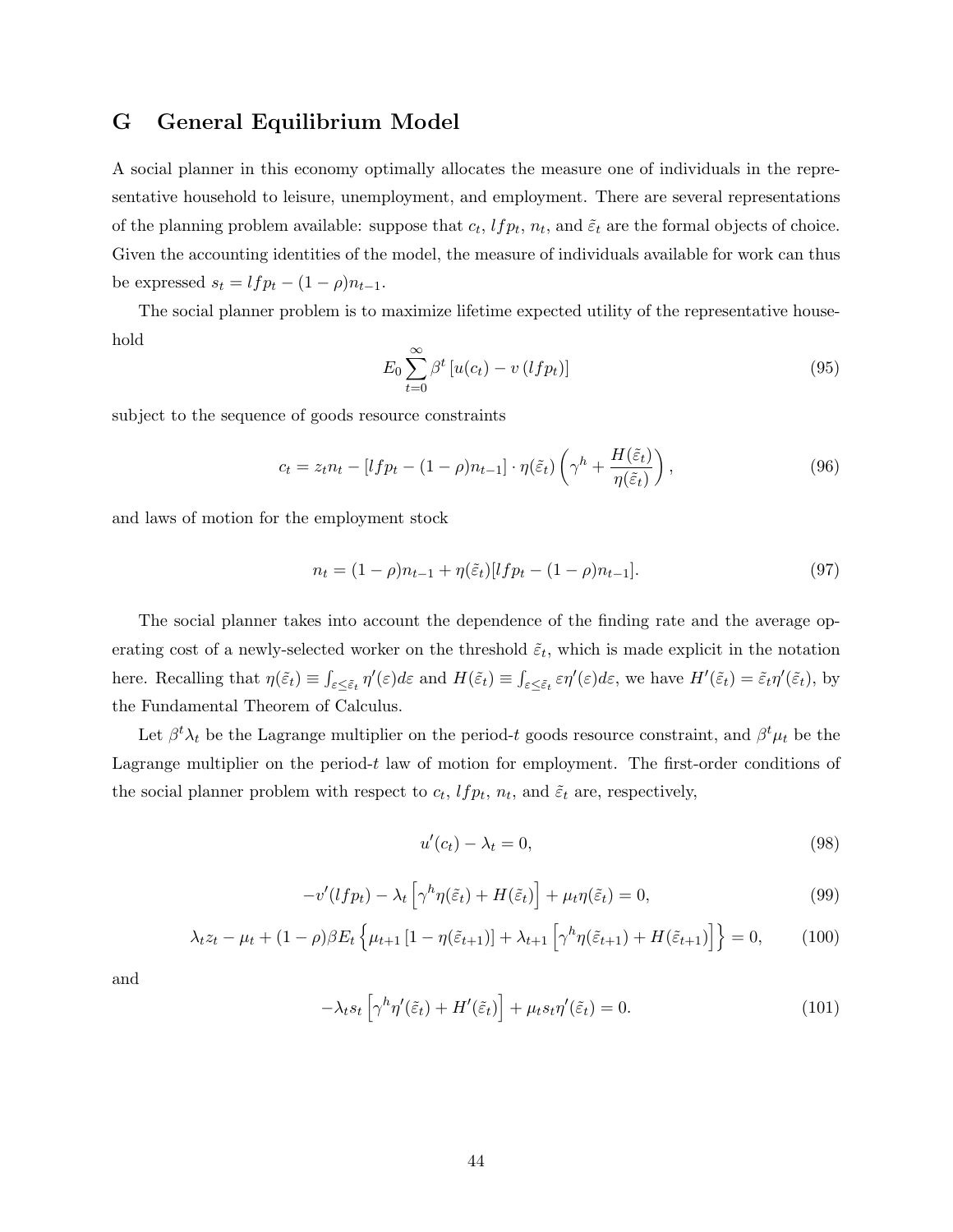# G General Equilibrium Model

A social planner in this economy optimally allocates the measure one of individuals in the representative household to leisure, unemployment, and employment. There are several representations of the planning problem available: suppose that  $c_t$ ,  $lfp_t$ ,  $n_t$ , and  $\tilde{\varepsilon}_t$  are the formal objects of choice. Given the accounting identities of the model, the measure of individuals available for work can thus be expressed  $s_t = lfp_t - (1 - \rho)n_{t-1}$ .

The social planner problem is to maximize lifetime expected utility of the representative household

$$
E_0 \sum_{t=0}^{\infty} \beta^t \left[ u(c_t) - v(lfp_t) \right] \tag{95}
$$

subject to the sequence of goods resource constraints

$$
c_t = z_t n_t - [l f p_t - (1 - \rho) n_{t-1}] \cdot \eta(\tilde{\varepsilon}_t) \left(\gamma^h + \frac{H(\tilde{\varepsilon}_t)}{\eta(\tilde{\varepsilon}_t)}\right),\tag{96}
$$

and laws of motion for the employment stock

$$
n_t = (1 - \rho)n_{t-1} + \eta(\tilde{\varepsilon}_t)[lfp_t - (1 - \rho)n_{t-1}].
$$
\n(97)

The social planner takes into account the dependence of the finding rate and the average operating cost of a newly-selected worker on the threshold  $\tilde{\varepsilon}_t$ , which is made explicit in the notation here. Recalling that  $\eta(\tilde{\varepsilon}_t) \equiv \int_{\varepsilon \leq \tilde{\varepsilon}_t} \eta'(\varepsilon) d\varepsilon$  and  $H(\tilde{\varepsilon}_t) \equiv \int_{\varepsilon \leq \tilde{\varepsilon}_t} \varepsilon \eta'(\varepsilon) d\varepsilon$ , we have  $H'(\tilde{\varepsilon}_t) = \tilde{\varepsilon}_t \eta'(\tilde{\varepsilon}_t)$ , by the Fundamental Theorem of Calculus.

Let  $\beta^t \lambda_t$  be the Lagrange multiplier on the period-t goods resource constraint, and  $\beta^t \mu_t$  be the Lagrange multiplier on the period- $t$  law of motion for employment. The first-order conditions of the social planner problem with respect to  $c_t$ ,  $lfp_t$ ,  $n_t$ , and  $\tilde{\varepsilon}_t$  are, respectively,

$$
u'(c_t) - \lambda_t = 0,\t\t(98)
$$

$$
-v'(lfp_t) - \lambda_t \left[ \gamma^h \eta(\tilde{\varepsilon}_t) + H(\tilde{\varepsilon}_t) \right] + \mu_t \eta(\tilde{\varepsilon}_t) = 0, \tag{99}
$$

$$
\lambda_t z_t - \mu_t + (1 - \rho)\beta E_t \left\{ \mu_{t+1} \left[ 1 - \eta(\tilde{\varepsilon}_{t+1}) \right] + \lambda_{t+1} \left[ \gamma^h \eta(\tilde{\varepsilon}_{t+1}) + H(\tilde{\varepsilon}_{t+1}) \right] \right\} = 0, \quad (100)
$$

and

$$
-\lambda_t s_t \left[ \gamma^h \eta'(\tilde{\varepsilon}_t) + H'(\tilde{\varepsilon}_t) \right] + \mu_t s_t \eta'(\tilde{\varepsilon}_t) = 0. \tag{101}
$$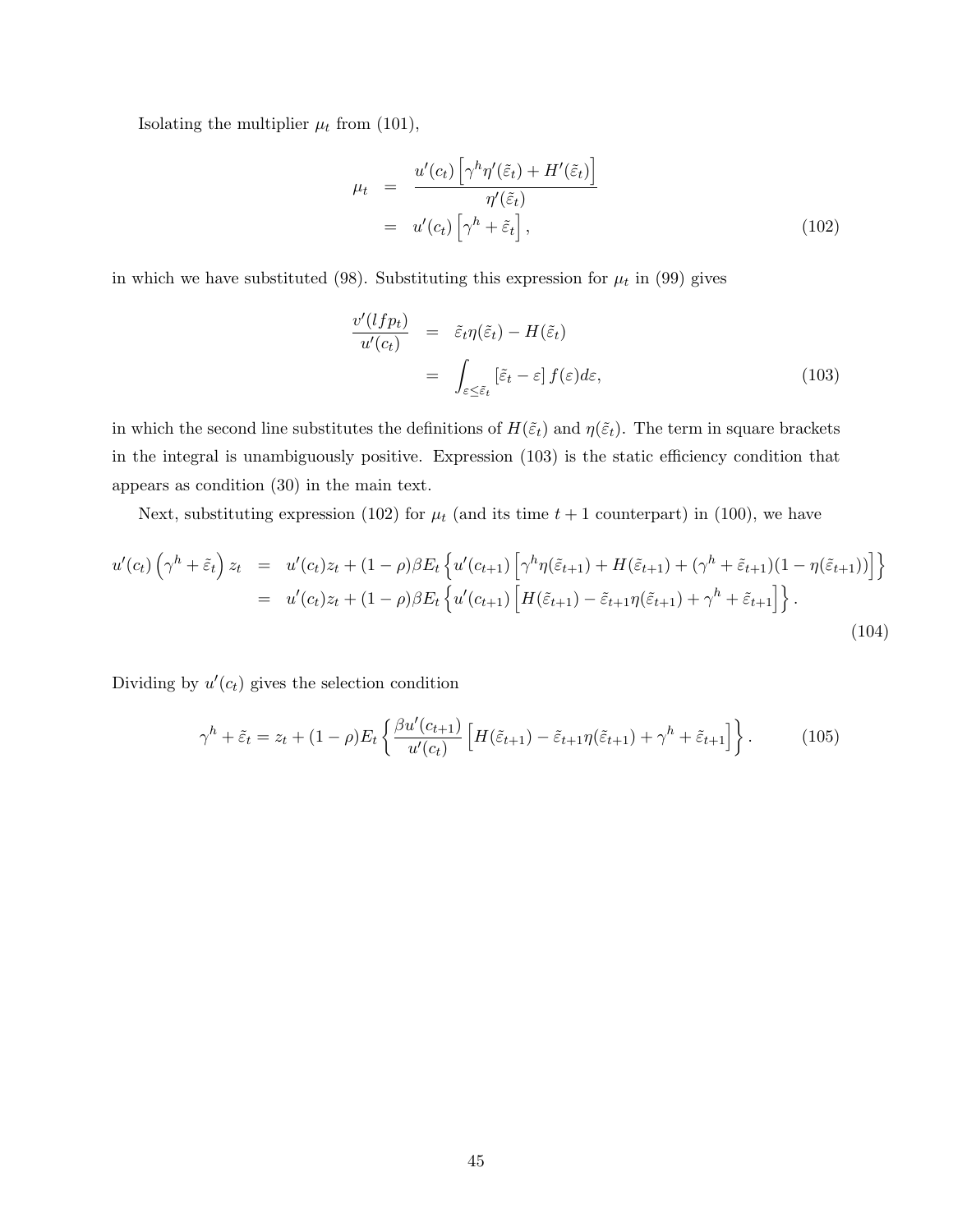Isolating the multiplier  $\mu_t$  from (101),

$$
\mu_t = \frac{u'(c_t) \left[ \gamma^h \eta'(\tilde{\varepsilon}_t) + H'(\tilde{\varepsilon}_t) \right]}{\eta'(\tilde{\varepsilon}_t)}
$$
  
=  $u'(c_t) \left[ \gamma^h + \tilde{\varepsilon}_t \right],$  (102)

in which we have substituted (98). Substituting this expression for  $\mu_t$  in (99) gives

$$
\frac{v'(lfp_t)}{u'(c_t)} = \tilde{\varepsilon}_t \eta(\tilde{\varepsilon}_t) - H(\tilde{\varepsilon}_t)
$$
\n
$$
= \int_{\varepsilon \le \tilde{\varepsilon}_t} [\tilde{\varepsilon}_t - \varepsilon] f(\varepsilon) d\varepsilon,
$$
\n(103)

in which the second line substitutes the definitions of  $H(\tilde{\varepsilon}_t)$  and  $\eta(\tilde{\varepsilon}_t)$ . The term in square brackets in the integral is unambiguously positive. Expression (103) is the static efficiency condition that appears as condition (30) in the main text.

Next, substituting expression (102) for  $\mu_t$  (and its time  $t + 1$  counterpart) in (100), we have

$$
u'(c_t)\left(\gamma^h + \tilde{\varepsilon}_t\right)z_t = u'(c_t)z_t + (1-\rho)\beta E_t\left\{u'(c_{t+1})\left[\gamma^h\eta(\tilde{\varepsilon}_{t+1}) + H(\tilde{\varepsilon}_{t+1}) + (\gamma^h + \tilde{\varepsilon}_{t+1})(1-\eta(\tilde{\varepsilon}_{t+1}))\right]\right\}
$$
  

$$
= u'(c_t)z_t + (1-\rho)\beta E_t\left\{u'(c_{t+1})\left[H(\tilde{\varepsilon}_{t+1}) - \tilde{\varepsilon}_{t+1}\eta(\tilde{\varepsilon}_{t+1}) + \gamma^h + \tilde{\varepsilon}_{t+1}\right]\right\}.
$$
 (104)

Dividing by  $u'(c_t)$  gives the selection condition

$$
\gamma^h + \tilde{\varepsilon}_t = z_t + (1 - \rho) E_t \left\{ \frac{\beta u'(c_{t+1})}{u'(c_t)} \left[ H(\tilde{\varepsilon}_{t+1}) - \tilde{\varepsilon}_{t+1} \eta(\tilde{\varepsilon}_{t+1}) + \gamma^h + \tilde{\varepsilon}_{t+1} \right] \right\}.
$$
 (105)